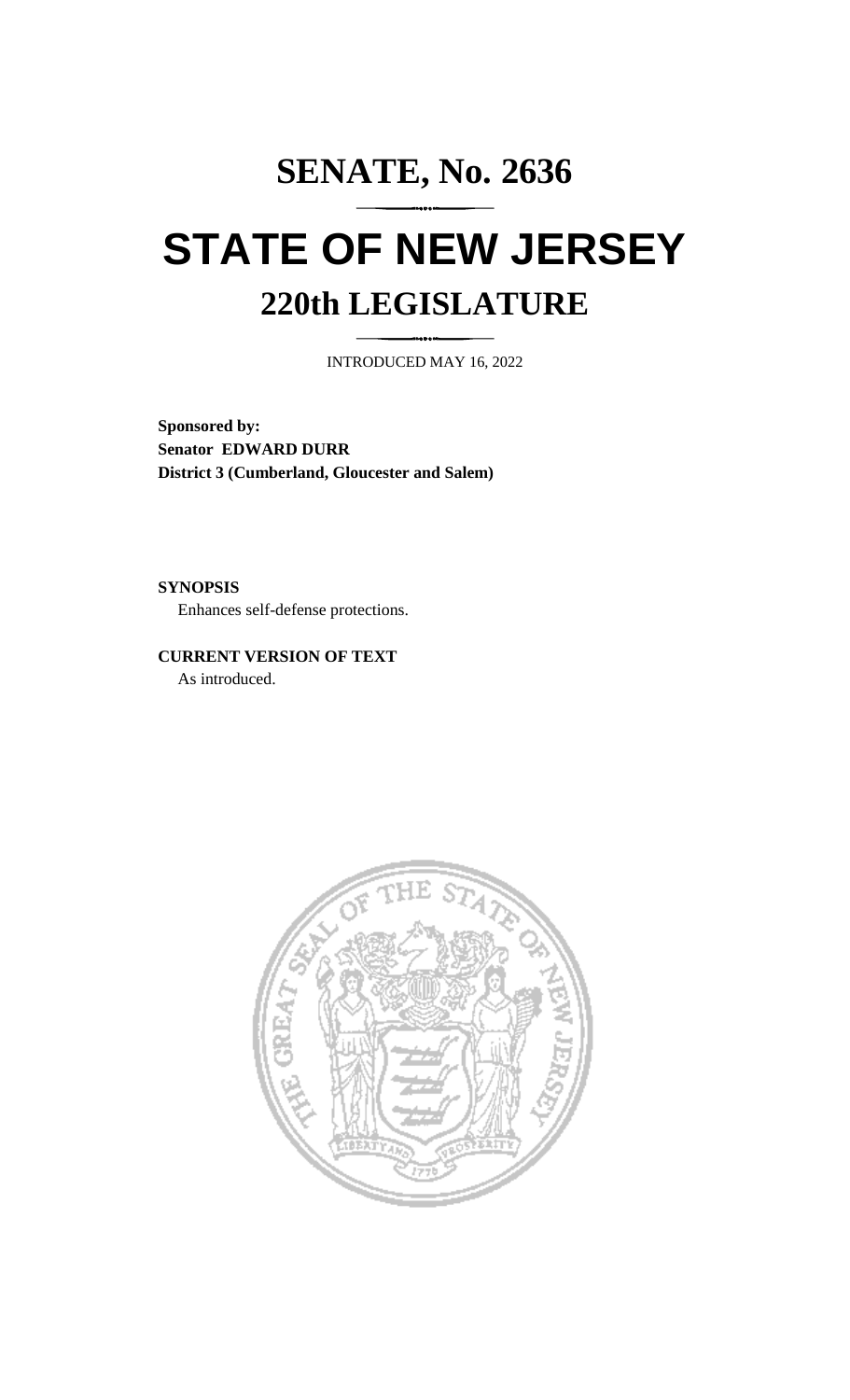# **SENATE, No. 2636 STATE OF NEW JERSEY 220th LEGISLATURE**

INTRODUCED MAY 16, 2022

**Sponsored by: Senator EDWARD DURR District 3 (Cumberland, Gloucester and Salem)**

**SYNOPSIS**

Enhances self-defense protections.

**CURRENT VERSION OF TEXT**  As introduced.

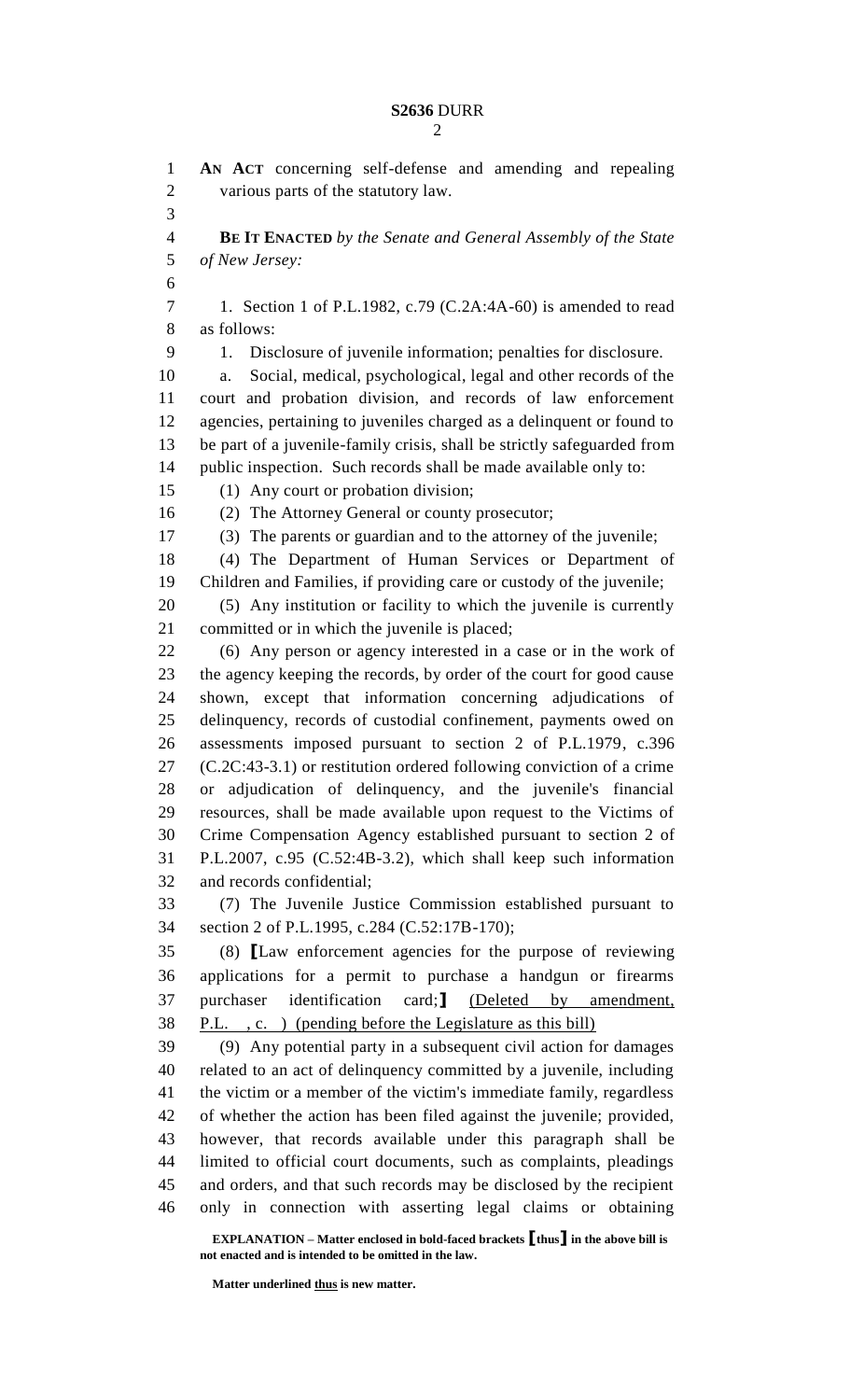**AN ACT** concerning self-defense and amending and repealing various parts of the statutory law. **BE IT ENACTED** *by the Senate and General Assembly of the State of New Jersey:* 1. Section 1 of P.L.1982, c.79 (C.2A:4A-60) is amended to read as follows: 1. Disclosure of juvenile information; penalties for disclosure. a. Social, medical, psychological, legal and other records of the court and probation division, and records of law enforcement agencies, pertaining to juveniles charged as a delinquent or found to be part of a juvenile-family crisis, shall be strictly safeguarded from public inspection. Such records shall be made available only to: (1) Any court or probation division; (2) The Attorney General or county prosecutor; (3) The parents or guardian and to the attorney of the juvenile; (4) The Department of Human Services or Department of Children and Families, if providing care or custody of the juvenile; (5) Any institution or facility to which the juvenile is currently committed or in which the juvenile is placed; (6) Any person or agency interested in a case or in the work of the agency keeping the records, by order of the court for good cause shown, except that information concerning adjudications of delinquency, records of custodial confinement, payments owed on assessments imposed pursuant to section 2 of P.L.1979, c.396 (C.2C:43-3.1) or restitution ordered following conviction of a crime or adjudication of delinquency, and the juvenile's financial resources, shall be made available upon request to the Victims of Crime Compensation Agency established pursuant to section 2 of P.L.2007, c.95 (C.52:4B-3.2), which shall keep such information and records confidential; (7) The Juvenile Justice Commission established pursuant to section 2 of P.L.1995, c.284 (C.52:17B-170); (8) **[**Law enforcement agencies for the purpose of reviewing applications for a permit to purchase a handgun or firearms purchaser identification card;**]** (Deleted by amendment, P.L. , c. ) (pending before the Legislature as this bill) (9) Any potential party in a subsequent civil action for damages related to an act of delinquency committed by a juvenile, including the victim or a member of the victim's immediate family, regardless of whether the action has been filed against the juvenile; provided, however, that records available under this paragraph shall be limited to official court documents, such as complaints, pleadings and orders, and that such records may be disclosed by the recipient only in connection with asserting legal claims or obtaining

**EXPLANATION – Matter enclosed in bold-faced brackets [thus] in the above bill is not enacted and is intended to be omitted in the law.**

**Matter underlined thus is new matter.**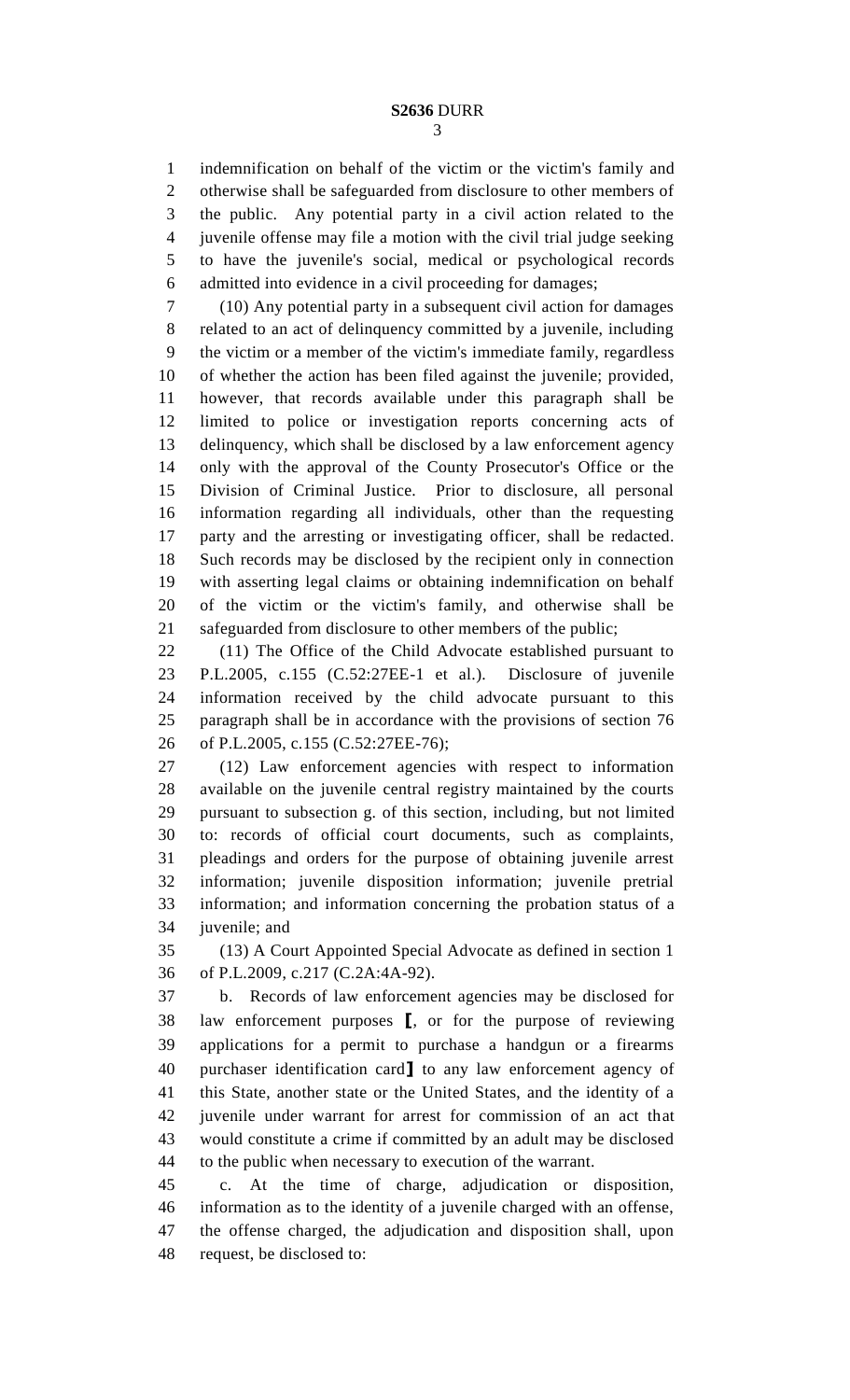indemnification on behalf of the victim or the victim's family and otherwise shall be safeguarded from disclosure to other members of the public. Any potential party in a civil action related to the juvenile offense may file a motion with the civil trial judge seeking to have the juvenile's social, medical or psychological records admitted into evidence in a civil proceeding for damages;

 (10) Any potential party in a subsequent civil action for damages related to an act of delinquency committed by a juvenile, including the victim or a member of the victim's immediate family, regardless of whether the action has been filed against the juvenile; provided, however, that records available under this paragraph shall be limited to police or investigation reports concerning acts of delinquency, which shall be disclosed by a law enforcement agency only with the approval of the County Prosecutor's Office or the Division of Criminal Justice. Prior to disclosure, all personal information regarding all individuals, other than the requesting party and the arresting or investigating officer, shall be redacted. Such records may be disclosed by the recipient only in connection with asserting legal claims or obtaining indemnification on behalf of the victim or the victim's family, and otherwise shall be safeguarded from disclosure to other members of the public;

 (11) The Office of the Child Advocate established pursuant to P.L.2005, c.155 (C.52:27EE-1 et al.). Disclosure of juvenile information received by the child advocate pursuant to this paragraph shall be in accordance with the provisions of section 76 of P.L.2005, c.155 (C.52:27EE-76);

 (12) Law enforcement agencies with respect to information available on the juvenile central registry maintained by the courts pursuant to subsection g. of this section, including, but not limited to: records of official court documents, such as complaints, pleadings and orders for the purpose of obtaining juvenile arrest information; juvenile disposition information; juvenile pretrial information; and information concerning the probation status of a juvenile; and

 (13) A Court Appointed Special Advocate as defined in section 1 of P.L.2009, c.217 (C.2A:4A-92).

 b. Records of law enforcement agencies may be disclosed for law enforcement purposes **[**, or for the purpose of reviewing applications for a permit to purchase a handgun or a firearms purchaser identification card**]** to any law enforcement agency of this State, another state or the United States, and the identity of a juvenile under warrant for arrest for commission of an act that would constitute a crime if committed by an adult may be disclosed to the public when necessary to execution of the warrant.

 c. At the time of charge, adjudication or disposition, information as to the identity of a juvenile charged with an offense, the offense charged, the adjudication and disposition shall, upon request, be disclosed to: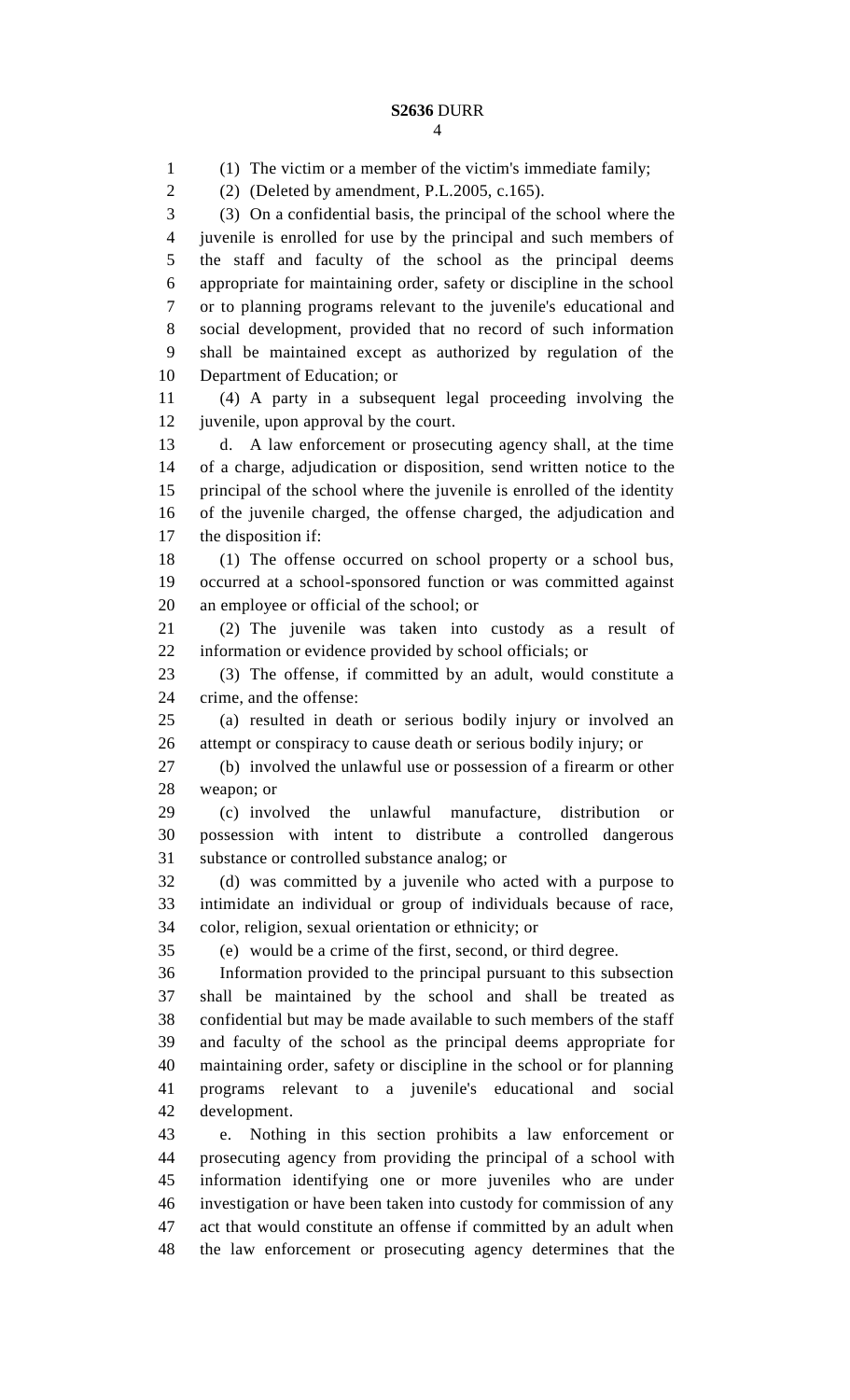(1) The victim or a member of the victim's immediate family; (2) (Deleted by amendment, P.L.2005, c.165). (3) On a confidential basis, the principal of the school where the juvenile is enrolled for use by the principal and such members of the staff and faculty of the school as the principal deems appropriate for maintaining order, safety or discipline in the school or to planning programs relevant to the juvenile's educational and social development, provided that no record of such information shall be maintained except as authorized by regulation of the Department of Education; or (4) A party in a subsequent legal proceeding involving the juvenile, upon approval by the court. d. A law enforcement or prosecuting agency shall, at the time of a charge, adjudication or disposition, send written notice to the principal of the school where the juvenile is enrolled of the identity of the juvenile charged, the offense charged, the adjudication and the disposition if: (1) The offense occurred on school property or a school bus, occurred at a school-sponsored function or was committed against an employee or official of the school; or (2) The juvenile was taken into custody as a result of information or evidence provided by school officials; or (3) The offense, if committed by an adult, would constitute a crime, and the offense: (a) resulted in death or serious bodily injury or involved an attempt or conspiracy to cause death or serious bodily injury; or (b) involved the unlawful use or possession of a firearm or other weapon; or (c) involved the unlawful manufacture, distribution or possession with intent to distribute a controlled dangerous substance or controlled substance analog; or (d) was committed by a juvenile who acted with a purpose to intimidate an individual or group of individuals because of race, color, religion, sexual orientation or ethnicity; or (e) would be a crime of the first, second, or third degree. Information provided to the principal pursuant to this subsection shall be maintained by the school and shall be treated as confidential but may be made available to such members of the staff and faculty of the school as the principal deems appropriate for maintaining order, safety or discipline in the school or for planning programs relevant to a juvenile's educational and social development. e. Nothing in this section prohibits a law enforcement or prosecuting agency from providing the principal of a school with information identifying one or more juveniles who are under investigation or have been taken into custody for commission of any act that would constitute an offense if committed by an adult when the law enforcement or prosecuting agency determines that the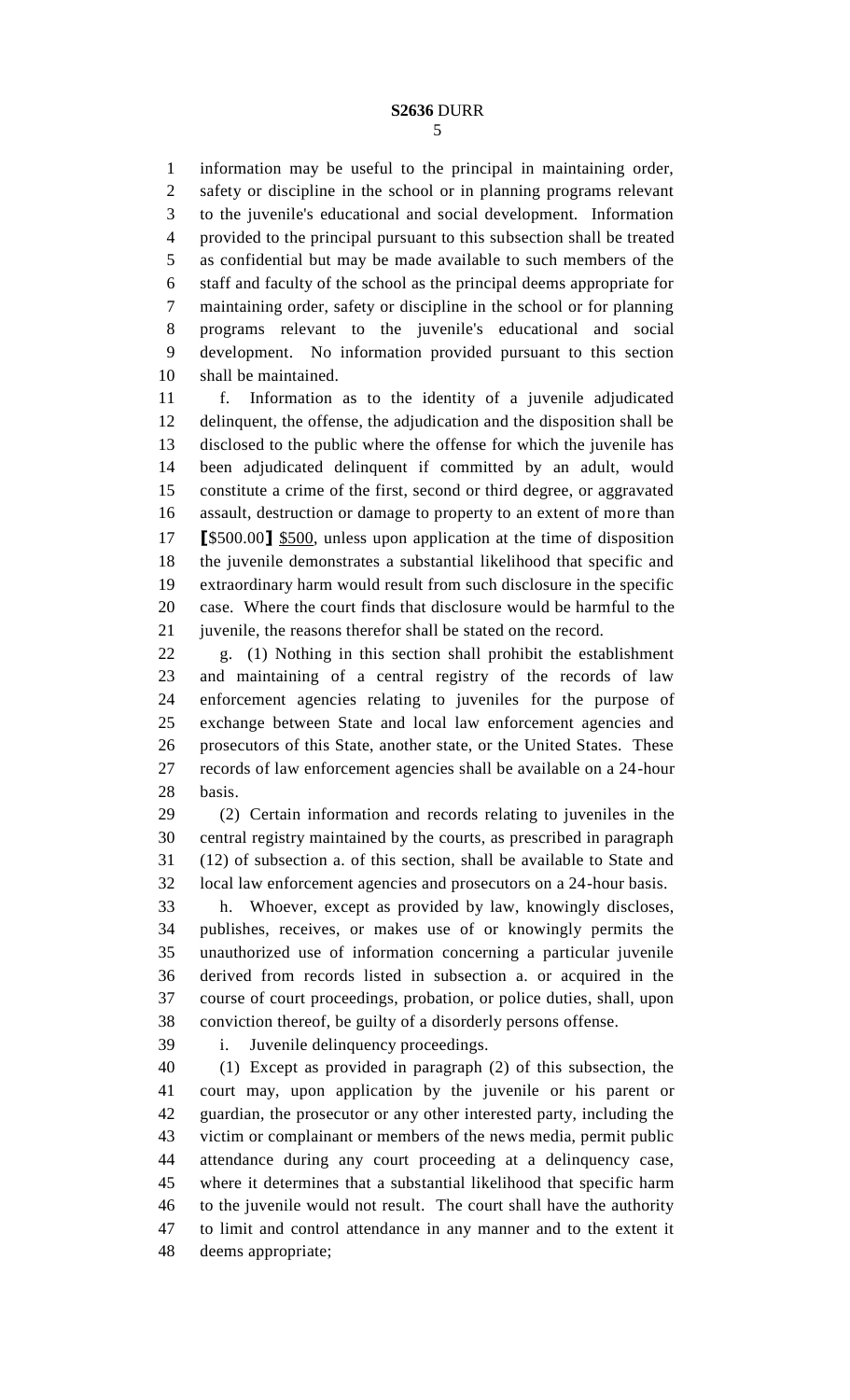information may be useful to the principal in maintaining order, safety or discipline in the school or in planning programs relevant to the juvenile's educational and social development. Information provided to the principal pursuant to this subsection shall be treated as confidential but may be made available to such members of the staff and faculty of the school as the principal deems appropriate for maintaining order, safety or discipline in the school or for planning programs relevant to the juvenile's educational and social development. No information provided pursuant to this section shall be maintained.

 f. Information as to the identity of a juvenile adjudicated delinquent, the offense, the adjudication and the disposition shall be disclosed to the public where the offense for which the juvenile has been adjudicated delinquent if committed by an adult, would constitute a crime of the first, second or third degree, or aggravated assault, destruction or damage to property to an extent of more than **[**\$500.00**]** \$500, unless upon application at the time of disposition the juvenile demonstrates a substantial likelihood that specific and extraordinary harm would result from such disclosure in the specific case. Where the court finds that disclosure would be harmful to the juvenile, the reasons therefor shall be stated on the record.

 g. (1) Nothing in this section shall prohibit the establishment and maintaining of a central registry of the records of law enforcement agencies relating to juveniles for the purpose of exchange between State and local law enforcement agencies and prosecutors of this State, another state, or the United States. These records of law enforcement agencies shall be available on a 24-hour basis.

 (2) Certain information and records relating to juveniles in the central registry maintained by the courts, as prescribed in paragraph (12) of subsection a. of this section, shall be available to State and local law enforcement agencies and prosecutors on a 24-hour basis.

 h. Whoever, except as provided by law, knowingly discloses, publishes, receives, or makes use of or knowingly permits the unauthorized use of information concerning a particular juvenile derived from records listed in subsection a. or acquired in the course of court proceedings, probation, or police duties, shall, upon conviction thereof, be guilty of a disorderly persons offense.

i. Juvenile delinquency proceedings.

 (1) Except as provided in paragraph (2) of this subsection, the court may, upon application by the juvenile or his parent or guardian, the prosecutor or any other interested party, including the victim or complainant or members of the news media, permit public attendance during any court proceeding at a delinquency case, where it determines that a substantial likelihood that specific harm to the juvenile would not result. The court shall have the authority to limit and control attendance in any manner and to the extent it deems appropriate;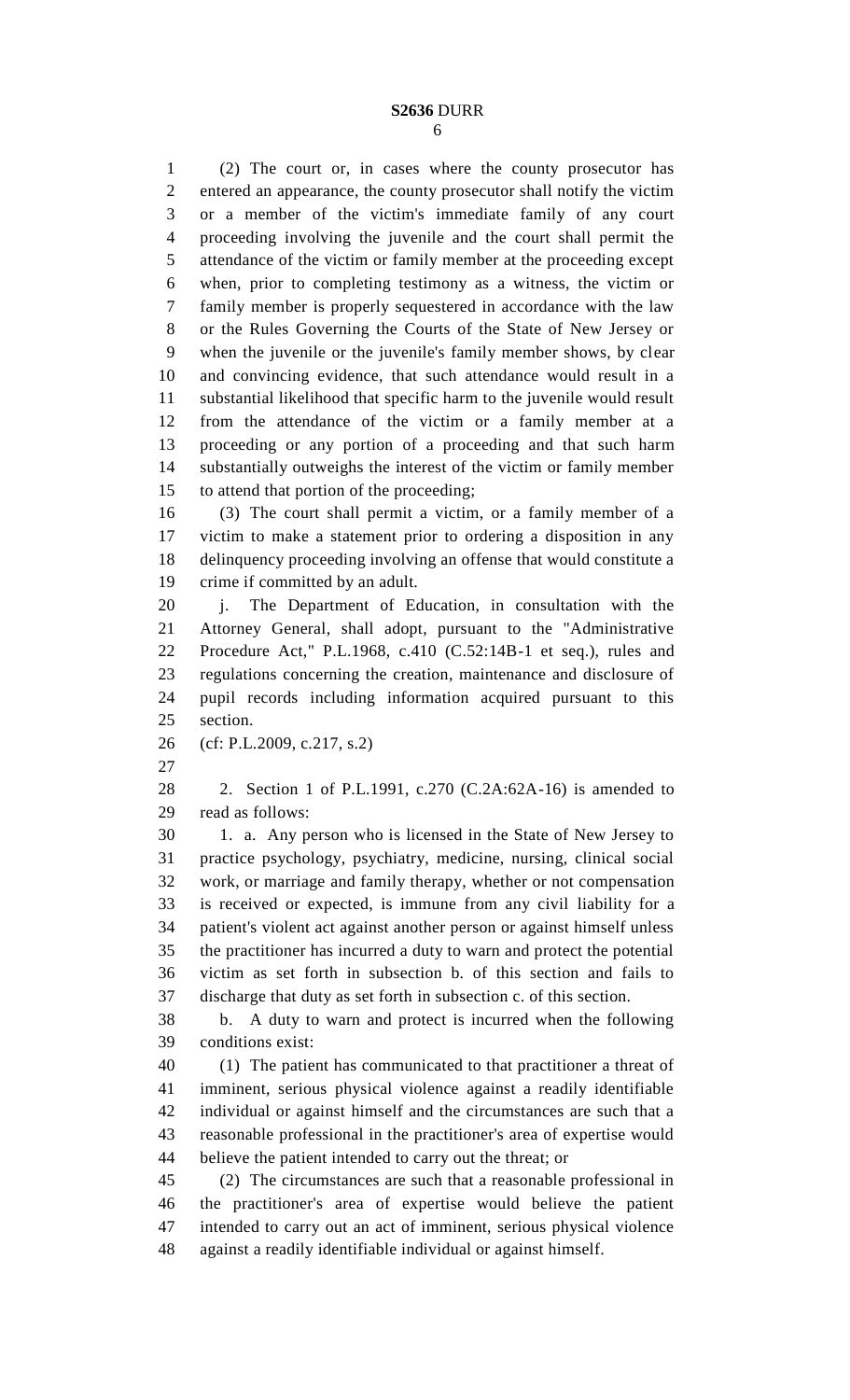(2) The court or, in cases where the county prosecutor has entered an appearance, the county prosecutor shall notify the victim or a member of the victim's immediate family of any court proceeding involving the juvenile and the court shall permit the attendance of the victim or family member at the proceeding except when, prior to completing testimony as a witness, the victim or family member is properly sequestered in accordance with the law or the Rules Governing the Courts of the State of New Jersey or when the juvenile or the juvenile's family member shows, by clear and convincing evidence, that such attendance would result in a substantial likelihood that specific harm to the juvenile would result from the attendance of the victim or a family member at a proceeding or any portion of a proceeding and that such harm substantially outweighs the interest of the victim or family member to attend that portion of the proceeding;

 (3) The court shall permit a victim, or a family member of a victim to make a statement prior to ordering a disposition in any delinquency proceeding involving an offense that would constitute a crime if committed by an adult.

 j. The Department of Education, in consultation with the Attorney General, shall adopt, pursuant to the "Administrative Procedure Act," P.L.1968, c.410 (C.52:14B-1 et seq.), rules and regulations concerning the creation, maintenance and disclosure of pupil records including information acquired pursuant to this section.

(cf: P.L.2009, c.217, s.2)

 2. Section 1 of P.L.1991, c.270 (C.2A:62A-16) is amended to read as follows:

 1. a. Any person who is licensed in the State of New Jersey to practice psychology, psychiatry, medicine, nursing, clinical social work, or marriage and family therapy, whether or not compensation is received or expected, is immune from any civil liability for a patient's violent act against another person or against himself unless the practitioner has incurred a duty to warn and protect the potential victim as set forth in subsection b. of this section and fails to discharge that duty as set forth in subsection c. of this section.

 b. A duty to warn and protect is incurred when the following conditions exist:

 (1) The patient has communicated to that practitioner a threat of imminent, serious physical violence against a readily identifiable individual or against himself and the circumstances are such that a reasonable professional in the practitioner's area of expertise would believe the patient intended to carry out the threat; or

 (2) The circumstances are such that a reasonable professional in the practitioner's area of expertise would believe the patient intended to carry out an act of imminent, serious physical violence against a readily identifiable individual or against himself.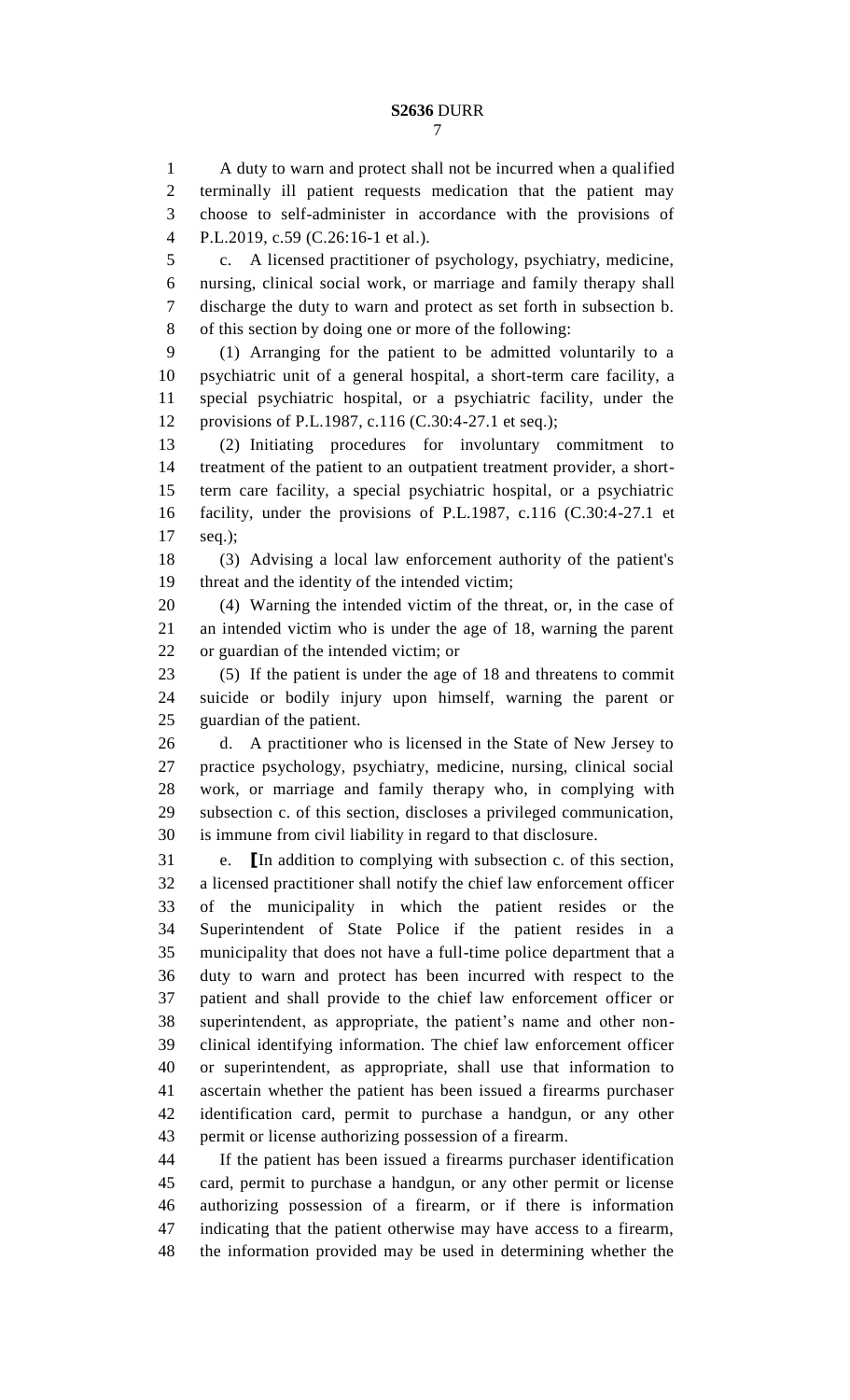A duty to warn and protect shall not be incurred when a qualified terminally ill patient requests medication that the patient may choose to self-administer in accordance with the provisions of P.L.2019, c.59 (C.26:16-1 et al.).

 c. A licensed practitioner of psychology, psychiatry, medicine, nursing, clinical social work, or marriage and family therapy shall discharge the duty to warn and protect as set forth in subsection b. of this section by doing one or more of the following:

 (1) Arranging for the patient to be admitted voluntarily to a psychiatric unit of a general hospital, a short-term care facility, a special psychiatric hospital, or a psychiatric facility, under the provisions of P.L.1987, c.116 (C.30:4-27.1 et seq.);

 (2) Initiating procedures for involuntary commitment to treatment of the patient to an outpatient treatment provider, a short- term care facility, a special psychiatric hospital, or a psychiatric facility, under the provisions of P.L.1987, c.116 (C.30:4-27.1 et seq.);

 (3) Advising a local law enforcement authority of the patient's threat and the identity of the intended victim;

 (4) Warning the intended victim of the threat, or, in the case of an intended victim who is under the age of 18, warning the parent or guardian of the intended victim; or

 (5) If the patient is under the age of 18 and threatens to commit suicide or bodily injury upon himself, warning the parent or guardian of the patient.

 d. A practitioner who is licensed in the State of New Jersey to practice psychology, psychiatry, medicine, nursing, clinical social work, or marriage and family therapy who, in complying with subsection c. of this section, discloses a privileged communication, is immune from civil liability in regard to that disclosure.

 e. **[**In addition to complying with subsection c. of this section, a licensed practitioner shall notify the chief law enforcement officer of the municipality in which the patient resides or the Superintendent of State Police if the patient resides in a municipality that does not have a full-time police department that a duty to warn and protect has been incurred with respect to the patient and shall provide to the chief law enforcement officer or superintendent, as appropriate, the patient's name and other non- clinical identifying information. The chief law enforcement officer or superintendent, as appropriate, shall use that information to ascertain whether the patient has been issued a firearms purchaser identification card, permit to purchase a handgun, or any other permit or license authorizing possession of a firearm.

 If the patient has been issued a firearms purchaser identification card, permit to purchase a handgun, or any other permit or license authorizing possession of a firearm, or if there is information indicating that the patient otherwise may have access to a firearm, the information provided may be used in determining whether the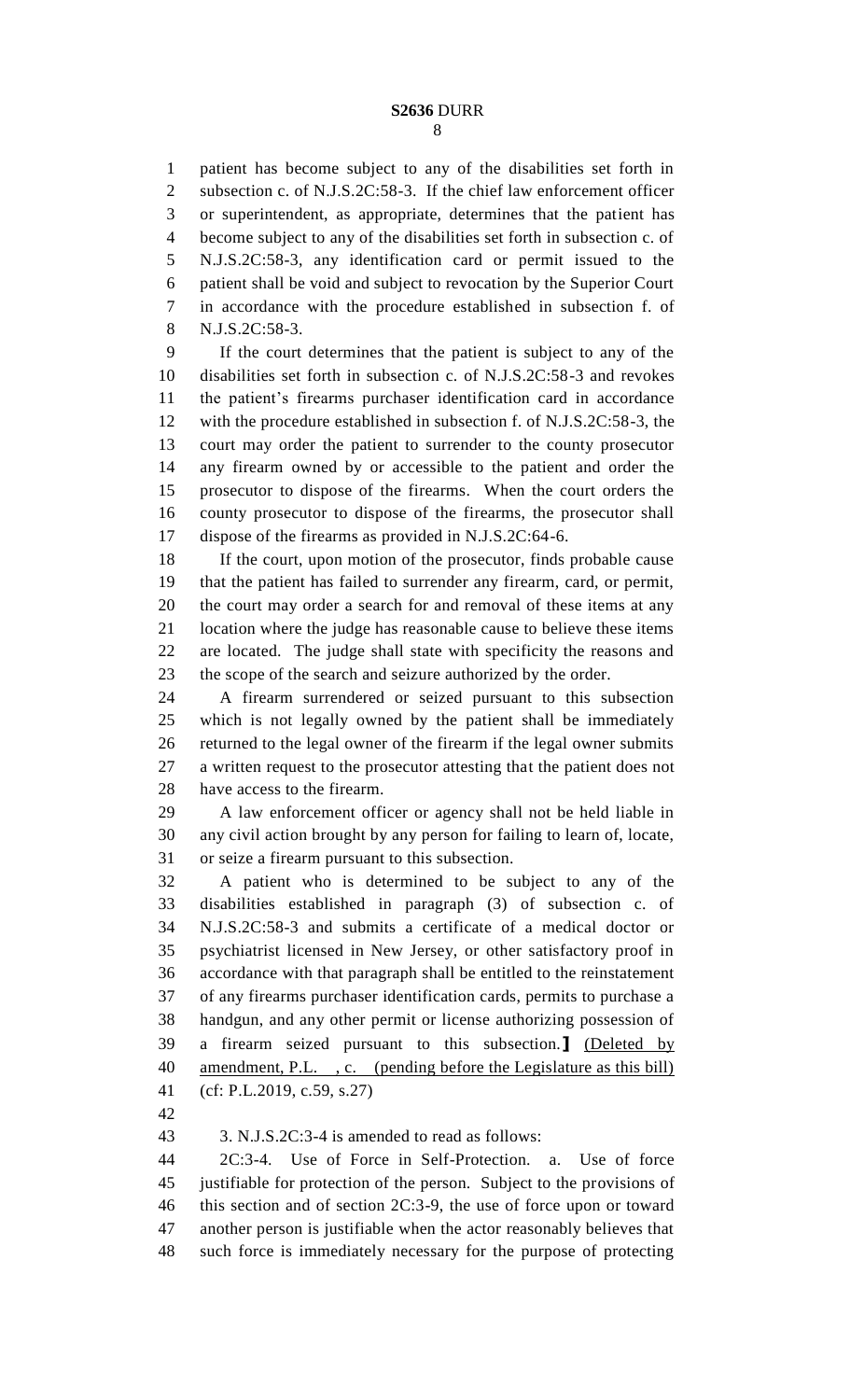patient has become subject to any of the disabilities set forth in subsection c. of N.J.S.2C:58-3. If the chief law enforcement officer or superintendent, as appropriate, determines that the patient has become subject to any of the disabilities set forth in subsection c. of N.J.S.2C:58-3, any identification card or permit issued to the patient shall be void and subject to revocation by the Superior Court in accordance with the procedure established in subsection f. of N.J.S.2C:58-3.

 If the court determines that the patient is subject to any of the disabilities set forth in subsection c. of N.J.S.2C:58-3 and revokes the patient's firearms purchaser identification card in accordance with the procedure established in subsection f. of N.J.S.2C:58-3, the court may order the patient to surrender to the county prosecutor any firearm owned by or accessible to the patient and order the prosecutor to dispose of the firearms. When the court orders the county prosecutor to dispose of the firearms, the prosecutor shall dispose of the firearms as provided in N.J.S.2C:64-6.

 If the court, upon motion of the prosecutor, finds probable cause that the patient has failed to surrender any firearm, card, or permit, the court may order a search for and removal of these items at any location where the judge has reasonable cause to believe these items are located. The judge shall state with specificity the reasons and the scope of the search and seizure authorized by the order.

 A firearm surrendered or seized pursuant to this subsection which is not legally owned by the patient shall be immediately returned to the legal owner of the firearm if the legal owner submits a written request to the prosecutor attesting that the patient does not have access to the firearm.

 A law enforcement officer or agency shall not be held liable in any civil action brought by any person for failing to learn of, locate, or seize a firearm pursuant to this subsection.

 A patient who is determined to be subject to any of the disabilities established in paragraph (3) of subsection c. of N.J.S.2C:58-3 and submits a certificate of a medical doctor or psychiatrist licensed in New Jersey, or other satisfactory proof in accordance with that paragraph shall be entitled to the reinstatement of any firearms purchaser identification cards, permits to purchase a handgun, and any other permit or license authorizing possession of a firearm seized pursuant to this subsection.**]** (Deleted by amendment, P.L. , c. (pending before the Legislature as this bill) (cf: P.L.2019, c.59, s.27)

3. N.J.S.2C:3-4 is amended to read as follows:

 2C:3-4. Use of Force in Self-Protection. a. Use of force justifiable for protection of the person. Subject to the provisions of this section and of section 2C:3-9, the use of force upon or toward another person is justifiable when the actor reasonably believes that such force is immediately necessary for the purpose of protecting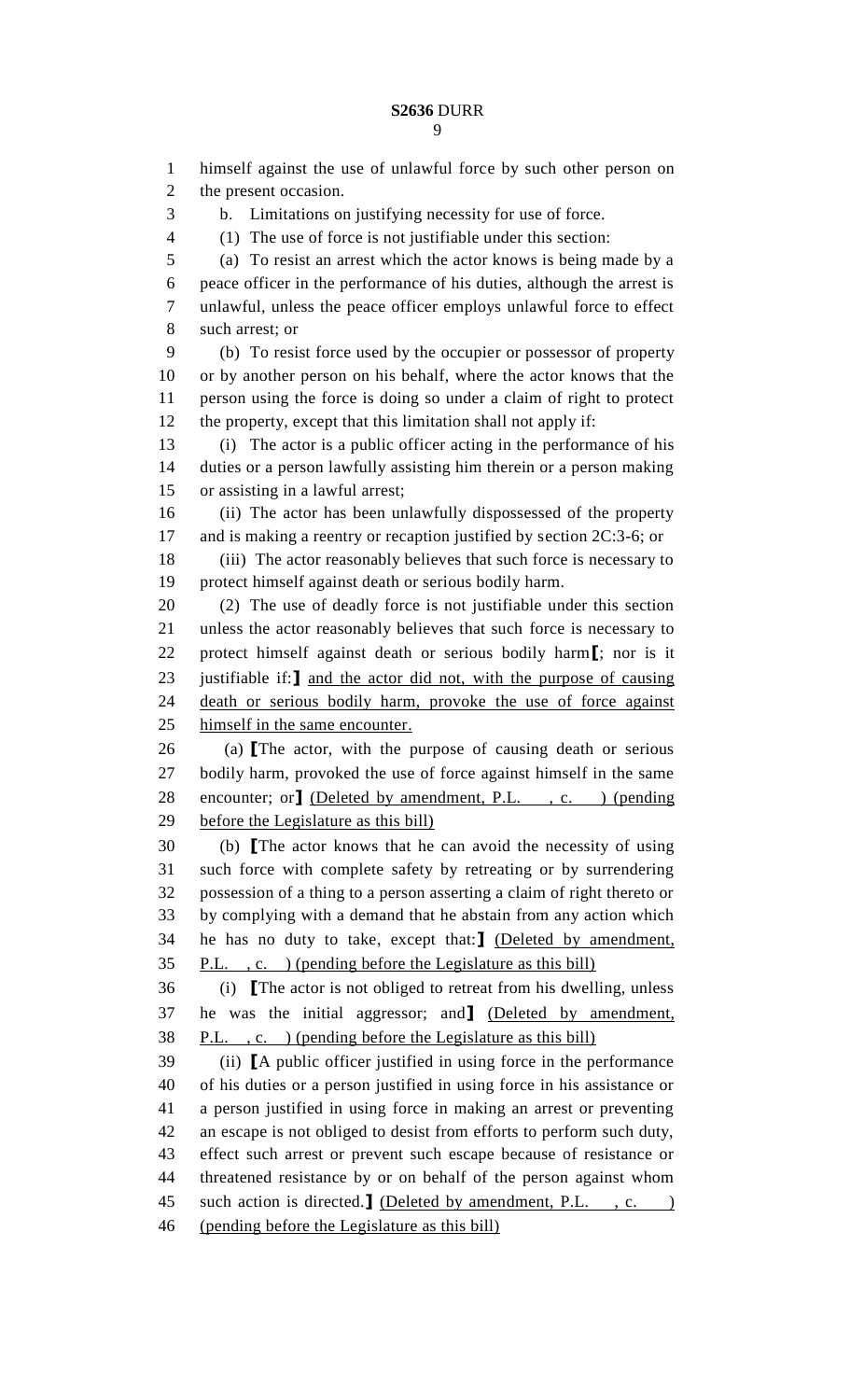himself against the use of unlawful force by such other person on the present occasion. b. Limitations on justifying necessity for use of force. (1) The use of force is not justifiable under this section: (a) To resist an arrest which the actor knows is being made by a peace officer in the performance of his duties, although the arrest is unlawful, unless the peace officer employs unlawful force to effect such arrest; or (b) To resist force used by the occupier or possessor of property or by another person on his behalf, where the actor knows that the person using the force is doing so under a claim of right to protect the property, except that this limitation shall not apply if: (i) The actor is a public officer acting in the performance of his duties or a person lawfully assisting him therein or a person making or assisting in a lawful arrest; (ii) The actor has been unlawfully dispossessed of the property and is making a reentry or recaption justified by section 2C:3-6; or (iii) The actor reasonably believes that such force is necessary to protect himself against death or serious bodily harm. (2) The use of deadly force is not justifiable under this section unless the actor reasonably believes that such force is necessary to protect himself against death or serious bodily harm**[**; nor is it justifiable if:**]** and the actor did not, with the purpose of causing death or serious bodily harm, provoke the use of force against 25 himself in the same encounter. (a) **[**The actor, with the purpose of causing death or serious bodily harm, provoked the use of force against himself in the same 28 encounter; or**]** (Deleted by amendment, P.L., c.) (pending before the Legislature as this bill) (b) **[**The actor knows that he can avoid the necessity of using such force with complete safety by retreating or by surrendering possession of a thing to a person asserting a claim of right thereto or by complying with a demand that he abstain from any action which he has no duty to take, except that:**]** (Deleted by amendment, P.L. , c. ) (pending before the Legislature as this bill) (i) **[**The actor is not obliged to retreat from his dwelling, unless he was the initial aggressor; and**]** (Deleted by amendment, P.L. , c. ) (pending before the Legislature as this bill) (ii) **[**A public officer justified in using force in the performance of his duties or a person justified in using force in his assistance or a person justified in using force in making an arrest or preventing an escape is not obliged to desist from efforts to perform such duty, effect such arrest or prevent such escape because of resistance or threatened resistance by or on behalf of the person against whom such action is directed.**]** (Deleted by amendment, P.L. , c. ) (pending before the Legislature as this bill)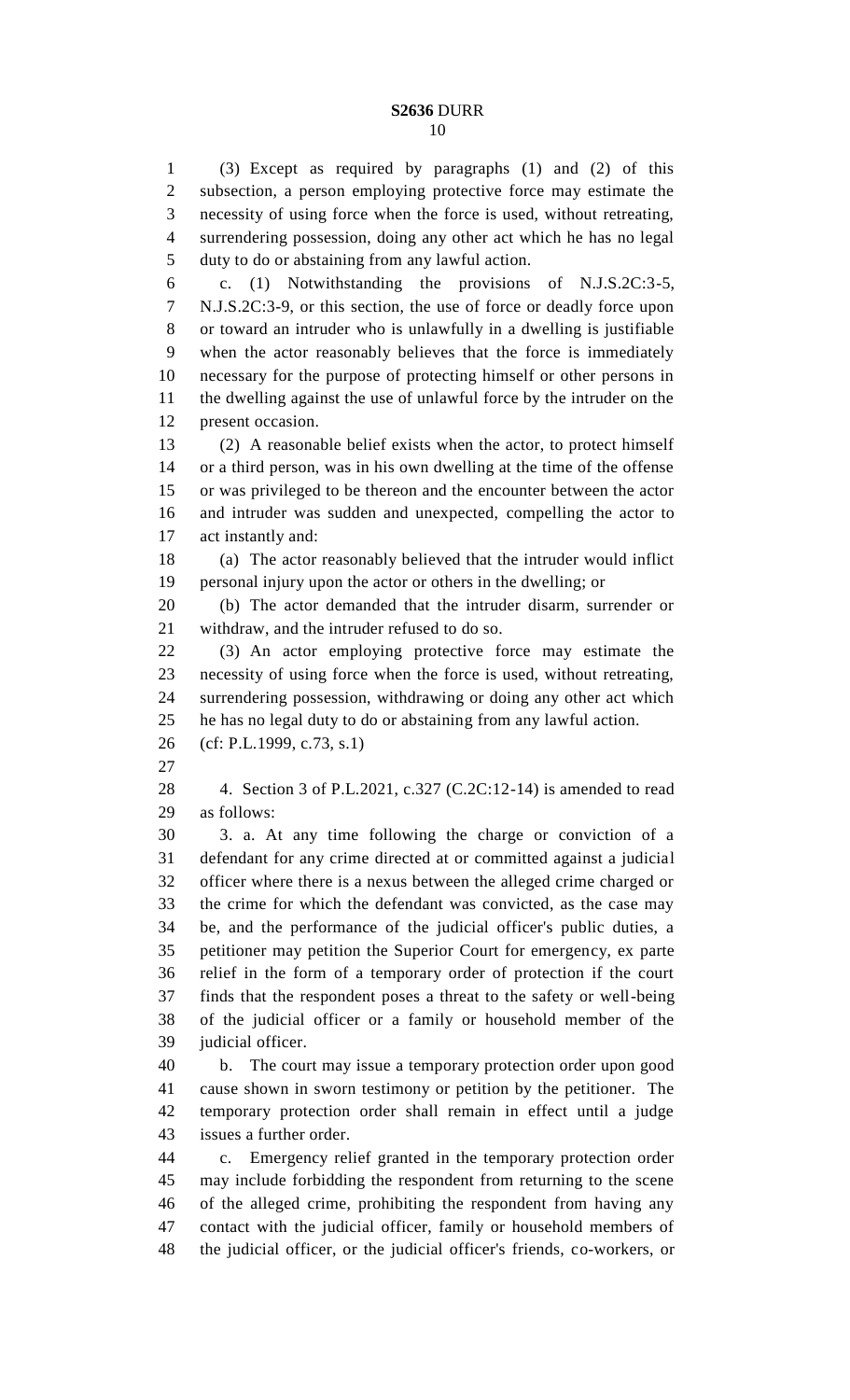(3) Except as required by paragraphs (1) and (2) of this subsection, a person employing protective force may estimate the necessity of using force when the force is used, without retreating, surrendering possession, doing any other act which he has no legal duty to do or abstaining from any lawful action.

 c. (1) Notwithstanding the provisions of N.J.S.2C:3-5, N.J.S.2C:3-9, or this section, the use of force or deadly force upon or toward an intruder who is unlawfully in a dwelling is justifiable when the actor reasonably believes that the force is immediately necessary for the purpose of protecting himself or other persons in the dwelling against the use of unlawful force by the intruder on the present occasion.

 (2) A reasonable belief exists when the actor, to protect himself or a third person, was in his own dwelling at the time of the offense or was privileged to be thereon and the encounter between the actor and intruder was sudden and unexpected, compelling the actor to act instantly and:

 (a) The actor reasonably believed that the intruder would inflict personal injury upon the actor or others in the dwelling; or

 (b) The actor demanded that the intruder disarm, surrender or withdraw, and the intruder refused to do so.

 (3) An actor employing protective force may estimate the necessity of using force when the force is used, without retreating, surrendering possession, withdrawing or doing any other act which he has no legal duty to do or abstaining from any lawful action.

(cf: P.L.1999, c.73, s.1)

 4. Section 3 of P.L.2021, c.327 (C.2C:12-14) is amended to read as follows:

 3. a. At any time following the charge or conviction of a defendant for any crime directed at or committed against a judicial officer where there is a nexus between the alleged crime charged or the crime for which the defendant was convicted, as the case may be, and the performance of the judicial officer's public duties, a petitioner may petition the Superior Court for emergency, ex parte relief in the form of a temporary order of protection if the court finds that the respondent poses a threat to the safety or well-being of the judicial officer or a family or household member of the judicial officer.

 b. The court may issue a temporary protection order upon good cause shown in sworn testimony or petition by the petitioner. The temporary protection order shall remain in effect until a judge issues a further order.

 c. Emergency relief granted in the temporary protection order may include forbidding the respondent from returning to the scene of the alleged crime, prohibiting the respondent from having any contact with the judicial officer, family or household members of the judicial officer, or the judicial officer's friends, co-workers, or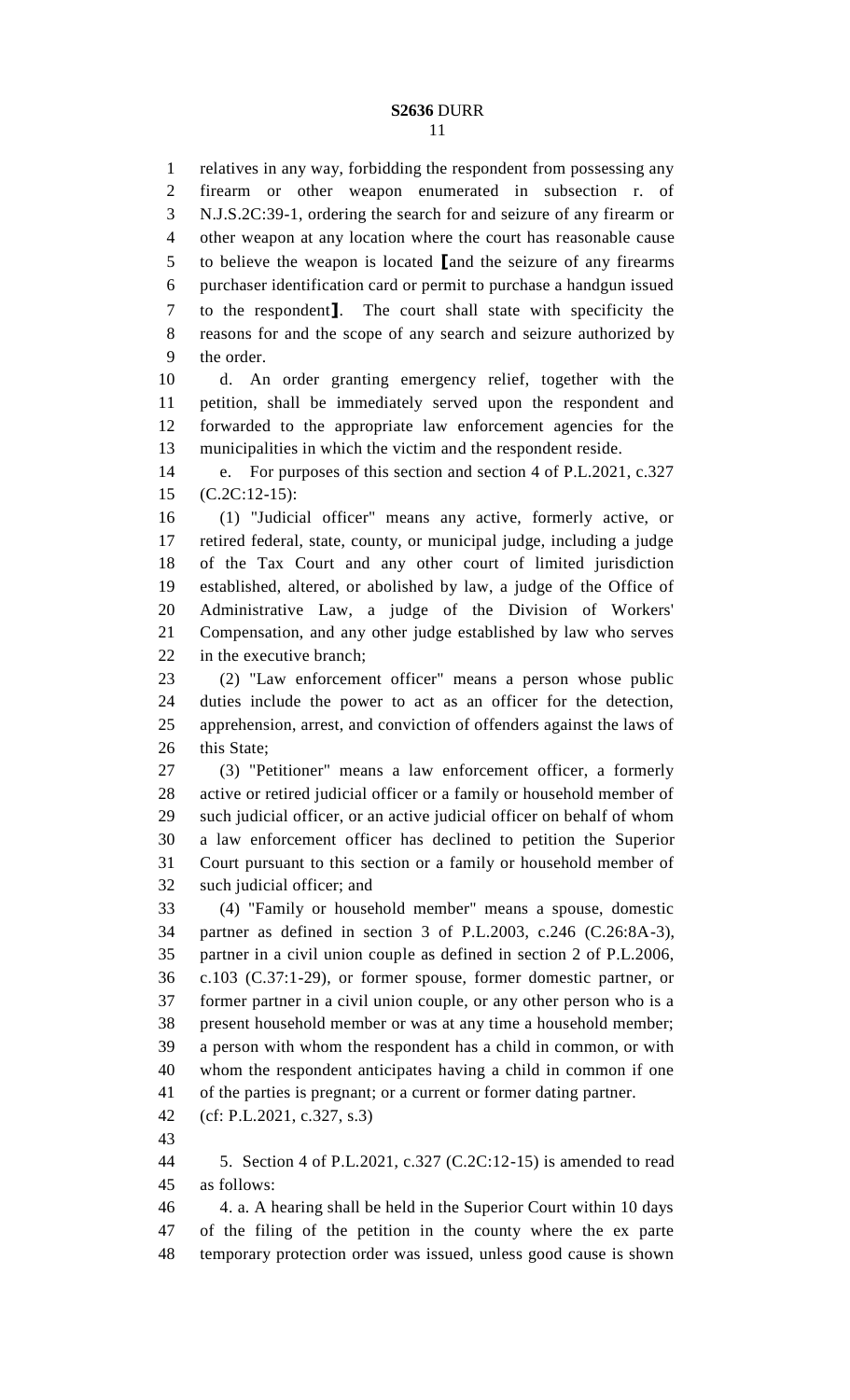relatives in any way, forbidding the respondent from possessing any firearm or other weapon enumerated in subsection r. of N.J.S.2C:39-1, ordering the search for and seizure of any firearm or other weapon at any location where the court has reasonable cause to believe the weapon is located **[**and the seizure of any firearms purchaser identification card or permit to purchase a handgun issued to the respondent**]**. The court shall state with specificity the reasons for and the scope of any search and seizure authorized by the order.

 d. An order granting emergency relief, together with the petition, shall be immediately served upon the respondent and forwarded to the appropriate law enforcement agencies for the municipalities in which the victim and the respondent reside.

 e. For purposes of this section and section 4 of P.L.2021, c.327 (C.2C:12-15):

 (1) "Judicial officer" means any active, formerly active, or retired federal, state, county, or municipal judge, including a judge of the Tax Court and any other court of limited jurisdiction established, altered, or abolished by law, a judge of the Office of Administrative Law, a judge of the Division of Workers' Compensation, and any other judge established by law who serves in the executive branch;

 (2) "Law enforcement officer" means a person whose public duties include the power to act as an officer for the detection, apprehension, arrest, and conviction of offenders against the laws of 26 this State:

 (3) "Petitioner" means a law enforcement officer, a formerly active or retired judicial officer or a family or household member of such judicial officer, or an active judicial officer on behalf of whom a law enforcement officer has declined to petition the Superior Court pursuant to this section or a family or household member of such judicial officer; and

 (4) "Family or household member" means a spouse, domestic partner as defined in section 3 of P.L.2003, c.246 (C.26:8A-3), partner in a civil union couple as defined in section 2 of P.L.2006, c.103 (C.37:1-29), or former spouse, former domestic partner, or former partner in a civil union couple, or any other person who is a present household member or was at any time a household member; a person with whom the respondent has a child in common, or with whom the respondent anticipates having a child in common if one of the parties is pregnant; or a current or former dating partner.

(cf: P.L.2021, c.327, s.3)

 5. Section 4 of P.L.2021, c.327 (C.2C:12-15) is amended to read as follows:

 4. a. A hearing shall be held in the Superior Court within 10 days of the filing of the petition in the county where the ex parte temporary protection order was issued, unless good cause is shown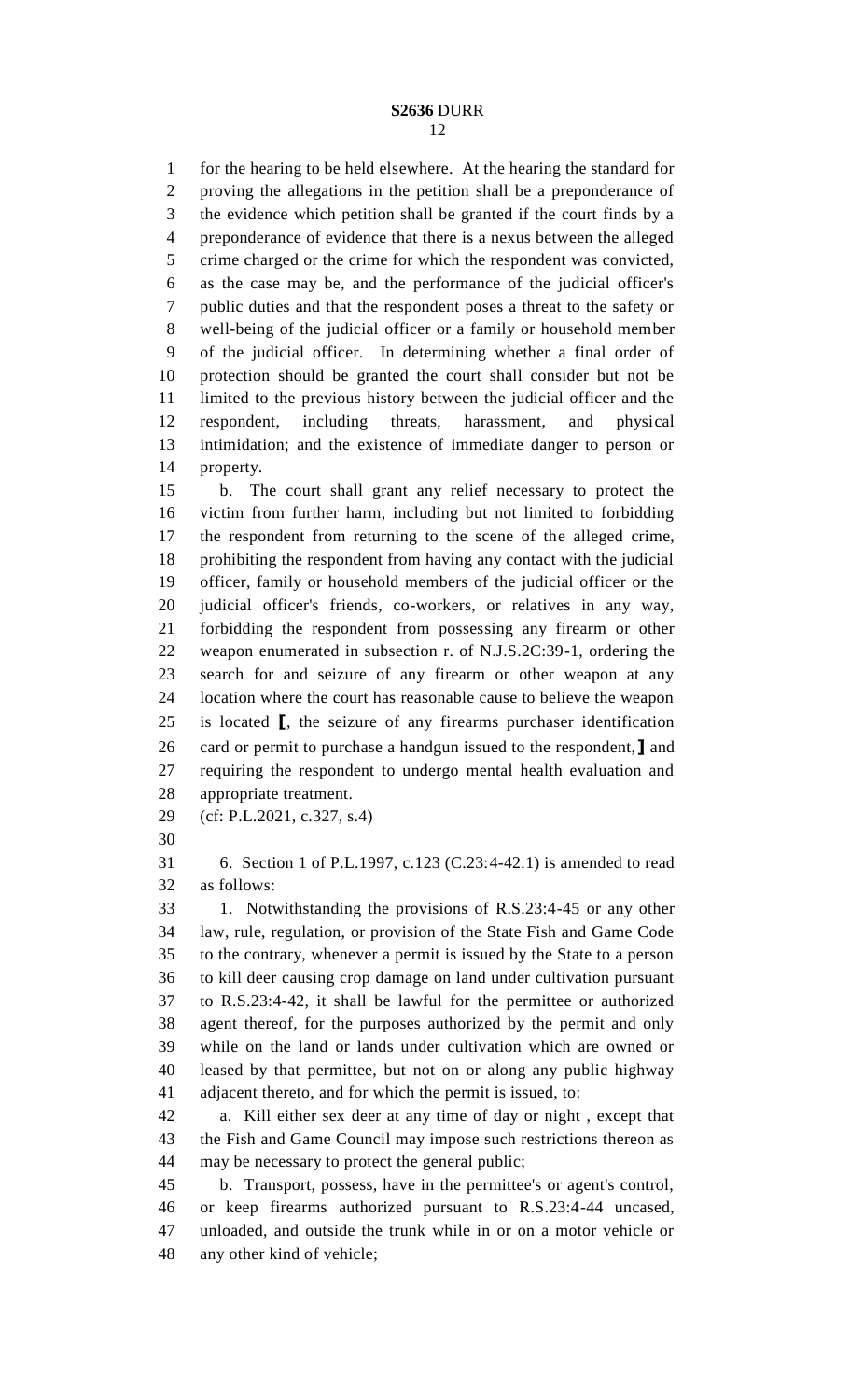for the hearing to be held elsewhere. At the hearing the standard for proving the allegations in the petition shall be a preponderance of the evidence which petition shall be granted if the court finds by a preponderance of evidence that there is a nexus between the alleged crime charged or the crime for which the respondent was convicted, as the case may be, and the performance of the judicial officer's public duties and that the respondent poses a threat to the safety or well-being of the judicial officer or a family or household member of the judicial officer. In determining whether a final order of protection should be granted the court shall consider but not be limited to the previous history between the judicial officer and the respondent, including threats, harassment, and physical intimidation; and the existence of immediate danger to person or property.

 b. The court shall grant any relief necessary to protect the victim from further harm, including but not limited to forbidding the respondent from returning to the scene of the alleged crime, prohibiting the respondent from having any contact with the judicial officer, family or household members of the judicial officer or the judicial officer's friends, co-workers, or relatives in any way, forbidding the respondent from possessing any firearm or other weapon enumerated in subsection r. of N.J.S.2C:39-1, ordering the search for and seizure of any firearm or other weapon at any location where the court has reasonable cause to believe the weapon is located **[**, the seizure of any firearms purchaser identification card or permit to purchase a handgun issued to the respondent,**]** and requiring the respondent to undergo mental health evaluation and appropriate treatment.

(cf: P.L.2021, c.327, s.4)

 6. Section 1 of P.L.1997, c.123 (C.23:4-42.1) is amended to read as follows:

 1. Notwithstanding the provisions of R.S.23:4-45 or any other law, rule, regulation, or provision of the State Fish and Game Code to the contrary, whenever a permit is issued by the State to a person to kill deer causing crop damage on land under cultivation pursuant to R.S.23:4-42, it shall be lawful for the permittee or authorized agent thereof, for the purposes authorized by the permit and only while on the land or lands under cultivation which are owned or leased by that permittee, but not on or along any public highway adjacent thereto, and for which the permit is issued, to:

 a. Kill either sex deer at any time of day or night , except that the Fish and Game Council may impose such restrictions thereon as may be necessary to protect the general public;

 b. Transport, possess, have in the permittee's or agent's control, or keep firearms authorized pursuant to R.S.23:4-44 uncased, unloaded, and outside the trunk while in or on a motor vehicle or any other kind of vehicle;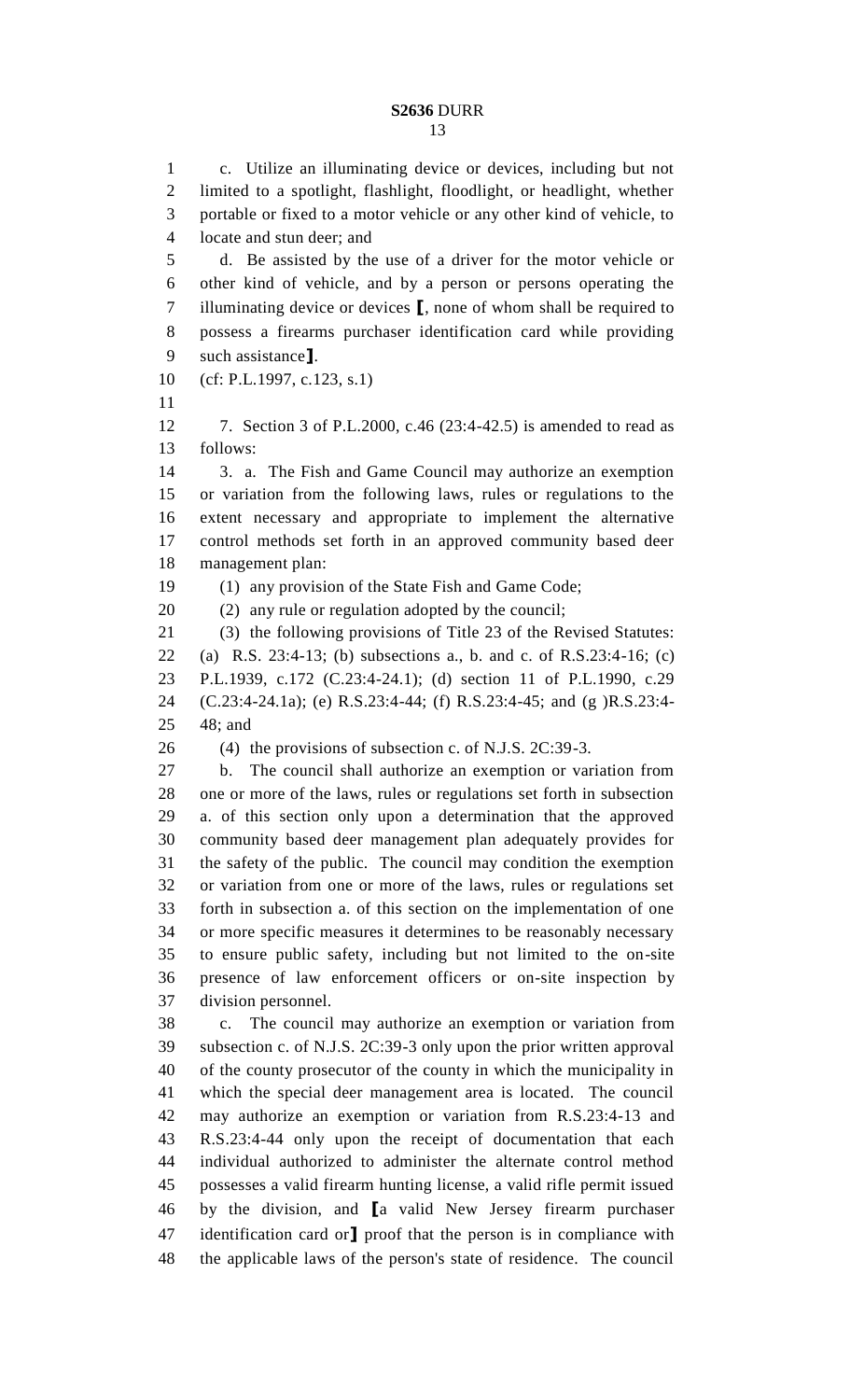c. Utilize an illuminating device or devices, including but not limited to a spotlight, flashlight, floodlight, or headlight, whether portable or fixed to a motor vehicle or any other kind of vehicle, to locate and stun deer; and

 d. Be assisted by the use of a driver for the motor vehicle or other kind of vehicle, and by a person or persons operating the illuminating device or devices **[**, none of whom shall be required to possess a firearms purchaser identification card while providing such assistance**]**.

(cf: P.L.1997, c.123, s.1)

 7. Section 3 of P.L.2000, c.46 (23:4-42.5) is amended to read as follows:

 3. a. The Fish and Game Council may authorize an exemption or variation from the following laws, rules or regulations to the extent necessary and appropriate to implement the alternative control methods set forth in an approved community based deer management plan:

(1) any provision of the State Fish and Game Code;

(2) any rule or regulation adopted by the council;

(3) the following provisions of Title 23 of the Revised Statutes:

 (a) R.S. 23:4-13; (b) subsections a., b. and c. of R.S.23:4-16; (c) P.L.1939, c.172 (C.23:4-24.1); (d) section 11 of P.L.1990, c.29 (C.23:4-24.1a); (e) R.S.23:4-44; (f) R.S.23:4-45; and (g )R.S.23:4- 48; and

(4) the provisions of subsection c. of N.J.S. 2C:39-3.

 b. The council shall authorize an exemption or variation from one or more of the laws, rules or regulations set forth in subsection a. of this section only upon a determination that the approved community based deer management plan adequately provides for the safety of the public. The council may condition the exemption or variation from one or more of the laws, rules or regulations set forth in subsection a. of this section on the implementation of one or more specific measures it determines to be reasonably necessary to ensure public safety, including but not limited to the on-site presence of law enforcement officers or on-site inspection by division personnel.

 c. The council may authorize an exemption or variation from subsection c. of N.J.S. 2C:39-3 only upon the prior written approval of the county prosecutor of the county in which the municipality in which the special deer management area is located. The council may authorize an exemption or variation from R.S.23:4-13 and R.S.23:4-44 only upon the receipt of documentation that each individual authorized to administer the alternate control method possesses a valid firearm hunting license, a valid rifle permit issued by the division, and **[**a valid New Jersey firearm purchaser identification card or**]** proof that the person is in compliance with the applicable laws of the person's state of residence. The council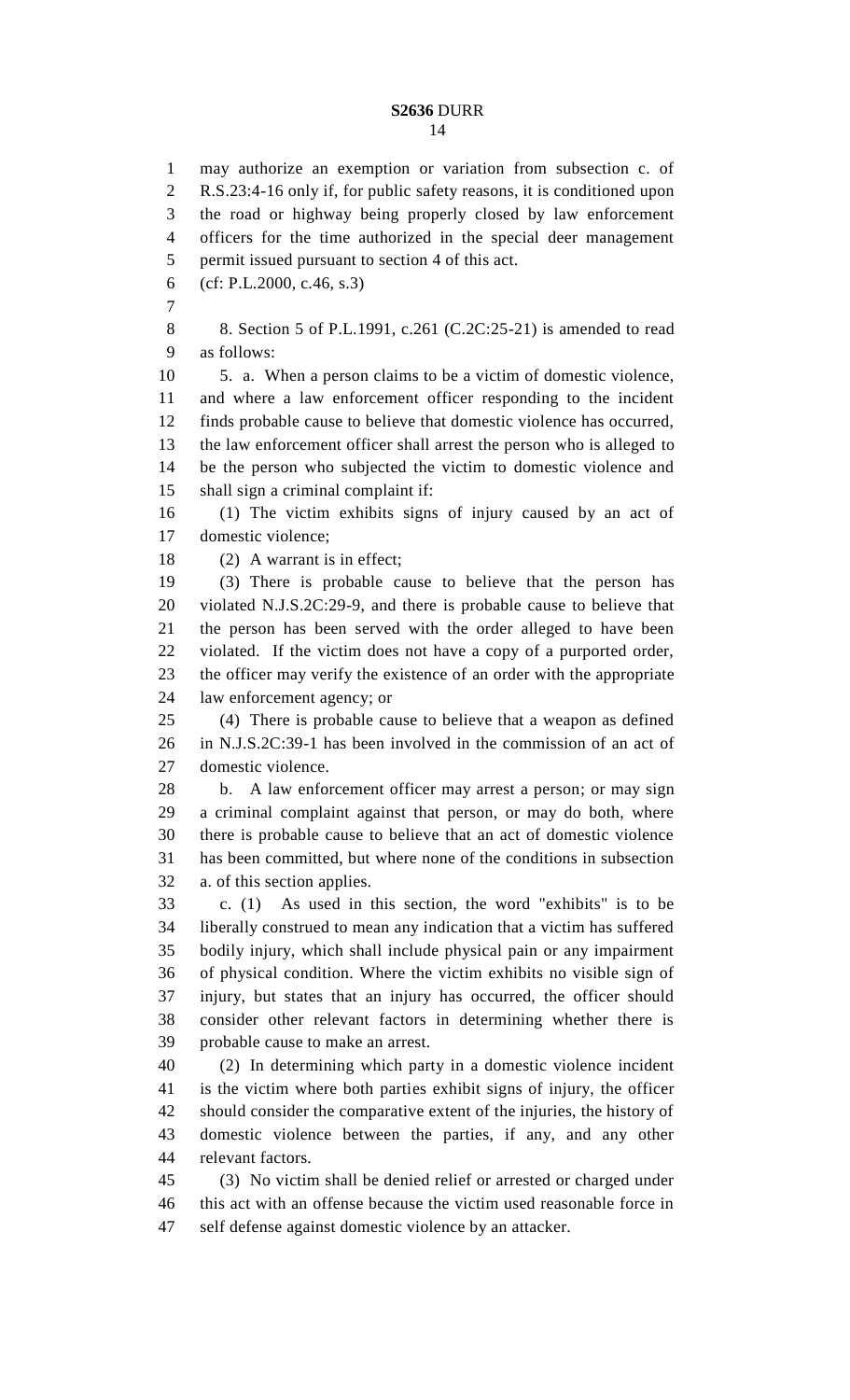may authorize an exemption or variation from subsection c. of R.S.23:4-16 only if, for public safety reasons, it is conditioned upon the road or highway being properly closed by law enforcement officers for the time authorized in the special deer management permit issued pursuant to section 4 of this act. (cf: P.L.2000, c.46, s.3) 8. Section 5 of P.L.1991, c.261 (C.2C:25-21) is amended to read as follows: 5. a. When a person claims to be a victim of domestic violence, and where a law enforcement officer responding to the incident finds probable cause to believe that domestic violence has occurred, the law enforcement officer shall arrest the person who is alleged to be the person who subjected the victim to domestic violence and shall sign a criminal complaint if: (1) The victim exhibits signs of injury caused by an act of domestic violence; 18 (2) A warrant is in effect; (3) There is probable cause to believe that the person has violated N.J.S.2C:29-9, and there is probable cause to believe that the person has been served with the order alleged to have been violated. If the victim does not have a copy of a purported order, the officer may verify the existence of an order with the appropriate law enforcement agency; or (4) There is probable cause to believe that a weapon as defined in N.J.S.2C:39-1 has been involved in the commission of an act of domestic violence. b. A law enforcement officer may arrest a person; or may sign a criminal complaint against that person, or may do both, where there is probable cause to believe that an act of domestic violence has been committed, but where none of the conditions in subsection a. of this section applies. c. (1) As used in this section, the word "exhibits" is to be liberally construed to mean any indication that a victim has suffered bodily injury, which shall include physical pain or any impairment of physical condition. Where the victim exhibits no visible sign of injury, but states that an injury has occurred, the officer should consider other relevant factors in determining whether there is probable cause to make an arrest. (2) In determining which party in a domestic violence incident is the victim where both parties exhibit signs of injury, the officer should consider the comparative extent of the injuries, the history of domestic violence between the parties, if any, and any other relevant factors. (3) No victim shall be denied relief or arrested or charged under this act with an offense because the victim used reasonable force in

self defense against domestic violence by an attacker.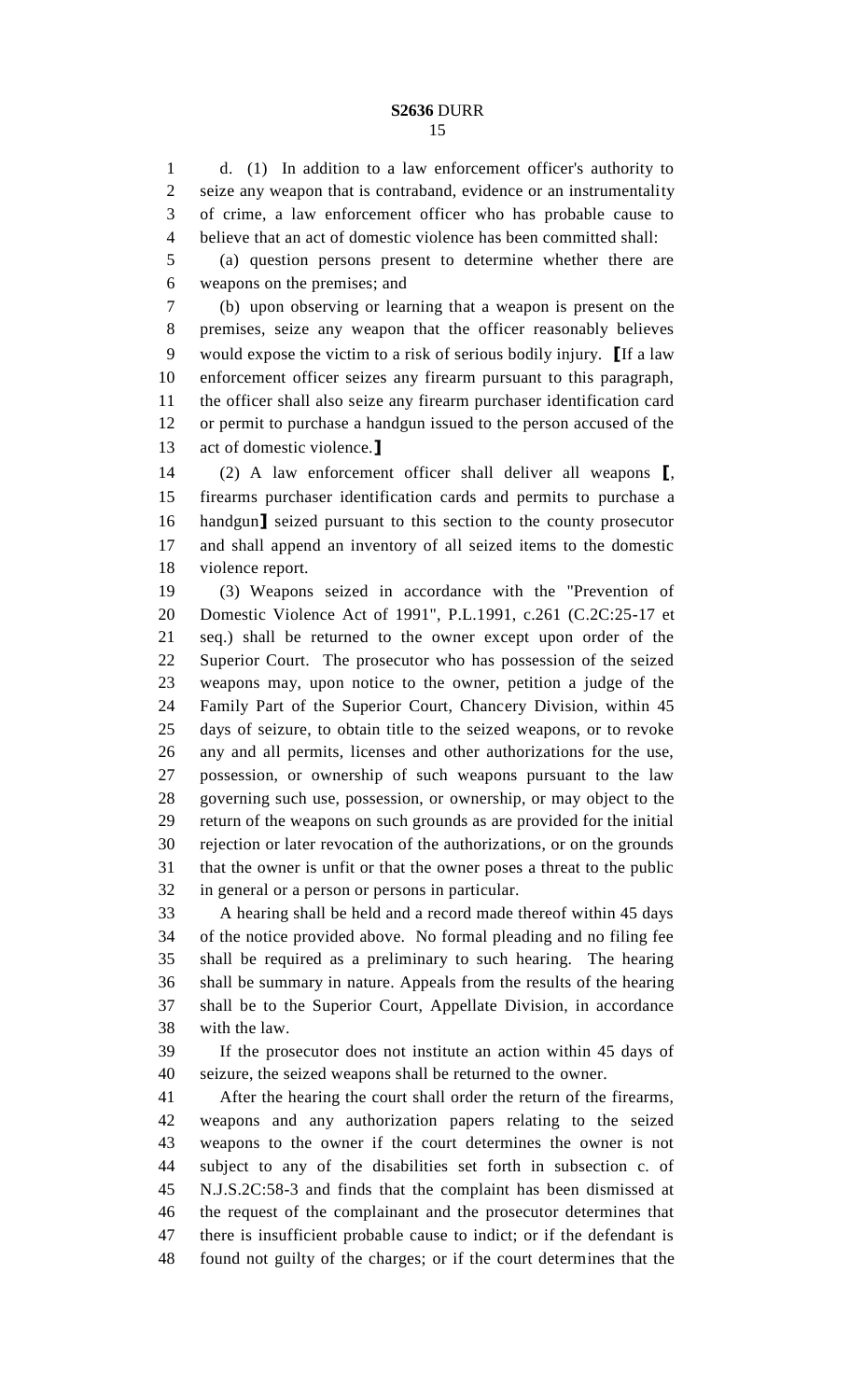d. (1) In addition to a law enforcement officer's authority to seize any weapon that is contraband, evidence or an instrumentality of crime, a law enforcement officer who has probable cause to believe that an act of domestic violence has been committed shall:

 (a) question persons present to determine whether there are weapons on the premises; and

 (b) upon observing or learning that a weapon is present on the premises, seize any weapon that the officer reasonably believes would expose the victim to a risk of serious bodily injury. **[**If a law enforcement officer seizes any firearm pursuant to this paragraph, the officer shall also seize any firearm purchaser identification card or permit to purchase a handgun issued to the person accused of the act of domestic violence.**]**

 (2) A law enforcement officer shall deliver all weapons **[**, firearms purchaser identification cards and permits to purchase a handgun**]** seized pursuant to this section to the county prosecutor and shall append an inventory of all seized items to the domestic violence report.

 (3) Weapons seized in accordance with the "Prevention of Domestic Violence Act of 1991", P.L.1991, c.261 (C.2C:25-17 et seq.) shall be returned to the owner except upon order of the Superior Court. The prosecutor who has possession of the seized weapons may, upon notice to the owner, petition a judge of the Family Part of the Superior Court, Chancery Division, within 45 days of seizure, to obtain title to the seized weapons, or to revoke any and all permits, licenses and other authorizations for the use, possession, or ownership of such weapons pursuant to the law governing such use, possession, or ownership, or may object to the return of the weapons on such grounds as are provided for the initial rejection or later revocation of the authorizations, or on the grounds that the owner is unfit or that the owner poses a threat to the public in general or a person or persons in particular.

 A hearing shall be held and a record made thereof within 45 days of the notice provided above. No formal pleading and no filing fee shall be required as a preliminary to such hearing. The hearing shall be summary in nature. Appeals from the results of the hearing shall be to the Superior Court, Appellate Division, in accordance with the law.

 If the prosecutor does not institute an action within 45 days of seizure, the seized weapons shall be returned to the owner.

 After the hearing the court shall order the return of the firearms, weapons and any authorization papers relating to the seized weapons to the owner if the court determines the owner is not subject to any of the disabilities set forth in subsection c. of N.J.S.2C:58-3 and finds that the complaint has been dismissed at the request of the complainant and the prosecutor determines that there is insufficient probable cause to indict; or if the defendant is found not guilty of the charges; or if the court determines that the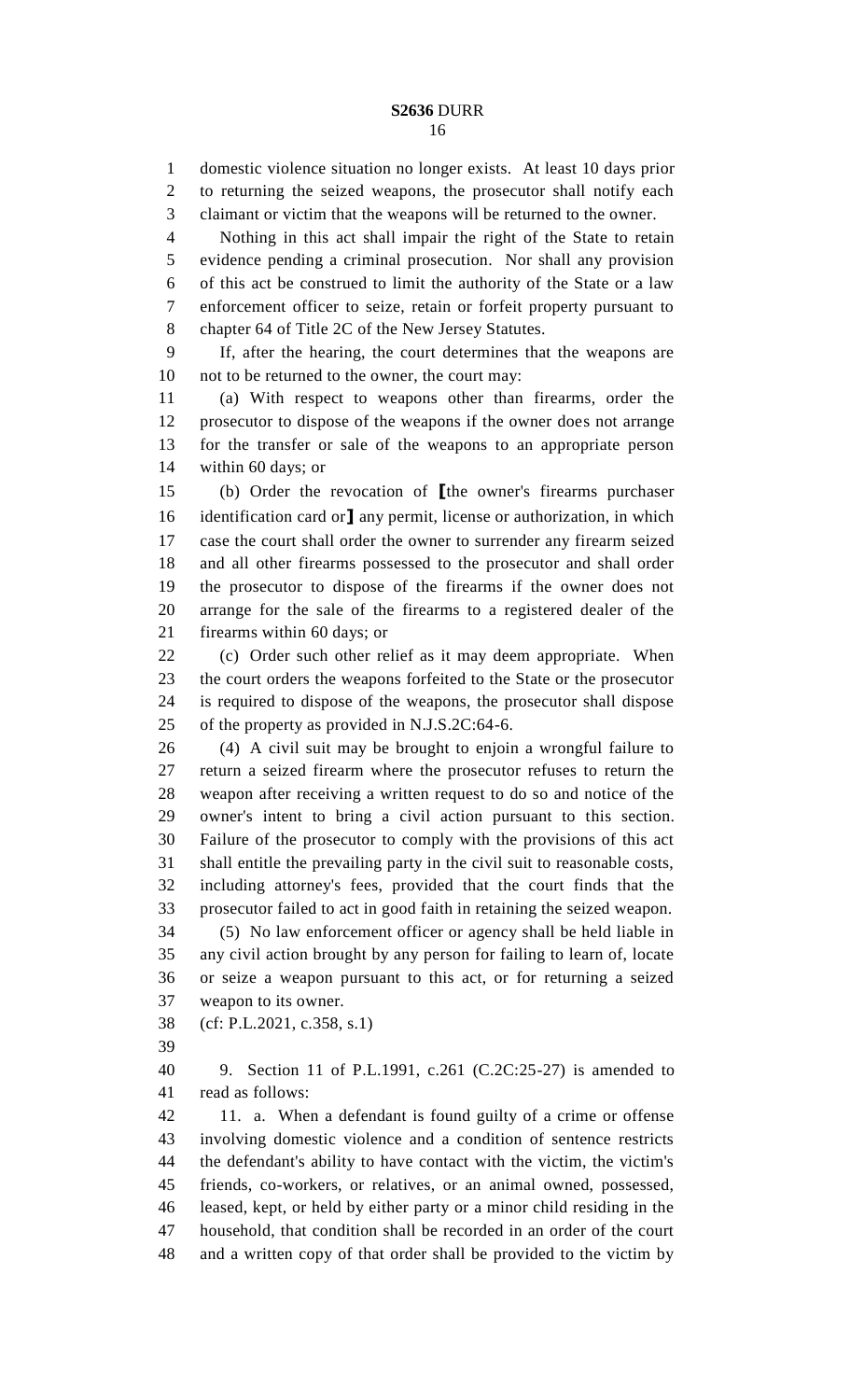domestic violence situation no longer exists. At least 10 days prior to returning the seized weapons, the prosecutor shall notify each claimant or victim that the weapons will be returned to the owner.

 Nothing in this act shall impair the right of the State to retain evidence pending a criminal prosecution. Nor shall any provision of this act be construed to limit the authority of the State or a law enforcement officer to seize, retain or forfeit property pursuant to chapter 64 of Title 2C of the New Jersey Statutes.

 If, after the hearing, the court determines that the weapons are not to be returned to the owner, the court may:

 (a) With respect to weapons other than firearms, order the prosecutor to dispose of the weapons if the owner does not arrange for the transfer or sale of the weapons to an appropriate person within 60 days; or

 (b) Order the revocation of **[**the owner's firearms purchaser identification card or**]** any permit, license or authorization, in which case the court shall order the owner to surrender any firearm seized and all other firearms possessed to the prosecutor and shall order the prosecutor to dispose of the firearms if the owner does not arrange for the sale of the firearms to a registered dealer of the firearms within 60 days; or

 (c) Order such other relief as it may deem appropriate. When the court orders the weapons forfeited to the State or the prosecutor is required to dispose of the weapons, the prosecutor shall dispose of the property as provided in N.J.S.2C:64-6.

 (4) A civil suit may be brought to enjoin a wrongful failure to return a seized firearm where the prosecutor refuses to return the weapon after receiving a written request to do so and notice of the owner's intent to bring a civil action pursuant to this section. Failure of the prosecutor to comply with the provisions of this act shall entitle the prevailing party in the civil suit to reasonable costs, including attorney's fees, provided that the court finds that the prosecutor failed to act in good faith in retaining the seized weapon. (5) No law enforcement officer or agency shall be held liable in any civil action brought by any person for failing to learn of, locate or seize a weapon pursuant to this act, or for returning a seized weapon to its owner.

(cf: P.L.2021, c.358, s.1)

 9. Section 11 of P.L.1991, c.261 (C.2C:25-27) is amended to read as follows:

 11. a. When a defendant is found guilty of a crime or offense involving domestic violence and a condition of sentence restricts the defendant's ability to have contact with the victim, the victim's friends, co-workers, or relatives, or an animal owned, possessed, leased, kept, or held by either party or a minor child residing in the household, that condition shall be recorded in an order of the court and a written copy of that order shall be provided to the victim by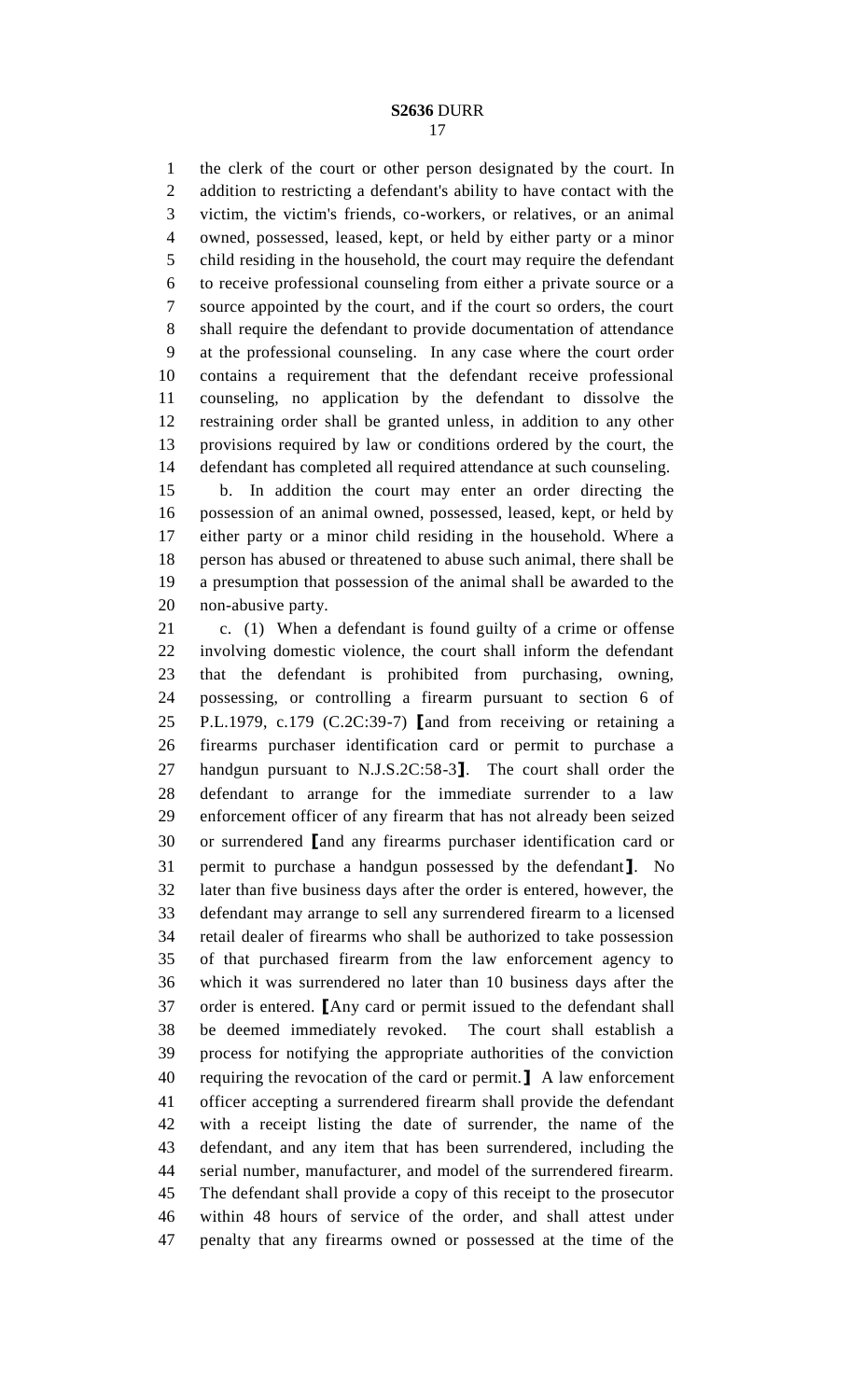the clerk of the court or other person designated by the court. In addition to restricting a defendant's ability to have contact with the victim, the victim's friends, co-workers, or relatives, or an animal owned, possessed, leased, kept, or held by either party or a minor child residing in the household, the court may require the defendant to receive professional counseling from either a private source or a source appointed by the court, and if the court so orders, the court shall require the defendant to provide documentation of attendance at the professional counseling. In any case where the court order contains a requirement that the defendant receive professional counseling, no application by the defendant to dissolve the restraining order shall be granted unless, in addition to any other provisions required by law or conditions ordered by the court, the defendant has completed all required attendance at such counseling.

 b. In addition the court may enter an order directing the possession of an animal owned, possessed, leased, kept, or held by either party or a minor child residing in the household. Where a person has abused or threatened to abuse such animal, there shall be a presumption that possession of the animal shall be awarded to the non-abusive party.

 c. (1) When a defendant is found guilty of a crime or offense involving domestic violence, the court shall inform the defendant that the defendant is prohibited from purchasing, owning, possessing, or controlling a firearm pursuant to section 6 of P.L.1979, c.179 (C.2C:39-7) **[**and from receiving or retaining a firearms purchaser identification card or permit to purchase a handgun pursuant to N.J.S.2C:58-3**]**. The court shall order the defendant to arrange for the immediate surrender to a law enforcement officer of any firearm that has not already been seized or surrendered **[**and any firearms purchaser identification card or permit to purchase a handgun possessed by the defendant**]**. No later than five business days after the order is entered, however, the defendant may arrange to sell any surrendered firearm to a licensed retail dealer of firearms who shall be authorized to take possession of that purchased firearm from the law enforcement agency to which it was surrendered no later than 10 business days after the order is entered. **[**Any card or permit issued to the defendant shall be deemed immediately revoked. The court shall establish a process for notifying the appropriate authorities of the conviction requiring the revocation of the card or permit.**]** A law enforcement officer accepting a surrendered firearm shall provide the defendant with a receipt listing the date of surrender, the name of the defendant, and any item that has been surrendered, including the serial number, manufacturer, and model of the surrendered firearm. The defendant shall provide a copy of this receipt to the prosecutor within 48 hours of service of the order, and shall attest under penalty that any firearms owned or possessed at the time of the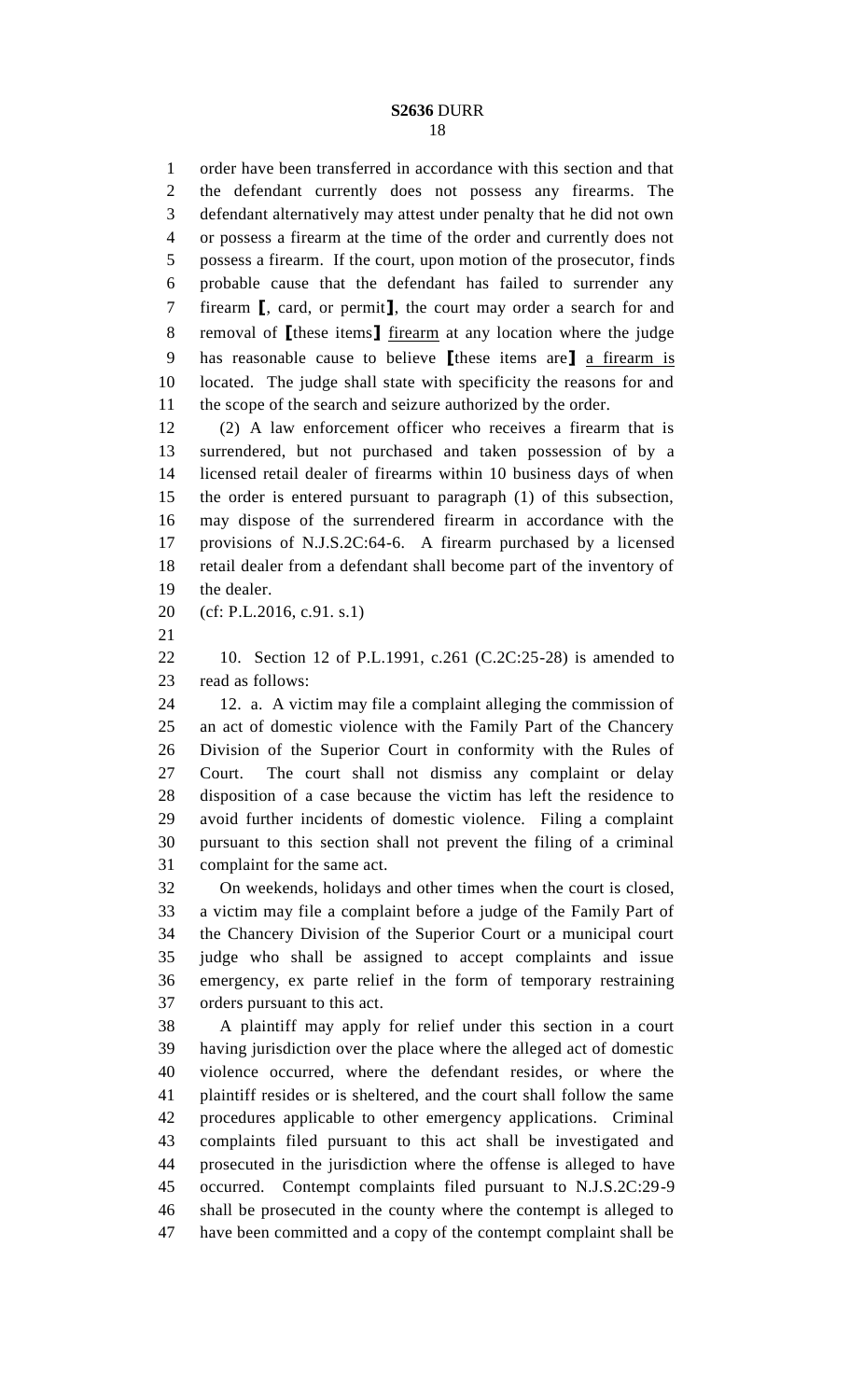order have been transferred in accordance with this section and that the defendant currently does not possess any firearms. The defendant alternatively may attest under penalty that he did not own or possess a firearm at the time of the order and currently does not possess a firearm. If the court, upon motion of the prosecutor, finds probable cause that the defendant has failed to surrender any firearm **[**, card, or permit**]**, the court may order a search for and removal of **[**these items**]** firearm at any location where the judge has reasonable cause to believe **[**these items are**]** a firearm is located. The judge shall state with specificity the reasons for and the scope of the search and seizure authorized by the order.

 (2) A law enforcement officer who receives a firearm that is surrendered, but not purchased and taken possession of by a licensed retail dealer of firearms within 10 business days of when the order is entered pursuant to paragraph (1) of this subsection, may dispose of the surrendered firearm in accordance with the provisions of N.J.S.2C:64-6. A firearm purchased by a licensed retail dealer from a defendant shall become part of the inventory of the dealer.

(cf: P.L.2016, c.91. s.1)

 10. Section 12 of P.L.1991, c.261 (C.2C:25-28) is amended to read as follows:

 12. a. A victim may file a complaint alleging the commission of an act of domestic violence with the Family Part of the Chancery Division of the Superior Court in conformity with the Rules of Court. The court shall not dismiss any complaint or delay disposition of a case because the victim has left the residence to avoid further incidents of domestic violence. Filing a complaint pursuant to this section shall not prevent the filing of a criminal complaint for the same act.

 On weekends, holidays and other times when the court is closed, a victim may file a complaint before a judge of the Family Part of the Chancery Division of the Superior Court or a municipal court judge who shall be assigned to accept complaints and issue emergency, ex parte relief in the form of temporary restraining orders pursuant to this act.

 A plaintiff may apply for relief under this section in a court having jurisdiction over the place where the alleged act of domestic violence occurred, where the defendant resides, or where the plaintiff resides or is sheltered, and the court shall follow the same procedures applicable to other emergency applications. Criminal complaints filed pursuant to this act shall be investigated and prosecuted in the jurisdiction where the offense is alleged to have occurred. Contempt complaints filed pursuant to N.J.S.2C:29-9 shall be prosecuted in the county where the contempt is alleged to have been committed and a copy of the contempt complaint shall be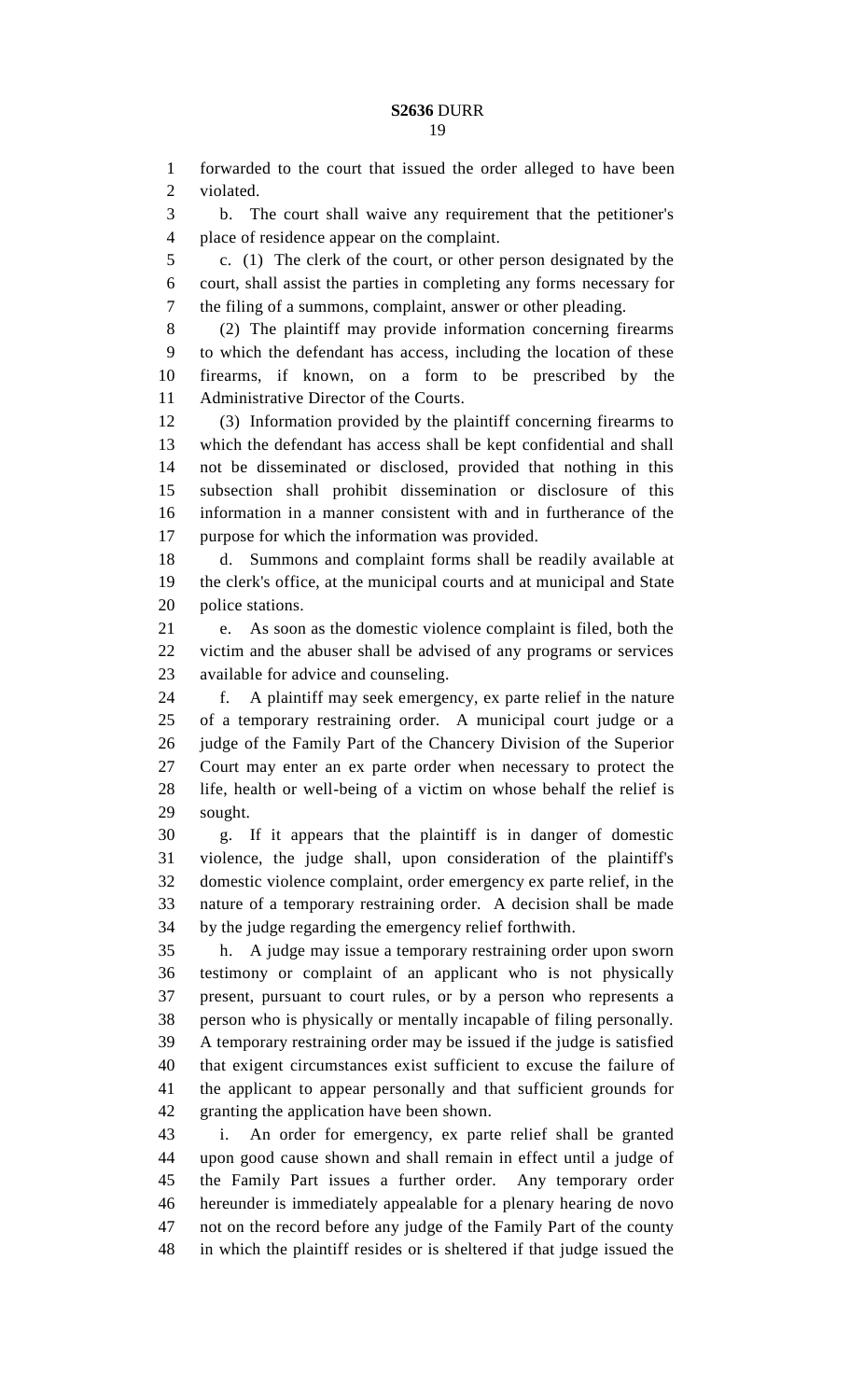forwarded to the court that issued the order alleged to have been violated.

 b. The court shall waive any requirement that the petitioner's place of residence appear on the complaint.

 c. (1) The clerk of the court, or other person designated by the court, shall assist the parties in completing any forms necessary for the filing of a summons, complaint, answer or other pleading.

 (2) The plaintiff may provide information concerning firearms to which the defendant has access, including the location of these firearms, if known, on a form to be prescribed by the Administrative Director of the Courts.

 (3) Information provided by the plaintiff concerning firearms to which the defendant has access shall be kept confidential and shall not be disseminated or disclosed, provided that nothing in this subsection shall prohibit dissemination or disclosure of this information in a manner consistent with and in furtherance of the purpose for which the information was provided.

 d. Summons and complaint forms shall be readily available at the clerk's office, at the municipal courts and at municipal and State police stations.

 e. As soon as the domestic violence complaint is filed, both the victim and the abuser shall be advised of any programs or services available for advice and counseling.

 f. A plaintiff may seek emergency, ex parte relief in the nature of a temporary restraining order. A municipal court judge or a judge of the Family Part of the Chancery Division of the Superior Court may enter an ex parte order when necessary to protect the life, health or well-being of a victim on whose behalf the relief is sought.

 g. If it appears that the plaintiff is in danger of domestic violence, the judge shall, upon consideration of the plaintiff's domestic violence complaint, order emergency ex parte relief, in the nature of a temporary restraining order. A decision shall be made by the judge regarding the emergency relief forthwith.

 h. A judge may issue a temporary restraining order upon sworn testimony or complaint of an applicant who is not physically present, pursuant to court rules, or by a person who represents a person who is physically or mentally incapable of filing personally. A temporary restraining order may be issued if the judge is satisfied that exigent circumstances exist sufficient to excuse the failure of the applicant to appear personally and that sufficient grounds for granting the application have been shown.

 i. An order for emergency, ex parte relief shall be granted upon good cause shown and shall remain in effect until a judge of the Family Part issues a further order. Any temporary order hereunder is immediately appealable for a plenary hearing de novo not on the record before any judge of the Family Part of the county in which the plaintiff resides or is sheltered if that judge issued the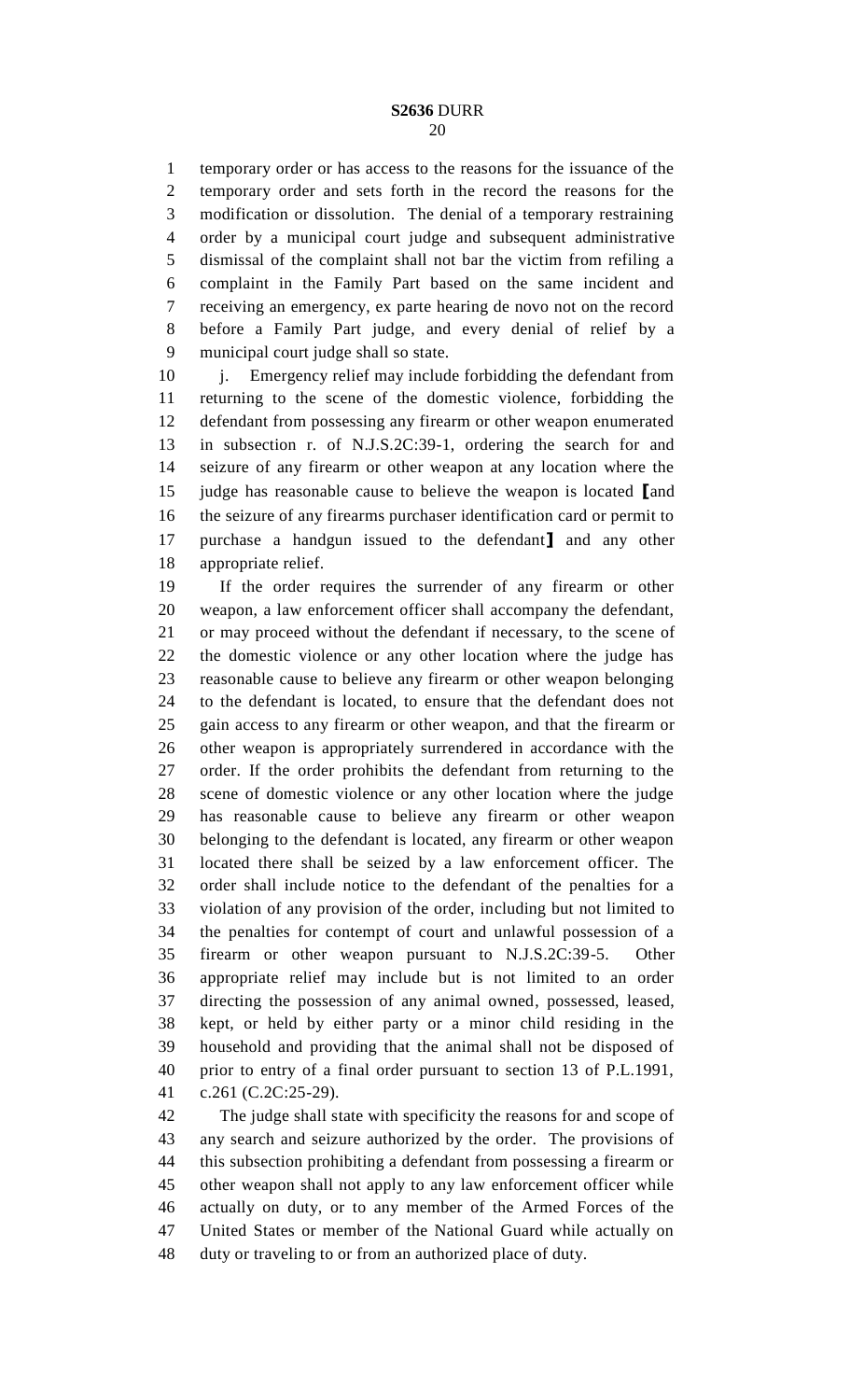temporary order or has access to the reasons for the issuance of the temporary order and sets forth in the record the reasons for the modification or dissolution. The denial of a temporary restraining order by a municipal court judge and subsequent administrative dismissal of the complaint shall not bar the victim from refiling a complaint in the Family Part based on the same incident and receiving an emergency, ex parte hearing de novo not on the record before a Family Part judge, and every denial of relief by a municipal court judge shall so state.

 j. Emergency relief may include forbidding the defendant from returning to the scene of the domestic violence, forbidding the defendant from possessing any firearm or other weapon enumerated in subsection r. of N.J.S.2C:39-1, ordering the search for and seizure of any firearm or other weapon at any location where the judge has reasonable cause to believe the weapon is located **[**and the seizure of any firearms purchaser identification card or permit to purchase a handgun issued to the defendant**]** and any other appropriate relief.

 If the order requires the surrender of any firearm or other weapon, a law enforcement officer shall accompany the defendant, or may proceed without the defendant if necessary, to the scene of the domestic violence or any other location where the judge has reasonable cause to believe any firearm or other weapon belonging to the defendant is located, to ensure that the defendant does not gain access to any firearm or other weapon, and that the firearm or other weapon is appropriately surrendered in accordance with the order. If the order prohibits the defendant from returning to the scene of domestic violence or any other location where the judge has reasonable cause to believe any firearm or other weapon belonging to the defendant is located, any firearm or other weapon located there shall be seized by a law enforcement officer. The order shall include notice to the defendant of the penalties for a violation of any provision of the order, including but not limited to the penalties for contempt of court and unlawful possession of a firearm or other weapon pursuant to N.J.S.2C:39-5. Other appropriate relief may include but is not limited to an order directing the possession of any animal owned, possessed, leased, kept, or held by either party or a minor child residing in the household and providing that the animal shall not be disposed of prior to entry of a final order pursuant to section 13 of P.L.1991, c.261 (C.2C:25-29).

 The judge shall state with specificity the reasons for and scope of any search and seizure authorized by the order. The provisions of this subsection prohibiting a defendant from possessing a firearm or other weapon shall not apply to any law enforcement officer while actually on duty, or to any member of the Armed Forces of the United States or member of the National Guard while actually on duty or traveling to or from an authorized place of duty.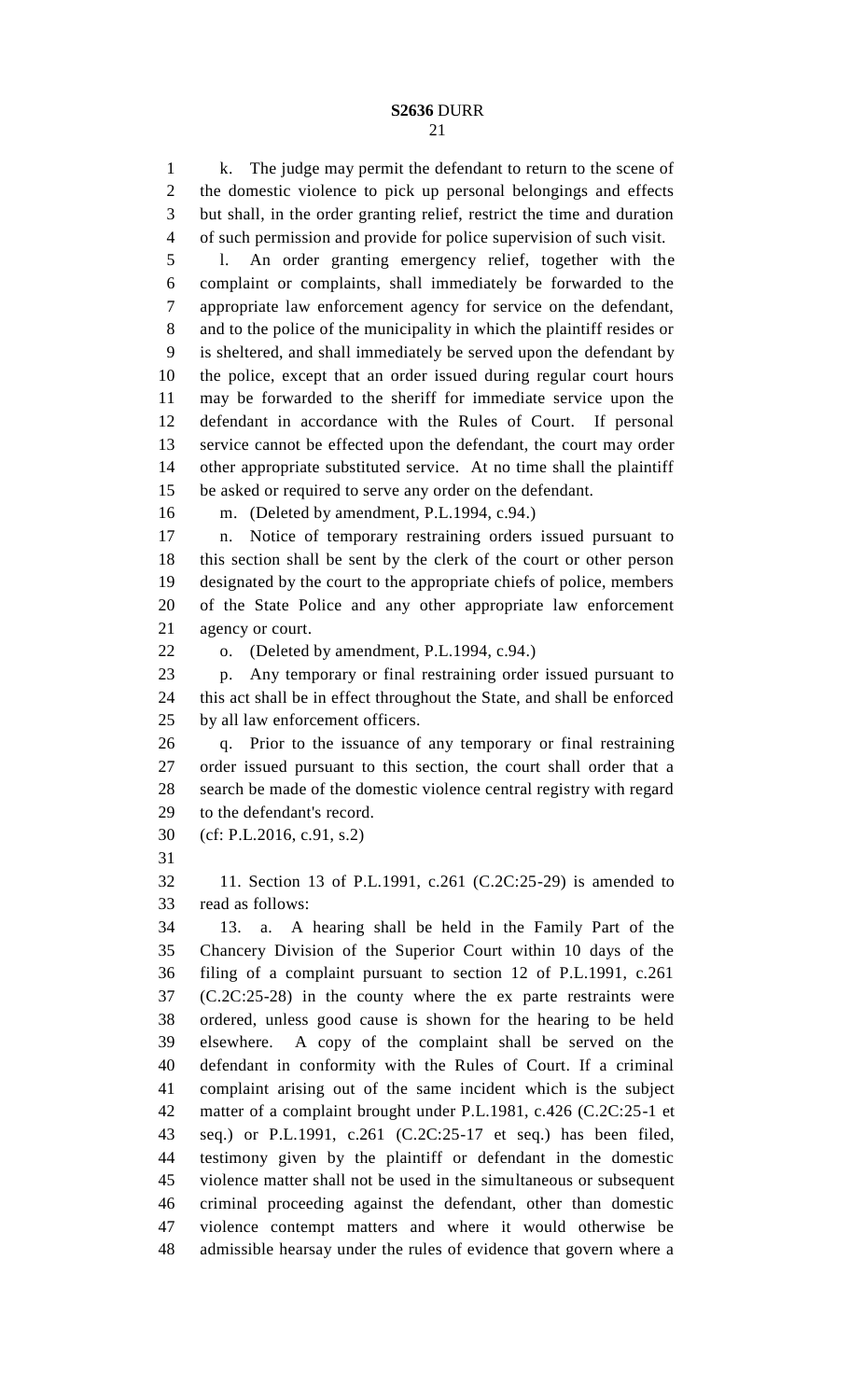k. The judge may permit the defendant to return to the scene of the domestic violence to pick up personal belongings and effects but shall, in the order granting relief, restrict the time and duration of such permission and provide for police supervision of such visit. l. An order granting emergency relief, together with the complaint or complaints, shall immediately be forwarded to the appropriate law enforcement agency for service on the defendant, and to the police of the municipality in which the plaintiff resides or is sheltered, and shall immediately be served upon the defendant by the police, except that an order issued during regular court hours may be forwarded to the sheriff for immediate service upon the defendant in accordance with the Rules of Court. If personal service cannot be effected upon the defendant, the court may order other appropriate substituted service. At no time shall the plaintiff be asked or required to serve any order on the defendant. m. (Deleted by amendment, P.L.1994, c.94.) n. Notice of temporary restraining orders issued pursuant to this section shall be sent by the clerk of the court or other person designated by the court to the appropriate chiefs of police, members of the State Police and any other appropriate law enforcement agency or court. o. (Deleted by amendment, P.L.1994, c.94.) p. Any temporary or final restraining order issued pursuant to this act shall be in effect throughout the State, and shall be enforced by all law enforcement officers. q. Prior to the issuance of any temporary or final restraining order issued pursuant to this section, the court shall order that a search be made of the domestic violence central registry with regard to the defendant's record. (cf: P.L.2016, c.91, s.2) 11. Section 13 of P.L.1991, c.261 (C.2C:25-29) is amended to read as follows: 13. a. A hearing shall be held in the Family Part of the Chancery Division of the Superior Court within 10 days of the filing of a complaint pursuant to section 12 of P.L.1991, c.261 (C.2C:25-28) in the county where the ex parte restraints were ordered, unless good cause is shown for the hearing to be held elsewhere. A copy of the complaint shall be served on the defendant in conformity with the Rules of Court. If a criminal complaint arising out of the same incident which is the subject matter of a complaint brought under P.L.1981, c.426 (C.2C:25-1 et seq.) or P.L.1991, c.261 (C.2C:25-17 et seq.) has been filed, testimony given by the plaintiff or defendant in the domestic violence matter shall not be used in the simultaneous or subsequent criminal proceeding against the defendant, other than domestic violence contempt matters and where it would otherwise be admissible hearsay under the rules of evidence that govern where a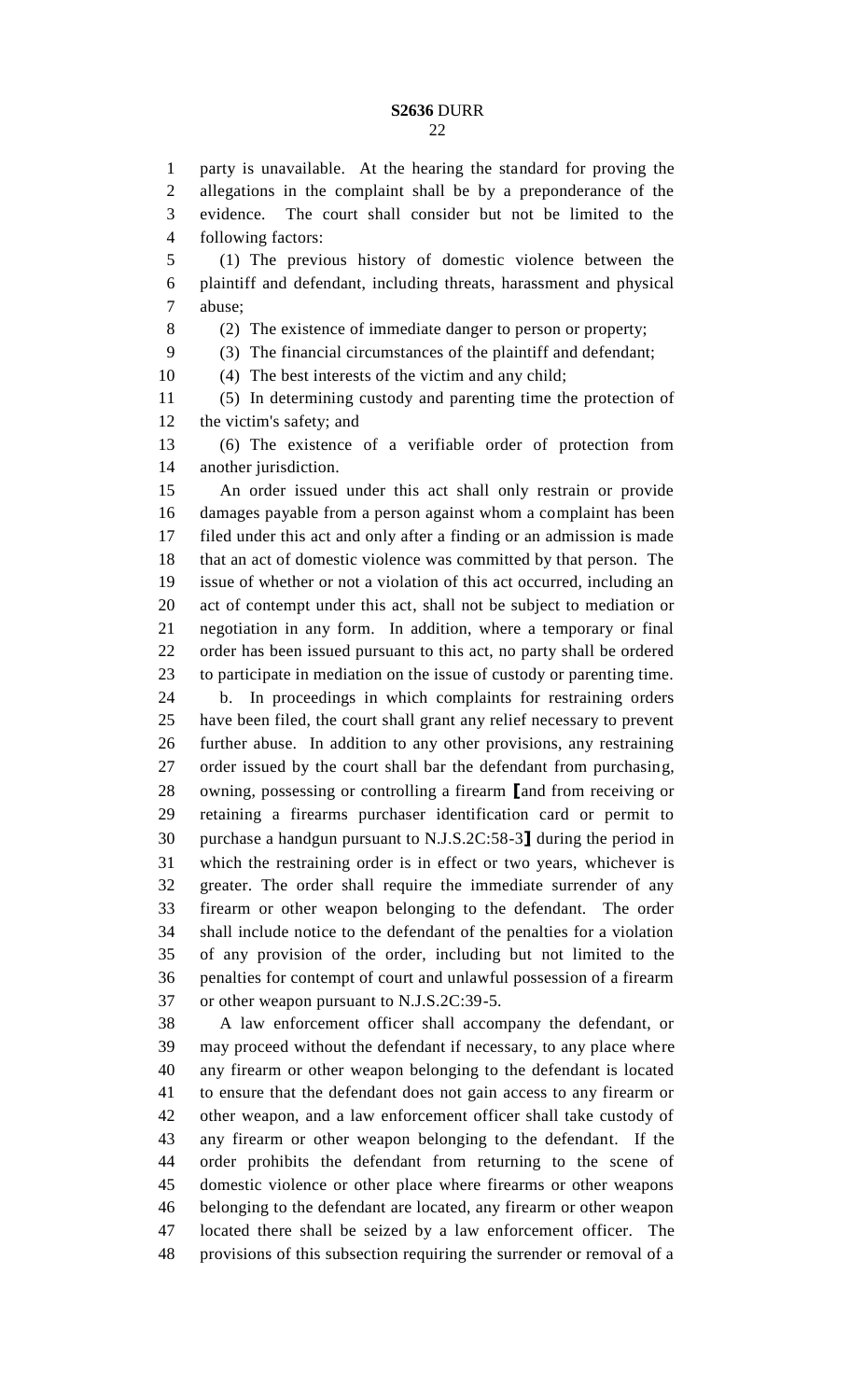party is unavailable. At the hearing the standard for proving the allegations in the complaint shall be by a preponderance of the evidence. The court shall consider but not be limited to the following factors:

 (1) The previous history of domestic violence between the plaintiff and defendant, including threats, harassment and physical abuse;

(2) The existence of immediate danger to person or property;

(3) The financial circumstances of the plaintiff and defendant;

(4) The best interests of the victim and any child;

 (5) In determining custody and parenting time the protection of the victim's safety; and

 (6) The existence of a verifiable order of protection from another jurisdiction.

 An order issued under this act shall only restrain or provide damages payable from a person against whom a complaint has been filed under this act and only after a finding or an admission is made that an act of domestic violence was committed by that person. The issue of whether or not a violation of this act occurred, including an act of contempt under this act, shall not be subject to mediation or negotiation in any form. In addition, where a temporary or final order has been issued pursuant to this act, no party shall be ordered to participate in mediation on the issue of custody or parenting time. b. In proceedings in which complaints for restraining orders have been filed, the court shall grant any relief necessary to prevent further abuse. In addition to any other provisions, any restraining order issued by the court shall bar the defendant from purchasing, owning, possessing or controlling a firearm **[**and from receiving or retaining a firearms purchaser identification card or permit to purchase a handgun pursuant to N.J.S.2C:58-3**]** during the period in which the restraining order is in effect or two years, whichever is greater. The order shall require the immediate surrender of any firearm or other weapon belonging to the defendant. The order shall include notice to the defendant of the penalties for a violation of any provision of the order, including but not limited to the penalties for contempt of court and unlawful possession of a firearm or other weapon pursuant to N.J.S.2C:39-5.

 A law enforcement officer shall accompany the defendant, or may proceed without the defendant if necessary, to any place where any firearm or other weapon belonging to the defendant is located to ensure that the defendant does not gain access to any firearm or other weapon, and a law enforcement officer shall take custody of any firearm or other weapon belonging to the defendant. If the order prohibits the defendant from returning to the scene of domestic violence or other place where firearms or other weapons belonging to the defendant are located, any firearm or other weapon located there shall be seized by a law enforcement officer. The provisions of this subsection requiring the surrender or removal of a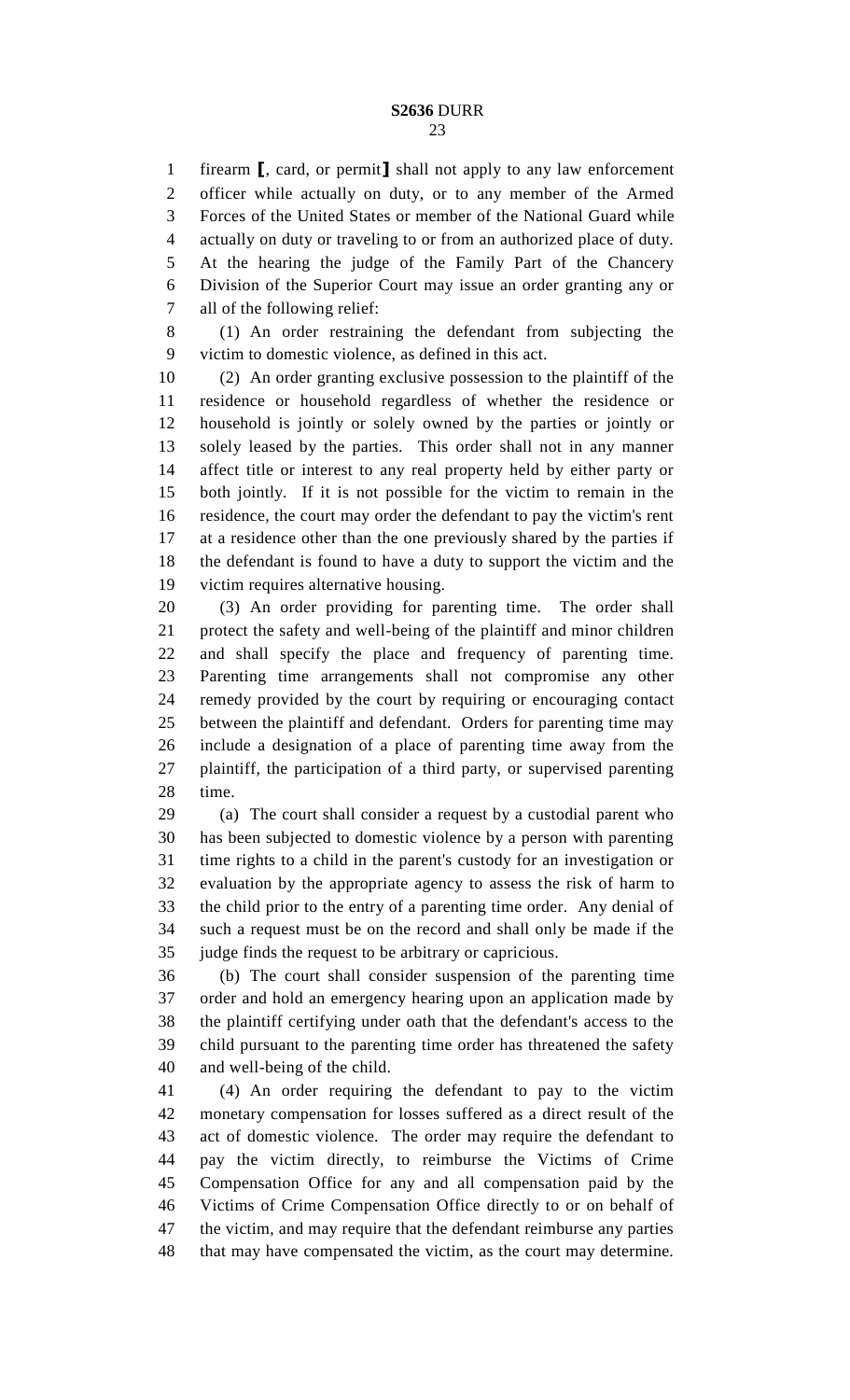firearm **[**, card, or permit**]** shall not apply to any law enforcement officer while actually on duty, or to any member of the Armed Forces of the United States or member of the National Guard while actually on duty or traveling to or from an authorized place of duty. At the hearing the judge of the Family Part of the Chancery Division of the Superior Court may issue an order granting any or all of the following relief:

 (1) An order restraining the defendant from subjecting the victim to domestic violence, as defined in this act.

 (2) An order granting exclusive possession to the plaintiff of the residence or household regardless of whether the residence or household is jointly or solely owned by the parties or jointly or solely leased by the parties. This order shall not in any manner affect title or interest to any real property held by either party or both jointly. If it is not possible for the victim to remain in the residence, the court may order the defendant to pay the victim's rent at a residence other than the one previously shared by the parties if the defendant is found to have a duty to support the victim and the victim requires alternative housing.

 (3) An order providing for parenting time. The order shall protect the safety and well-being of the plaintiff and minor children and shall specify the place and frequency of parenting time. Parenting time arrangements shall not compromise any other remedy provided by the court by requiring or encouraging contact between the plaintiff and defendant. Orders for parenting time may include a designation of a place of parenting time away from the plaintiff, the participation of a third party, or supervised parenting time.

 (a) The court shall consider a request by a custodial parent who has been subjected to domestic violence by a person with parenting time rights to a child in the parent's custody for an investigation or evaluation by the appropriate agency to assess the risk of harm to the child prior to the entry of a parenting time order. Any denial of such a request must be on the record and shall only be made if the judge finds the request to be arbitrary or capricious.

 (b) The court shall consider suspension of the parenting time order and hold an emergency hearing upon an application made by the plaintiff certifying under oath that the defendant's access to the child pursuant to the parenting time order has threatened the safety and well-being of the child.

 (4) An order requiring the defendant to pay to the victim monetary compensation for losses suffered as a direct result of the act of domestic violence. The order may require the defendant to pay the victim directly, to reimburse the Victims of Crime Compensation Office for any and all compensation paid by the Victims of Crime Compensation Office directly to or on behalf of the victim, and may require that the defendant reimburse any parties that may have compensated the victim, as the court may determine.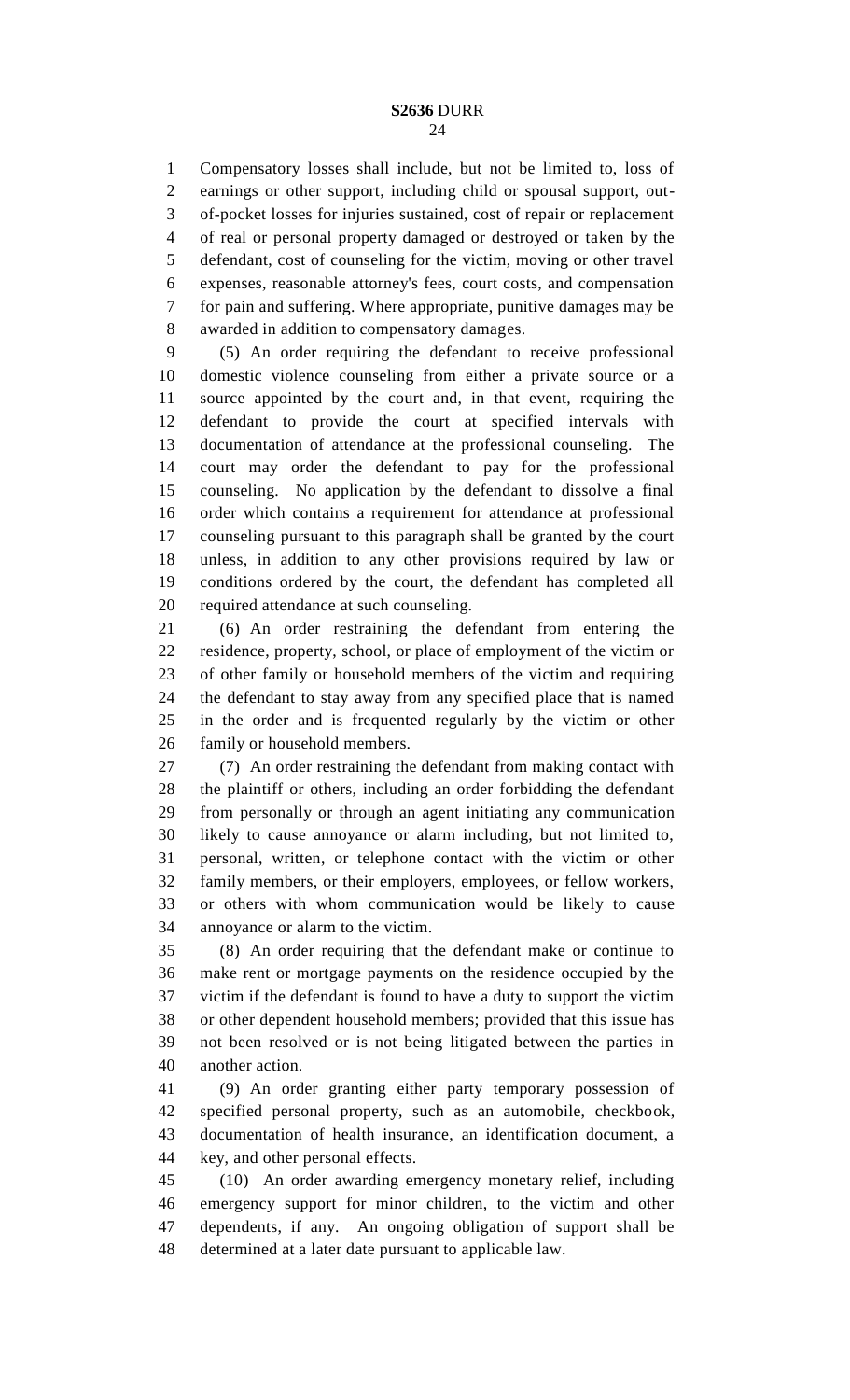Compensatory losses shall include, but not be limited to, loss of earnings or other support, including child or spousal support, out- of-pocket losses for injuries sustained, cost of repair or replacement of real or personal property damaged or destroyed or taken by the defendant, cost of counseling for the victim, moving or other travel expenses, reasonable attorney's fees, court costs, and compensation for pain and suffering. Where appropriate, punitive damages may be awarded in addition to compensatory damages.

 (5) An order requiring the defendant to receive professional domestic violence counseling from either a private source or a source appointed by the court and, in that event, requiring the defendant to provide the court at specified intervals with documentation of attendance at the professional counseling. The court may order the defendant to pay for the professional counseling. No application by the defendant to dissolve a final order which contains a requirement for attendance at professional counseling pursuant to this paragraph shall be granted by the court unless, in addition to any other provisions required by law or conditions ordered by the court, the defendant has completed all required attendance at such counseling.

 (6) An order restraining the defendant from entering the residence, property, school, or place of employment of the victim or of other family or household members of the victim and requiring the defendant to stay away from any specified place that is named in the order and is frequented regularly by the victim or other family or household members.

 (7) An order restraining the defendant from making contact with the plaintiff or others, including an order forbidding the defendant from personally or through an agent initiating any communication likely to cause annoyance or alarm including, but not limited to, personal, written, or telephone contact with the victim or other family members, or their employers, employees, or fellow workers, or others with whom communication would be likely to cause annoyance or alarm to the victim.

 (8) An order requiring that the defendant make or continue to make rent or mortgage payments on the residence occupied by the victim if the defendant is found to have a duty to support the victim or other dependent household members; provided that this issue has not been resolved or is not being litigated between the parties in another action.

 (9) An order granting either party temporary possession of specified personal property, such as an automobile, checkbook, documentation of health insurance, an identification document, a key, and other personal effects.

 (10) An order awarding emergency monetary relief, including emergency support for minor children, to the victim and other dependents, if any. An ongoing obligation of support shall be determined at a later date pursuant to applicable law.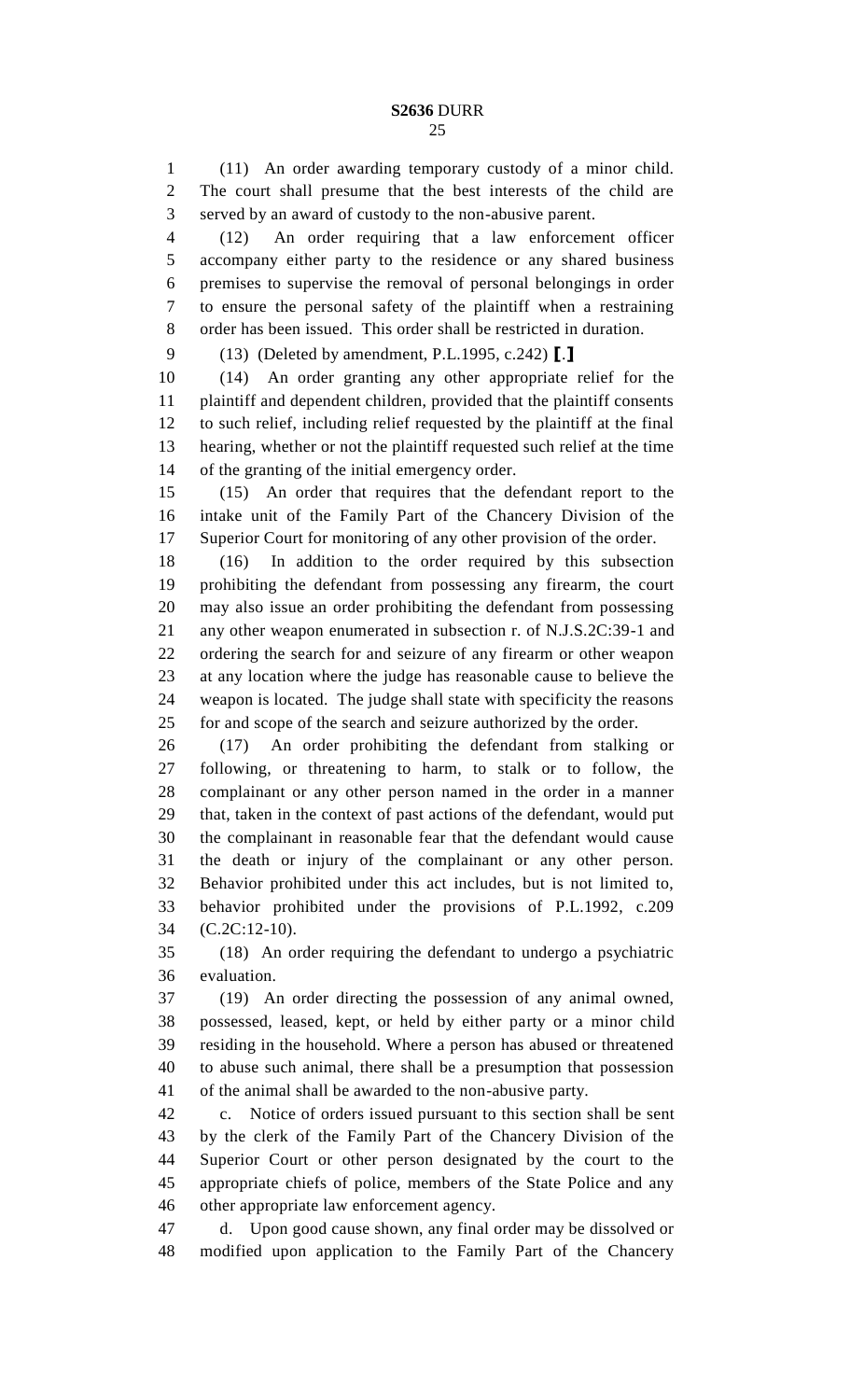(11) An order awarding temporary custody of a minor child. The court shall presume that the best interests of the child are served by an award of custody to the non-abusive parent.

 (12) An order requiring that a law enforcement officer accompany either party to the residence or any shared business premises to supervise the removal of personal belongings in order to ensure the personal safety of the plaintiff when a restraining order has been issued. This order shall be restricted in duration.

(13) (Deleted by amendment, P.L.1995, c.242) **[**.**]**

 (14) An order granting any other appropriate relief for the plaintiff and dependent children, provided that the plaintiff consents to such relief, including relief requested by the plaintiff at the final hearing, whether or not the plaintiff requested such relief at the time of the granting of the initial emergency order.

 (15) An order that requires that the defendant report to the intake unit of the Family Part of the Chancery Division of the Superior Court for monitoring of any other provision of the order.

 (16) In addition to the order required by this subsection prohibiting the defendant from possessing any firearm, the court may also issue an order prohibiting the defendant from possessing any other weapon enumerated in subsection r. of N.J.S.2C:39-1 and ordering the search for and seizure of any firearm or other weapon at any location where the judge has reasonable cause to believe the weapon is located. The judge shall state with specificity the reasons for and scope of the search and seizure authorized by the order.

 (17) An order prohibiting the defendant from stalking or following, or threatening to harm, to stalk or to follow, the complainant or any other person named in the order in a manner that, taken in the context of past actions of the defendant, would put the complainant in reasonable fear that the defendant would cause the death or injury of the complainant or any other person. Behavior prohibited under this act includes, but is not limited to, behavior prohibited under the provisions of P.L.1992, c.209 (C.2C:12-10).

 (18) An order requiring the defendant to undergo a psychiatric evaluation.

 (19) An order directing the possession of any animal owned, possessed, leased, kept, or held by either party or a minor child residing in the household. Where a person has abused or threatened to abuse such animal, there shall be a presumption that possession of the animal shall be awarded to the non-abusive party.

 c. Notice of orders issued pursuant to this section shall be sent by the clerk of the Family Part of the Chancery Division of the Superior Court or other person designated by the court to the appropriate chiefs of police, members of the State Police and any other appropriate law enforcement agency.

 d. Upon good cause shown, any final order may be dissolved or modified upon application to the Family Part of the Chancery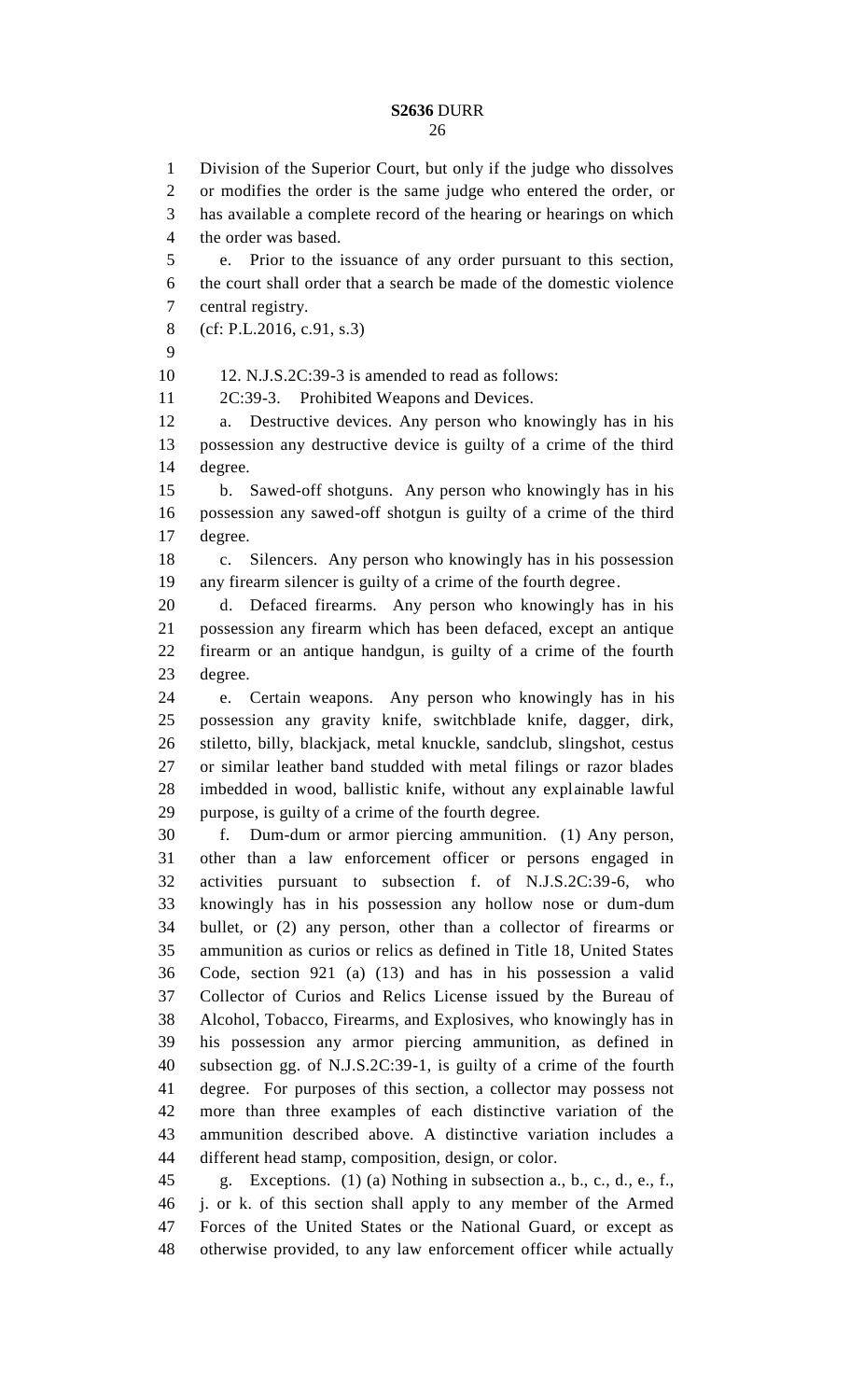Division of the Superior Court, but only if the judge who dissolves or modifies the order is the same judge who entered the order, or has available a complete record of the hearing or hearings on which the order was based. e. Prior to the issuance of any order pursuant to this section, the court shall order that a search be made of the domestic violence central registry. (cf: P.L.2016, c.91, s.3) 12. N.J.S.2C:39-3 is amended to read as follows: 2C:39-3. Prohibited Weapons and Devices. a. Destructive devices. Any person who knowingly has in his possession any destructive device is guilty of a crime of the third degree. b. Sawed-off shotguns. Any person who knowingly has in his possession any sawed-off shotgun is guilty of a crime of the third degree. c. Silencers. Any person who knowingly has in his possession any firearm silencer is guilty of a crime of the fourth degree. d. Defaced firearms. Any person who knowingly has in his possession any firearm which has been defaced, except an antique firearm or an antique handgun, is guilty of a crime of the fourth degree. e. Certain weapons. Any person who knowingly has in his possession any gravity knife, switchblade knife, dagger, dirk, stiletto, billy, blackjack, metal knuckle, sandclub, slingshot, cestus or similar leather band studded with metal filings or razor blades imbedded in wood, ballistic knife, without any explainable lawful purpose, is guilty of a crime of the fourth degree. f. Dum-dum or armor piercing ammunition. (1) Any person, other than a law enforcement officer or persons engaged in activities pursuant to subsection f. of N.J.S.2C:39-6, who knowingly has in his possession any hollow nose or dum-dum bullet, or (2) any person, other than a collector of firearms or ammunition as curios or relics as defined in Title 18, United States Code, section 921 (a) (13) and has in his possession a valid Collector of Curios and Relics License issued by the Bureau of Alcohol, Tobacco, Firearms, and Explosives, who knowingly has in his possession any armor piercing ammunition, as defined in subsection gg. of N.J.S.2C:39-1, is guilty of a crime of the fourth degree. For purposes of this section, a collector may possess not more than three examples of each distinctive variation of the ammunition described above. A distinctive variation includes a different head stamp, composition, design, or color. g. Exceptions. (1) (a) Nothing in subsection a., b., c., d., e., f., j. or k. of this section shall apply to any member of the Armed Forces of the United States or the National Guard, or except as otherwise provided, to any law enforcement officer while actually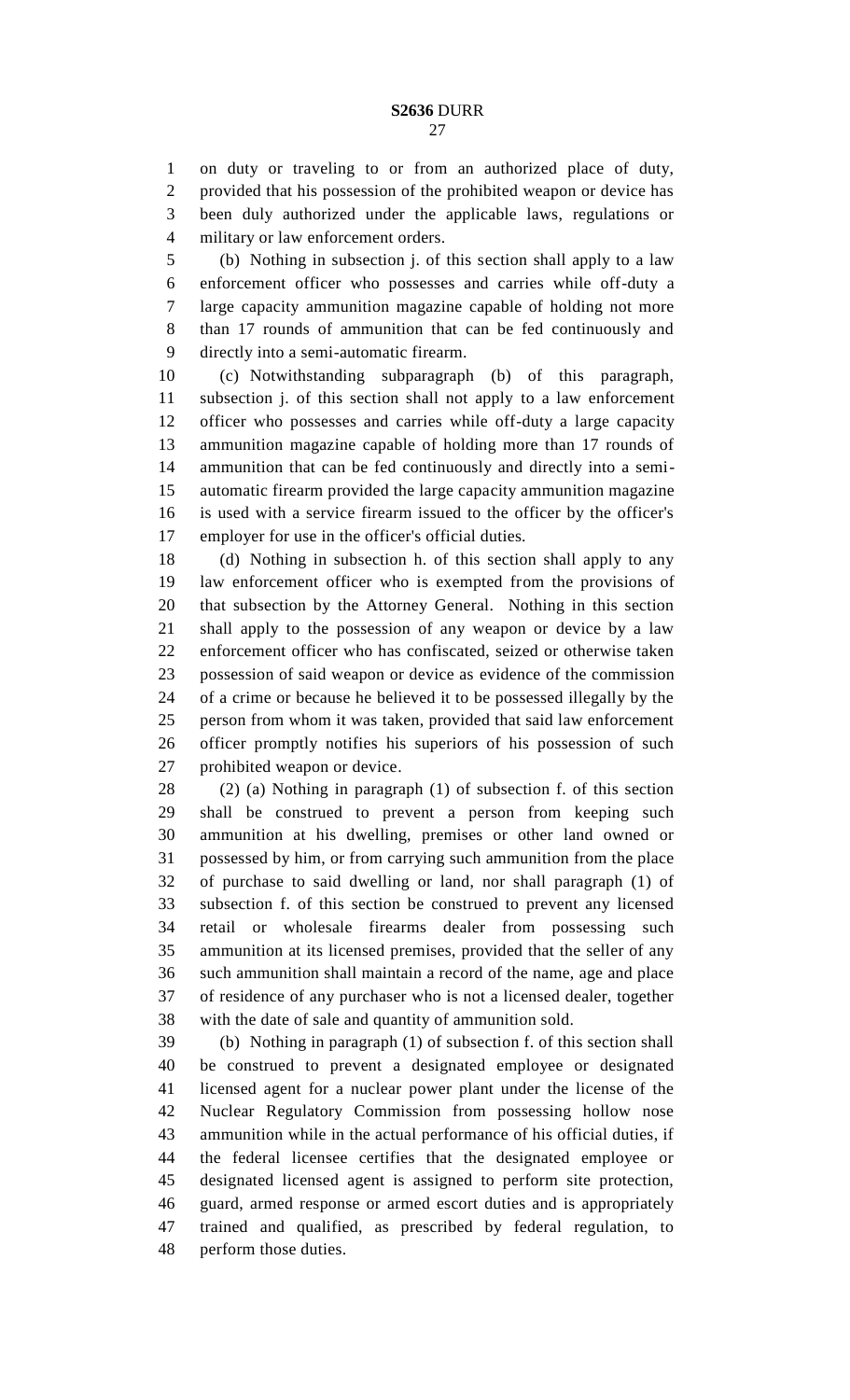on duty or traveling to or from an authorized place of duty, provided that his possession of the prohibited weapon or device has been duly authorized under the applicable laws, regulations or military or law enforcement orders.

 (b) Nothing in subsection j. of this section shall apply to a law enforcement officer who possesses and carries while off-duty a large capacity ammunition magazine capable of holding not more than 17 rounds of ammunition that can be fed continuously and directly into a semi-automatic firearm.

 (c) Notwithstanding subparagraph (b) of this paragraph, subsection j. of this section shall not apply to a law enforcement officer who possesses and carries while off-duty a large capacity ammunition magazine capable of holding more than 17 rounds of ammunition that can be fed continuously and directly into a semi- automatic firearm provided the large capacity ammunition magazine is used with a service firearm issued to the officer by the officer's employer for use in the officer's official duties.

 (d) Nothing in subsection h. of this section shall apply to any law enforcement officer who is exempted from the provisions of that subsection by the Attorney General. Nothing in this section shall apply to the possession of any weapon or device by a law enforcement officer who has confiscated, seized or otherwise taken possession of said weapon or device as evidence of the commission of a crime or because he believed it to be possessed illegally by the person from whom it was taken, provided that said law enforcement officer promptly notifies his superiors of his possession of such prohibited weapon or device.

 (2) (a) Nothing in paragraph (1) of subsection f. of this section shall be construed to prevent a person from keeping such ammunition at his dwelling, premises or other land owned or possessed by him, or from carrying such ammunition from the place of purchase to said dwelling or land, nor shall paragraph (1) of subsection f. of this section be construed to prevent any licensed retail or wholesale firearms dealer from possessing such ammunition at its licensed premises, provided that the seller of any such ammunition shall maintain a record of the name, age and place of residence of any purchaser who is not a licensed dealer, together with the date of sale and quantity of ammunition sold.

 (b) Nothing in paragraph (1) of subsection f. of this section shall be construed to prevent a designated employee or designated licensed agent for a nuclear power plant under the license of the Nuclear Regulatory Commission from possessing hollow nose ammunition while in the actual performance of his official duties, if the federal licensee certifies that the designated employee or designated licensed agent is assigned to perform site protection, guard, armed response or armed escort duties and is appropriately trained and qualified, as prescribed by federal regulation, to perform those duties.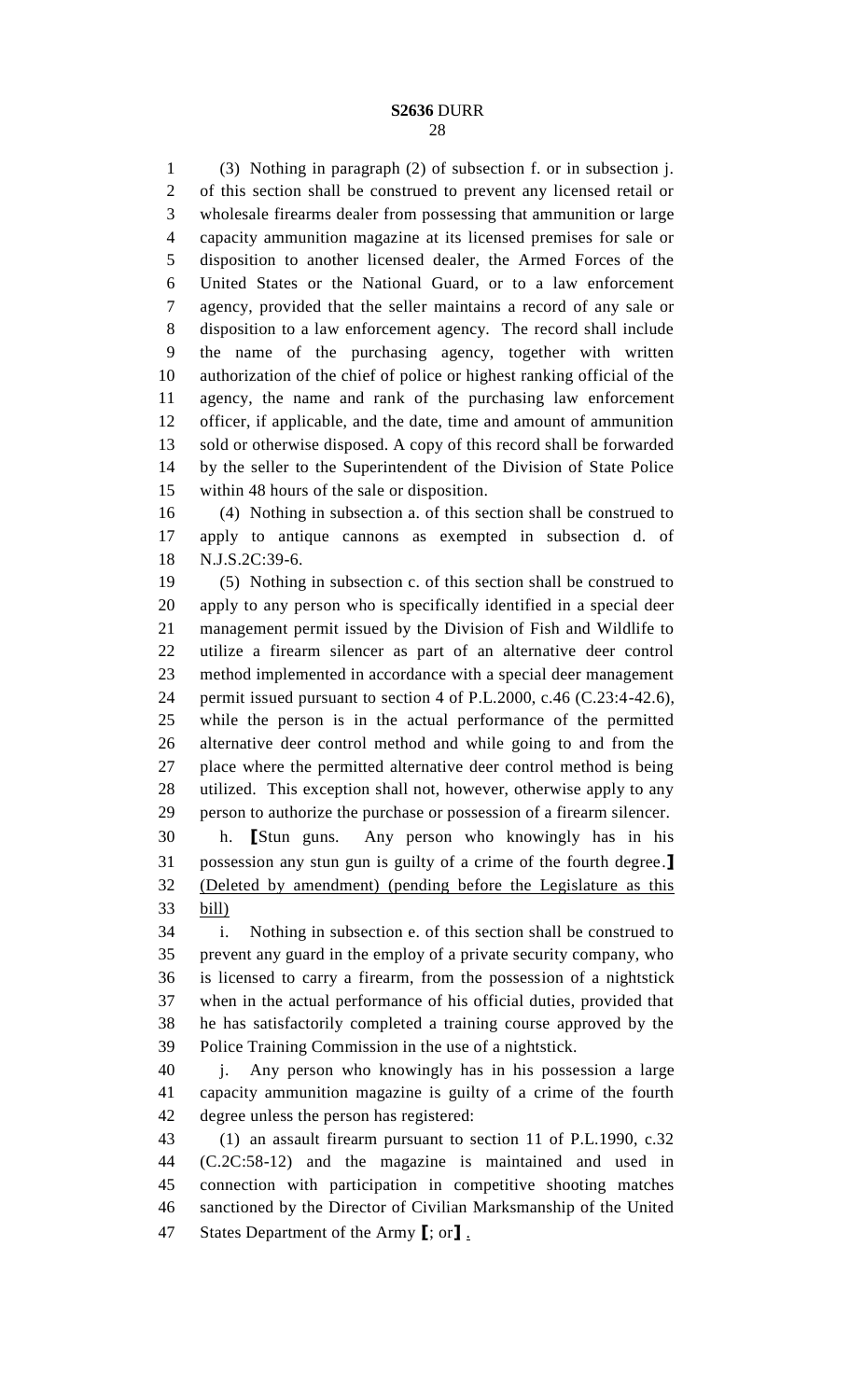(3) Nothing in paragraph (2) of subsection f. or in subsection j. of this section shall be construed to prevent any licensed retail or wholesale firearms dealer from possessing that ammunition or large capacity ammunition magazine at its licensed premises for sale or disposition to another licensed dealer, the Armed Forces of the United States or the National Guard, or to a law enforcement agency, provided that the seller maintains a record of any sale or disposition to a law enforcement agency. The record shall include the name of the purchasing agency, together with written authorization of the chief of police or highest ranking official of the agency, the name and rank of the purchasing law enforcement officer, if applicable, and the date, time and amount of ammunition sold or otherwise disposed. A copy of this record shall be forwarded by the seller to the Superintendent of the Division of State Police within 48 hours of the sale or disposition.

 (4) Nothing in subsection a. of this section shall be construed to apply to antique cannons as exempted in subsection d. of N.J.S.2C:39-6.

 (5) Nothing in subsection c. of this section shall be construed to apply to any person who is specifically identified in a special deer management permit issued by the Division of Fish and Wildlife to utilize a firearm silencer as part of an alternative deer control method implemented in accordance with a special deer management permit issued pursuant to section 4 of P.L.2000, c.46 (C.23:4-42.6), while the person is in the actual performance of the permitted alternative deer control method and while going to and from the place where the permitted alternative deer control method is being utilized. This exception shall not, however, otherwise apply to any person to authorize the purchase or possession of a firearm silencer.

 h. **[**Stun guns. Any person who knowingly has in his possession any stun gun is guilty of a crime of the fourth degree.**]** (Deleted by amendment) (pending before the Legislature as this bill)

 i. Nothing in subsection e. of this section shall be construed to prevent any guard in the employ of a private security company, who is licensed to carry a firearm, from the possession of a nightstick when in the actual performance of his official duties, provided that he has satisfactorily completed a training course approved by the Police Training Commission in the use of a nightstick.

 j. Any person who knowingly has in his possession a large capacity ammunition magazine is guilty of a crime of the fourth degree unless the person has registered:

 (1) an assault firearm pursuant to section 11 of P.L.1990, c.32 (C.2C:58-12) and the magazine is maintained and used in connection with participation in competitive shooting matches sanctioned by the Director of Civilian Marksmanship of the United States Department of the Army **[**; or**]** .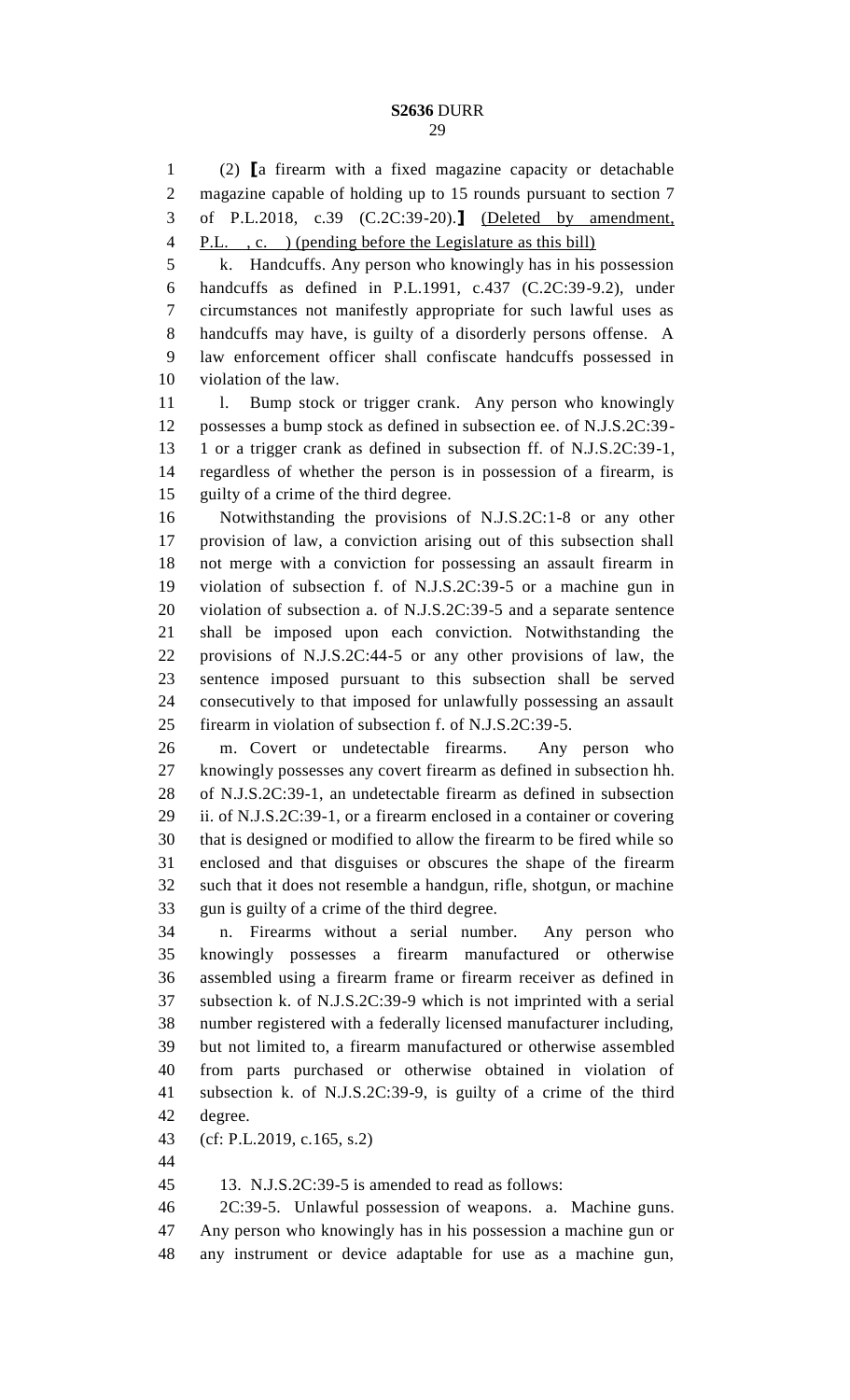(2) **[**a firearm with a fixed magazine capacity or detachable magazine capable of holding up to 15 rounds pursuant to section 7 of P.L.2018, c.39 (C.2C:39-20).**]** (Deleted by amendment, P.L. , c. ) (pending before the Legislature as this bill)

 k. Handcuffs. Any person who knowingly has in his possession handcuffs as defined in P.L.1991, c.437 (C.2C:39-9.2), under circumstances not manifestly appropriate for such lawful uses as handcuffs may have, is guilty of a disorderly persons offense. A law enforcement officer shall confiscate handcuffs possessed in violation of the law.

11 l. Bump stock or trigger crank. Any person who knowingly possesses a bump stock as defined in subsection ee. of N.J.S.2C:39- 1 or a trigger crank as defined in subsection ff. of N.J.S.2C:39-1, regardless of whether the person is in possession of a firearm, is guilty of a crime of the third degree.

 Notwithstanding the provisions of N.J.S.2C:1-8 or any other provision of law, a conviction arising out of this subsection shall not merge with a conviction for possessing an assault firearm in violation of subsection f. of N.J.S.2C:39-5 or a machine gun in violation of subsection a. of N.J.S.2C:39-5 and a separate sentence shall be imposed upon each conviction. Notwithstanding the provisions of N.J.S.2C:44-5 or any other provisions of law, the sentence imposed pursuant to this subsection shall be served consecutively to that imposed for unlawfully possessing an assault firearm in violation of subsection f. of N.J.S.2C:39-5.

 m. Covert or undetectable firearms. Any person who knowingly possesses any covert firearm as defined in subsection hh. of N.J.S.2C:39-1, an undetectable firearm as defined in subsection ii. of N.J.S.2C:39-1, or a firearm enclosed in a container or covering that is designed or modified to allow the firearm to be fired while so enclosed and that disguises or obscures the shape of the firearm such that it does not resemble a handgun, rifle, shotgun, or machine gun is guilty of a crime of the third degree.

 n. Firearms without a serial number. Any person who knowingly possesses a firearm manufactured or otherwise assembled using a firearm frame or firearm receiver as defined in subsection k. of N.J.S.2C:39-9 which is not imprinted with a serial number registered with a federally licensed manufacturer including, but not limited to, a firearm manufactured or otherwise assembled from parts purchased or otherwise obtained in violation of subsection k. of N.J.S.2C:39-9, is guilty of a crime of the third degree.

(cf: P.L.2019, c.165, s.2)

13. N.J.S.2C:39-5 is amended to read as follows:

2C:39-5. Unlawful possession of weapons. a. Machine guns.

 Any person who knowingly has in his possession a machine gun or any instrument or device adaptable for use as a machine gun,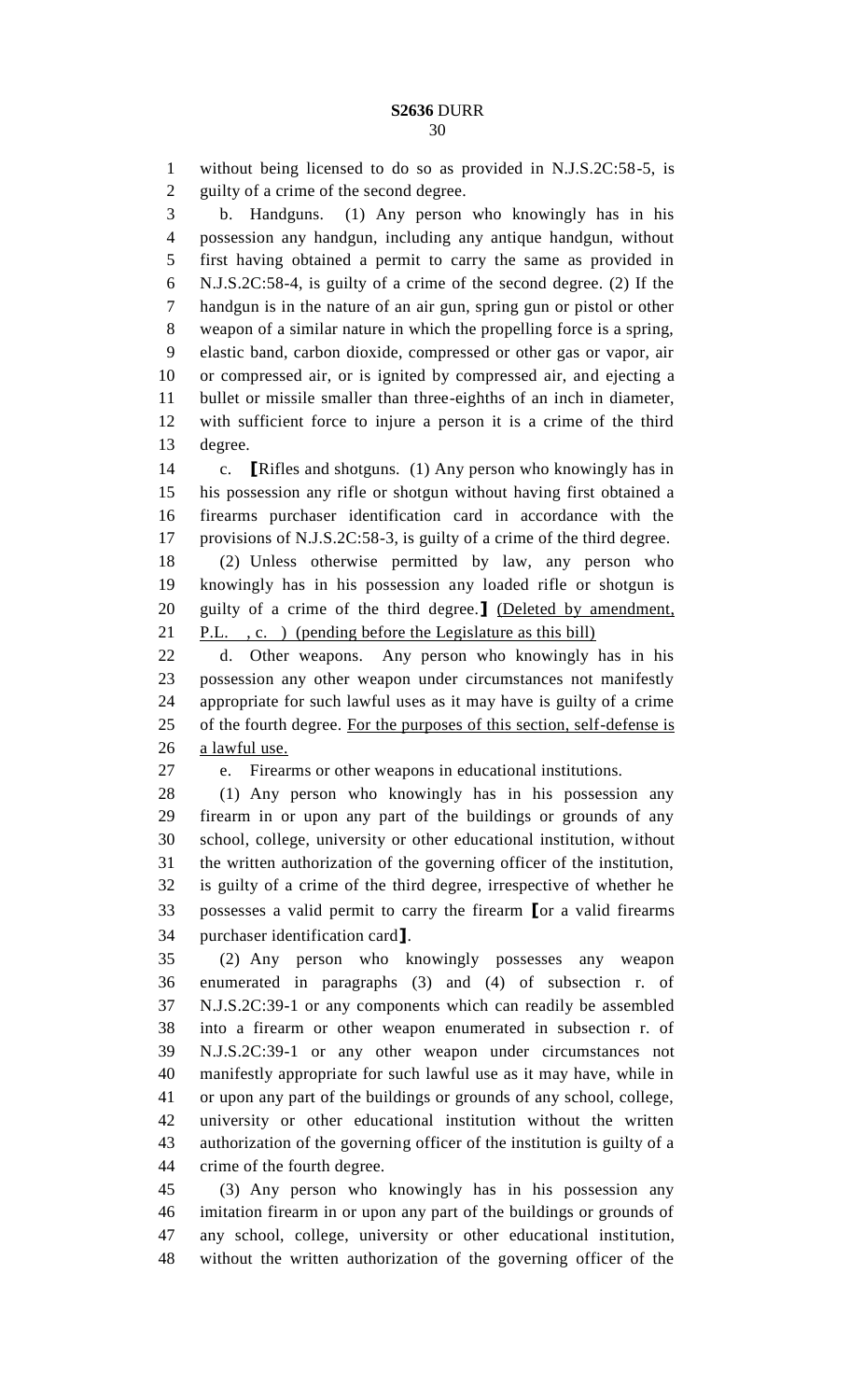without being licensed to do so as provided in N.J.S.2C:58-5, is guilty of a crime of the second degree. b. Handguns. (1) Any person who knowingly has in his possession any handgun, including any antique handgun, without first having obtained a permit to carry the same as provided in N.J.S.2C:58-4, is guilty of a crime of the second degree. (2) If the handgun is in the nature of an air gun, spring gun or pistol or other weapon of a similar nature in which the propelling force is a spring, elastic band, carbon dioxide, compressed or other gas or vapor, air or compressed air, or is ignited by compressed air, and ejecting a bullet or missile smaller than three-eighths of an inch in diameter, with sufficient force to injure a person it is a crime of the third degree.

 c. **[**Rifles and shotguns. (1) Any person who knowingly has in his possession any rifle or shotgun without having first obtained a firearms purchaser identification card in accordance with the provisions of N.J.S.2C:58-3, is guilty of a crime of the third degree.

 (2) Unless otherwise permitted by law, any person who knowingly has in his possession any loaded rifle or shotgun is guilty of a crime of the third degree.**]** (Deleted by amendment, 21 P.L., c. ) (pending before the Legislature as this bill)

 d. Other weapons. Any person who knowingly has in his possession any other weapon under circumstances not manifestly appropriate for such lawful uses as it may have is guilty of a crime of the fourth degree. For the purposes of this section, self-defense is a lawful use.

e. Firearms or other weapons in educational institutions.

 (1) Any person who knowingly has in his possession any firearm in or upon any part of the buildings or grounds of any school, college, university or other educational institution, without the written authorization of the governing officer of the institution, is guilty of a crime of the third degree, irrespective of whether he possesses a valid permit to carry the firearm **[**or a valid firearms purchaser identification card**]**.

 (2) Any person who knowingly possesses any weapon enumerated in paragraphs (3) and (4) of subsection r. of N.J.S.2C:39-1 or any components which can readily be assembled into a firearm or other weapon enumerated in subsection r. of N.J.S.2C:39-1 or any other weapon under circumstances not manifestly appropriate for such lawful use as it may have, while in or upon any part of the buildings or grounds of any school, college, university or other educational institution without the written authorization of the governing officer of the institution is guilty of a crime of the fourth degree.

 (3) Any person who knowingly has in his possession any imitation firearm in or upon any part of the buildings or grounds of any school, college, university or other educational institution, without the written authorization of the governing officer of the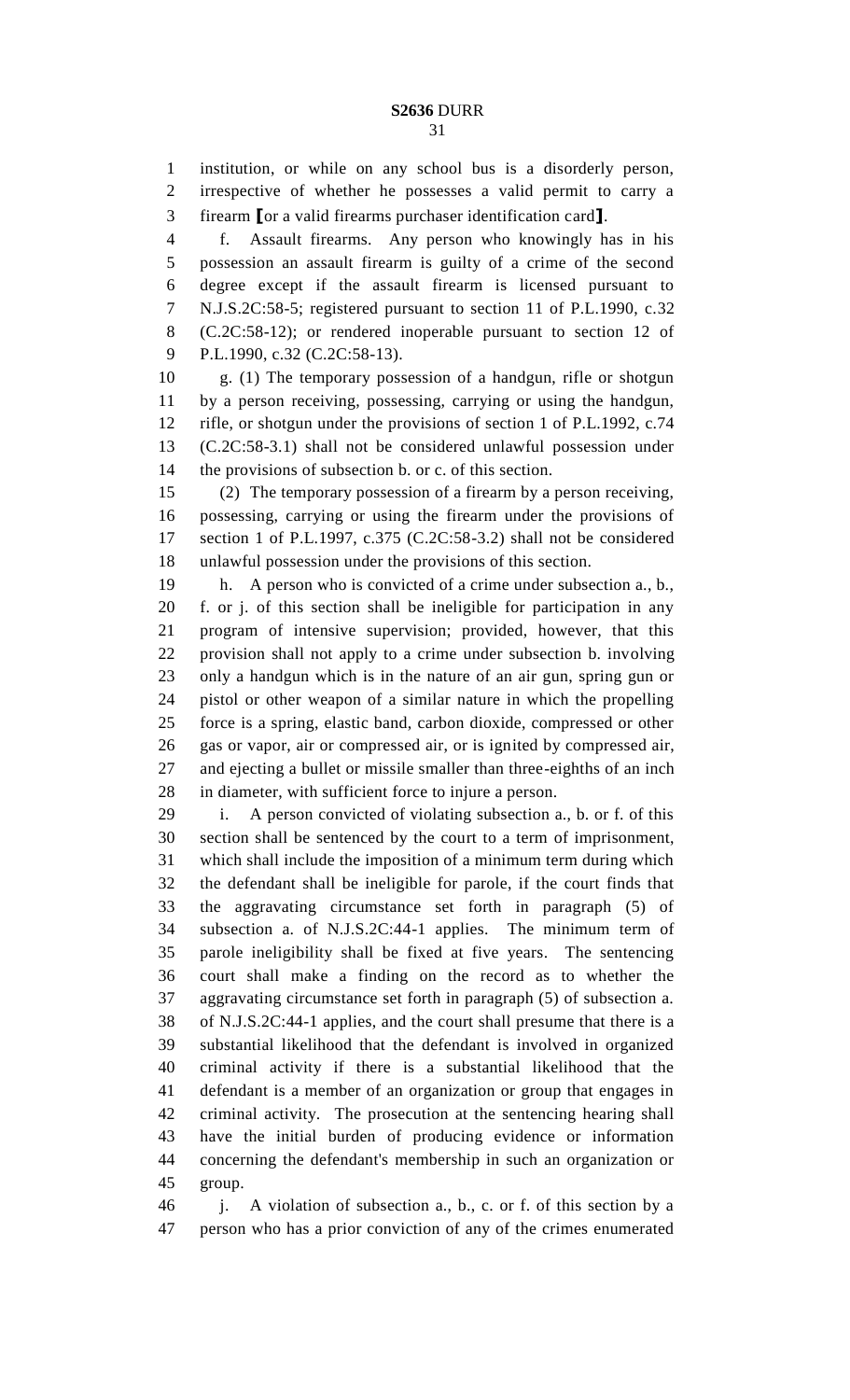institution, or while on any school bus is a disorderly person, irrespective of whether he possesses a valid permit to carry a firearm **[**or a valid firearms purchaser identification card**]**.

 f. Assault firearms. Any person who knowingly has in his possession an assault firearm is guilty of a crime of the second degree except if the assault firearm is licensed pursuant to N.J.S.2C:58-5; registered pursuant to section 11 of P.L.1990, c.32 (C.2C:58-12); or rendered inoperable pursuant to section 12 of P.L.1990, c.32 (C.2C:58-13).

 g. (1) The temporary possession of a handgun, rifle or shotgun by a person receiving, possessing, carrying or using the handgun, rifle, or shotgun under the provisions of section 1 of P.L.1992, c.74 (C.2C:58-3.1) shall not be considered unlawful possession under the provisions of subsection b. or c. of this section.

 (2) The temporary possession of a firearm by a person receiving, possessing, carrying or using the firearm under the provisions of section 1 of P.L.1997, c.375 (C.2C:58-3.2) shall not be considered unlawful possession under the provisions of this section.

 h. A person who is convicted of a crime under subsection a., b., f. or j. of this section shall be ineligible for participation in any program of intensive supervision; provided, however, that this provision shall not apply to a crime under subsection b. involving only a handgun which is in the nature of an air gun, spring gun or pistol or other weapon of a similar nature in which the propelling force is a spring, elastic band, carbon dioxide, compressed or other gas or vapor, air or compressed air, or is ignited by compressed air, and ejecting a bullet or missile smaller than three-eighths of an inch in diameter, with sufficient force to injure a person.

 i. A person convicted of violating subsection a., b. or f. of this section shall be sentenced by the court to a term of imprisonment, which shall include the imposition of a minimum term during which the defendant shall be ineligible for parole, if the court finds that the aggravating circumstance set forth in paragraph (5) of subsection a. of N.J.S.2C:44-1 applies. The minimum term of parole ineligibility shall be fixed at five years. The sentencing court shall make a finding on the record as to whether the aggravating circumstance set forth in paragraph (5) of subsection a. of N.J.S.2C:44-1 applies, and the court shall presume that there is a substantial likelihood that the defendant is involved in organized criminal activity if there is a substantial likelihood that the defendant is a member of an organization or group that engages in criminal activity. The prosecution at the sentencing hearing shall have the initial burden of producing evidence or information concerning the defendant's membership in such an organization or group.

 j. A violation of subsection a., b., c. or f. of this section by a person who has a prior conviction of any of the crimes enumerated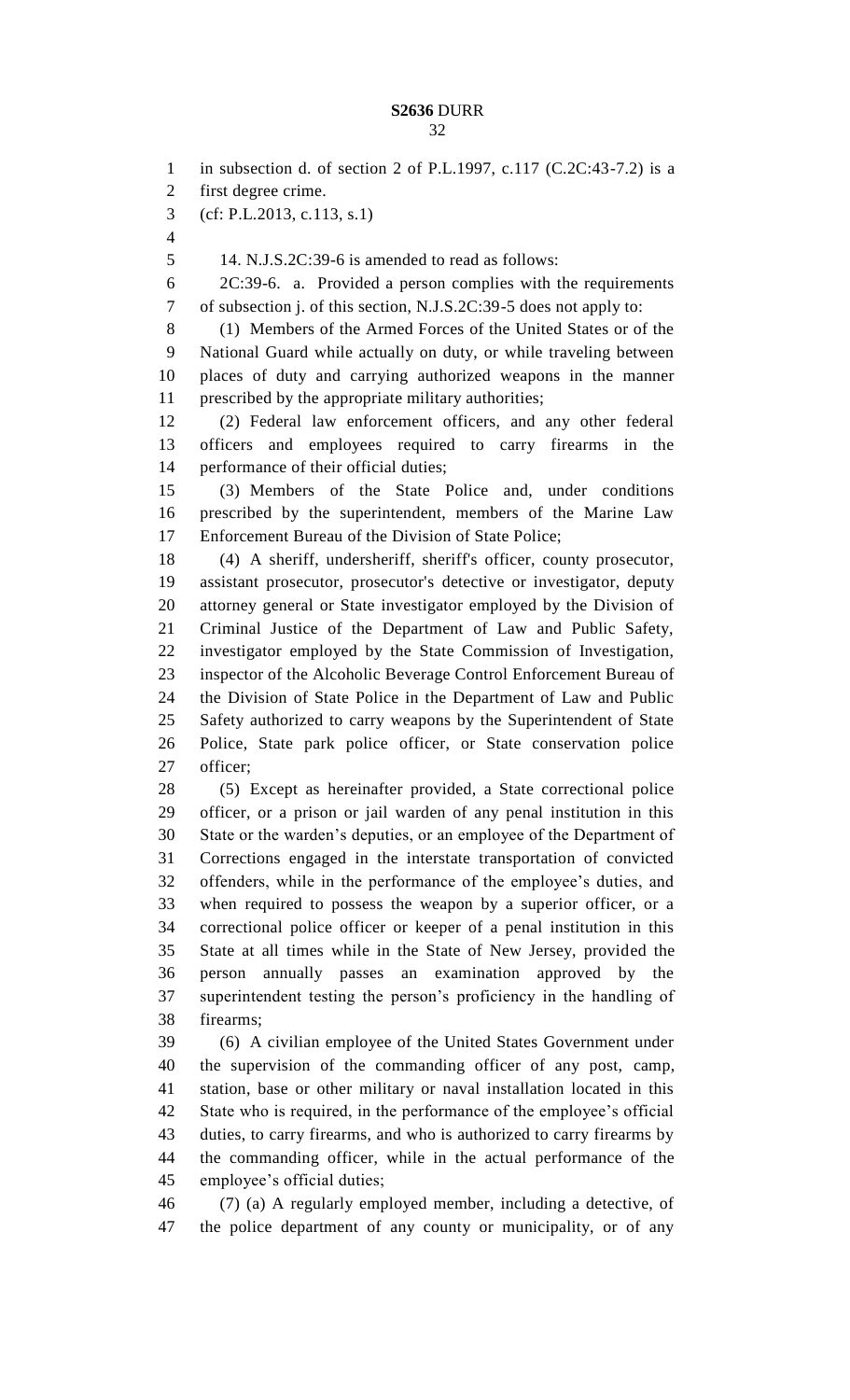in subsection d. of section 2 of P.L.1997, c.117 (C.2C:43-7.2) is a first degree crime. (cf: P.L.2013, c.113, s.1) 14. N.J.S.2C:39-6 is amended to read as follows: 2C:39-6. a. Provided a person complies with the requirements of subsection j. of this section, N.J.S.2C:39-5 does not apply to: (1) Members of the Armed Forces of the United States or of the National Guard while actually on duty, or while traveling between places of duty and carrying authorized weapons in the manner prescribed by the appropriate military authorities; (2) Federal law enforcement officers, and any other federal officers and employees required to carry firearms in the performance of their official duties; (3) Members of the State Police and, under conditions prescribed by the superintendent, members of the Marine Law Enforcement Bureau of the Division of State Police; (4) A sheriff, undersheriff, sheriff's officer, county prosecutor, assistant prosecutor, prosecutor's detective or investigator, deputy attorney general or State investigator employed by the Division of Criminal Justice of the Department of Law and Public Safety, investigator employed by the State Commission of Investigation, inspector of the Alcoholic Beverage Control Enforcement Bureau of the Division of State Police in the Department of Law and Public Safety authorized to carry weapons by the Superintendent of State Police, State park police officer, or State conservation police officer; (5) Except as hereinafter provided, a State correctional police officer, or a prison or jail warden of any penal institution in this State or the warden's deputies, or an employee of the Department of Corrections engaged in the interstate transportation of convicted offenders, while in the performance of the employee's duties, and when required to possess the weapon by a superior officer, or a correctional police officer or keeper of a penal institution in this State at all times while in the State of New Jersey, provided the person annually passes an examination approved by the superintendent testing the person's proficiency in the handling of firearms; (6) A civilian employee of the United States Government under the supervision of the commanding officer of any post, camp, station, base or other military or naval installation located in this State who is required, in the performance of the employee's official duties, to carry firearms, and who is authorized to carry firearms by the commanding officer, while in the actual performance of the employee's official duties; (7) (a) A regularly employed member, including a detective, of

the police department of any county or municipality, or of any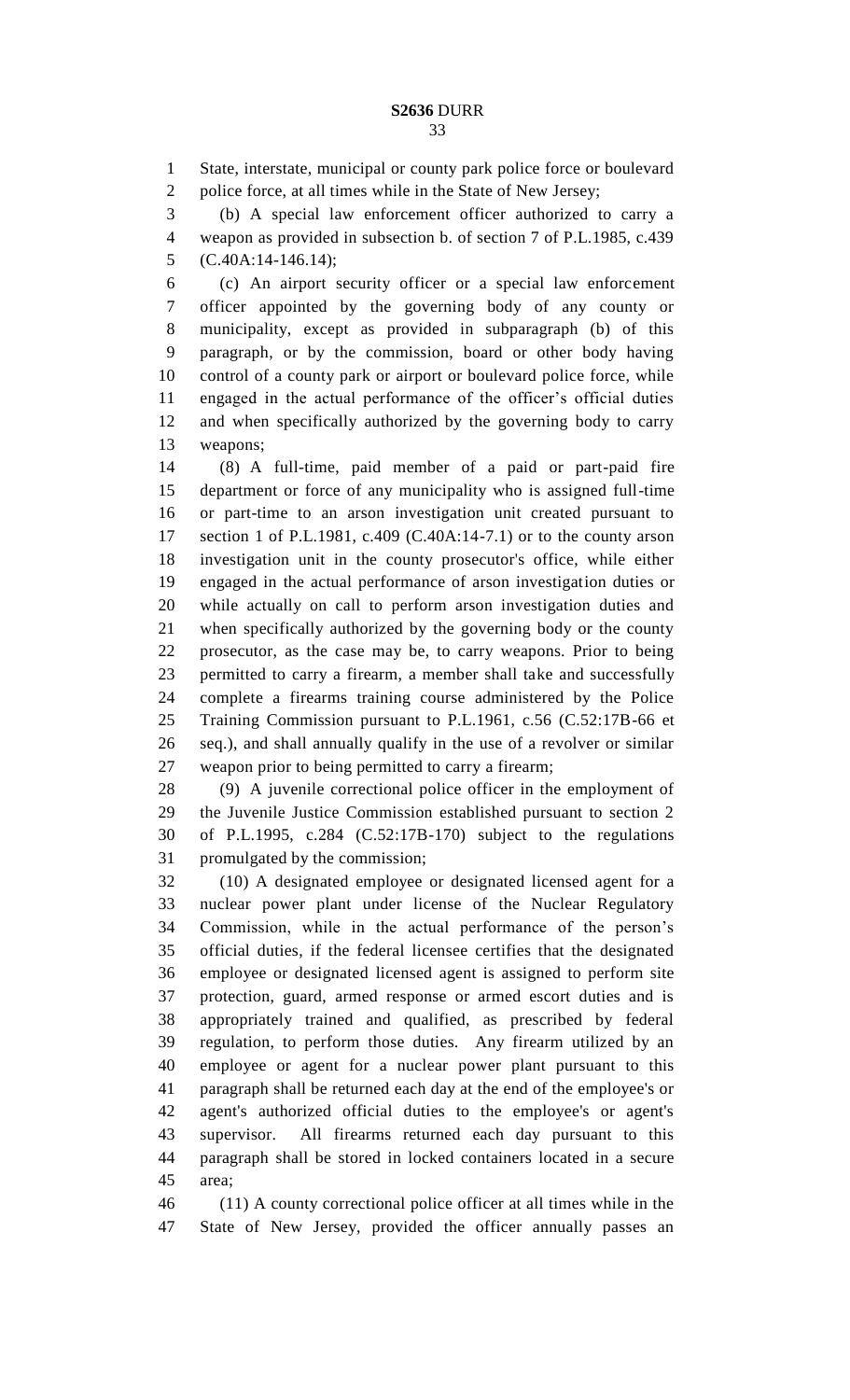State, interstate, municipal or county park police force or boulevard police force, at all times while in the State of New Jersey;

 (b) A special law enforcement officer authorized to carry a weapon as provided in subsection b. of section 7 of P.L.1985, c.439 (C.40A:14-146.14);

 (c) An airport security officer or a special law enforcement officer appointed by the governing body of any county or municipality, except as provided in subparagraph (b) of this paragraph, or by the commission, board or other body having control of a county park or airport or boulevard police force, while engaged in the actual performance of the officer's official duties and when specifically authorized by the governing body to carry weapons;

 (8) A full-time, paid member of a paid or part-paid fire department or force of any municipality who is assigned full-time or part-time to an arson investigation unit created pursuant to section 1 of P.L.1981, c.409 (C.40A:14-7.1) or to the county arson investigation unit in the county prosecutor's office, while either engaged in the actual performance of arson investigation duties or while actually on call to perform arson investigation duties and when specifically authorized by the governing body or the county prosecutor, as the case may be, to carry weapons. Prior to being permitted to carry a firearm, a member shall take and successfully complete a firearms training course administered by the Police Training Commission pursuant to P.L.1961, c.56 (C.52:17B-66 et seq.), and shall annually qualify in the use of a revolver or similar weapon prior to being permitted to carry a firearm;

 (9) A juvenile correctional police officer in the employment of the Juvenile Justice Commission established pursuant to section 2 of P.L.1995, c.284 (C.52:17B-170) subject to the regulations promulgated by the commission;

 (10) A designated employee or designated licensed agent for a nuclear power plant under license of the Nuclear Regulatory Commission, while in the actual performance of the person's official duties, if the federal licensee certifies that the designated employee or designated licensed agent is assigned to perform site protection, guard, armed response or armed escort duties and is appropriately trained and qualified, as prescribed by federal regulation, to perform those duties. Any firearm utilized by an employee or agent for a nuclear power plant pursuant to this paragraph shall be returned each day at the end of the employee's or agent's authorized official duties to the employee's or agent's supervisor. All firearms returned each day pursuant to this paragraph shall be stored in locked containers located in a secure area;

 (11) A county correctional police officer at all times while in the State of New Jersey, provided the officer annually passes an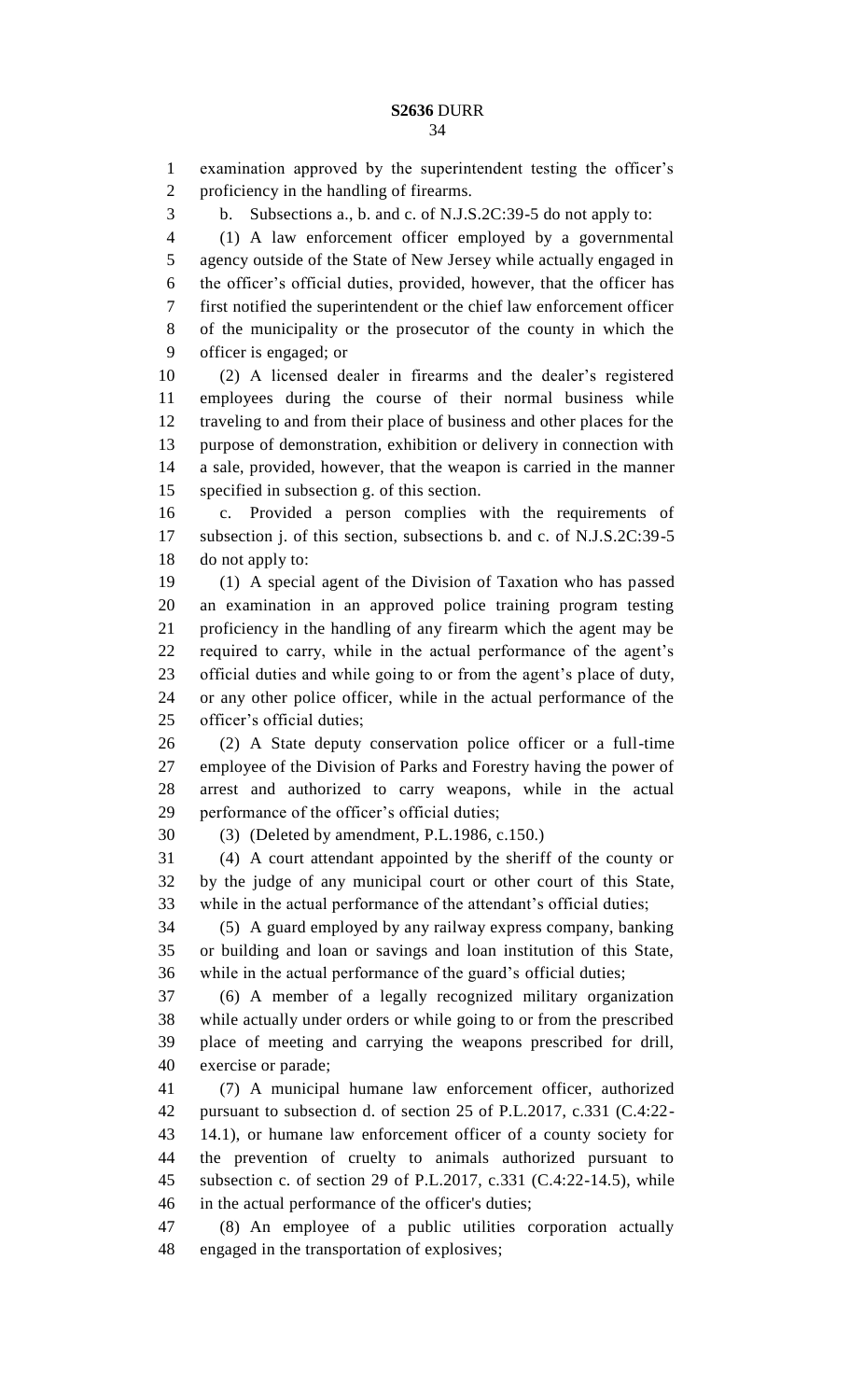examination approved by the superintendent testing the officer's proficiency in the handling of firearms. b. Subsections a., b. and c. of N.J.S.2C:39-5 do not apply to: (1) A law enforcement officer employed by a governmental agency outside of the State of New Jersey while actually engaged in the officer's official duties, provided, however, that the officer has first notified the superintendent or the chief law enforcement officer of the municipality or the prosecutor of the county in which the officer is engaged; or (2) A licensed dealer in firearms and the dealer's registered employees during the course of their normal business while traveling to and from their place of business and other places for the purpose of demonstration, exhibition or delivery in connection with a sale, provided, however, that the weapon is carried in the manner specified in subsection g. of this section. c. Provided a person complies with the requirements of subsection j. of this section, subsections b. and c. of N.J.S.2C:39-5 do not apply to: (1) A special agent of the Division of Taxation who has passed an examination in an approved police training program testing proficiency in the handling of any firearm which the agent may be required to carry, while in the actual performance of the agent's official duties and while going to or from the agent's place of duty, or any other police officer, while in the actual performance of the officer's official duties; (2) A State deputy conservation police officer or a full-time employee of the Division of Parks and Forestry having the power of arrest and authorized to carry weapons, while in the actual performance of the officer's official duties; (3) (Deleted by amendment, P.L.1986, c.150.) (4) A court attendant appointed by the sheriff of the county or by the judge of any municipal court or other court of this State, while in the actual performance of the attendant's official duties; (5) A guard employed by any railway express company, banking or building and loan or savings and loan institution of this State, while in the actual performance of the guard's official duties;

 (6) A member of a legally recognized military organization while actually under orders or while going to or from the prescribed place of meeting and carrying the weapons prescribed for drill, exercise or parade;

 (7) A municipal humane law enforcement officer, authorized pursuant to subsection d. of section 25 of P.L.2017, c.331 (C.4:22- 14.1), or humane law enforcement officer of a county society for the prevention of cruelty to animals authorized pursuant to subsection c. of section 29 of P.L.2017, c.331 (C.4:22-14.5), while in the actual performance of the officer's duties;

 (8) An employee of a public utilities corporation actually engaged in the transportation of explosives;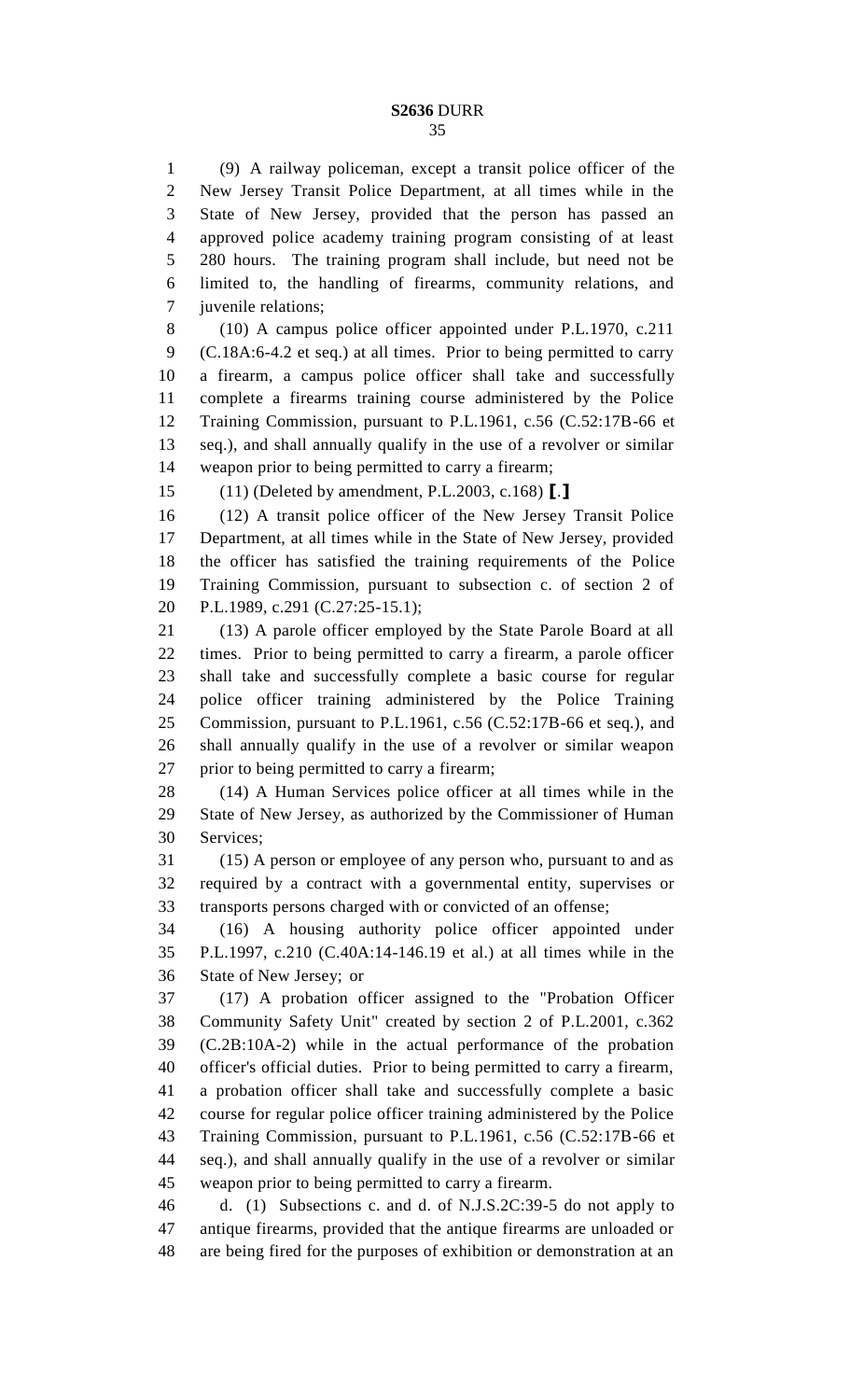(9) A railway policeman, except a transit police officer of the New Jersey Transit Police Department, at all times while in the State of New Jersey, provided that the person has passed an approved police academy training program consisting of at least 280 hours. The training program shall include, but need not be limited to, the handling of firearms, community relations, and juvenile relations;

 (10) A campus police officer appointed under P.L.1970, c.211 (C.18A:6-4.2 et seq.) at all times. Prior to being permitted to carry a firearm, a campus police officer shall take and successfully complete a firearms training course administered by the Police Training Commission, pursuant to P.L.1961, c.56 (C.52:17B-66 et seq.), and shall annually qualify in the use of a revolver or similar weapon prior to being permitted to carry a firearm;

(11) (Deleted by amendment, P.L.2003, c.168) **[**.**]**

 (12) A transit police officer of the New Jersey Transit Police Department, at all times while in the State of New Jersey, provided the officer has satisfied the training requirements of the Police Training Commission, pursuant to subsection c. of section 2 of P.L.1989, c.291 (C.27:25-15.1);

 (13) A parole officer employed by the State Parole Board at all times. Prior to being permitted to carry a firearm, a parole officer shall take and successfully complete a basic course for regular police officer training administered by the Police Training Commission, pursuant to P.L.1961, c.56 (C.52:17B-66 et seq.), and shall annually qualify in the use of a revolver or similar weapon prior to being permitted to carry a firearm;

 (14) A Human Services police officer at all times while in the State of New Jersey, as authorized by the Commissioner of Human Services;

 (15) A person or employee of any person who, pursuant to and as required by a contract with a governmental entity, supervises or transports persons charged with or convicted of an offense;

 (16) A housing authority police officer appointed under P.L.1997, c.210 (C.40A:14-146.19 et al.) at all times while in the State of New Jersey; or

 (17) A probation officer assigned to the "Probation Officer Community Safety Unit" created by section 2 of P.L.2001, c.362 (C.2B:10A-2) while in the actual performance of the probation officer's official duties. Prior to being permitted to carry a firearm, a probation officer shall take and successfully complete a basic course for regular police officer training administered by the Police Training Commission, pursuant to P.L.1961, c.56 (C.52:17B-66 et seq.), and shall annually qualify in the use of a revolver or similar weapon prior to being permitted to carry a firearm.

 d. (1) Subsections c. and d. of N.J.S.2C:39-5 do not apply to antique firearms, provided that the antique firearms are unloaded or are being fired for the purposes of exhibition or demonstration at an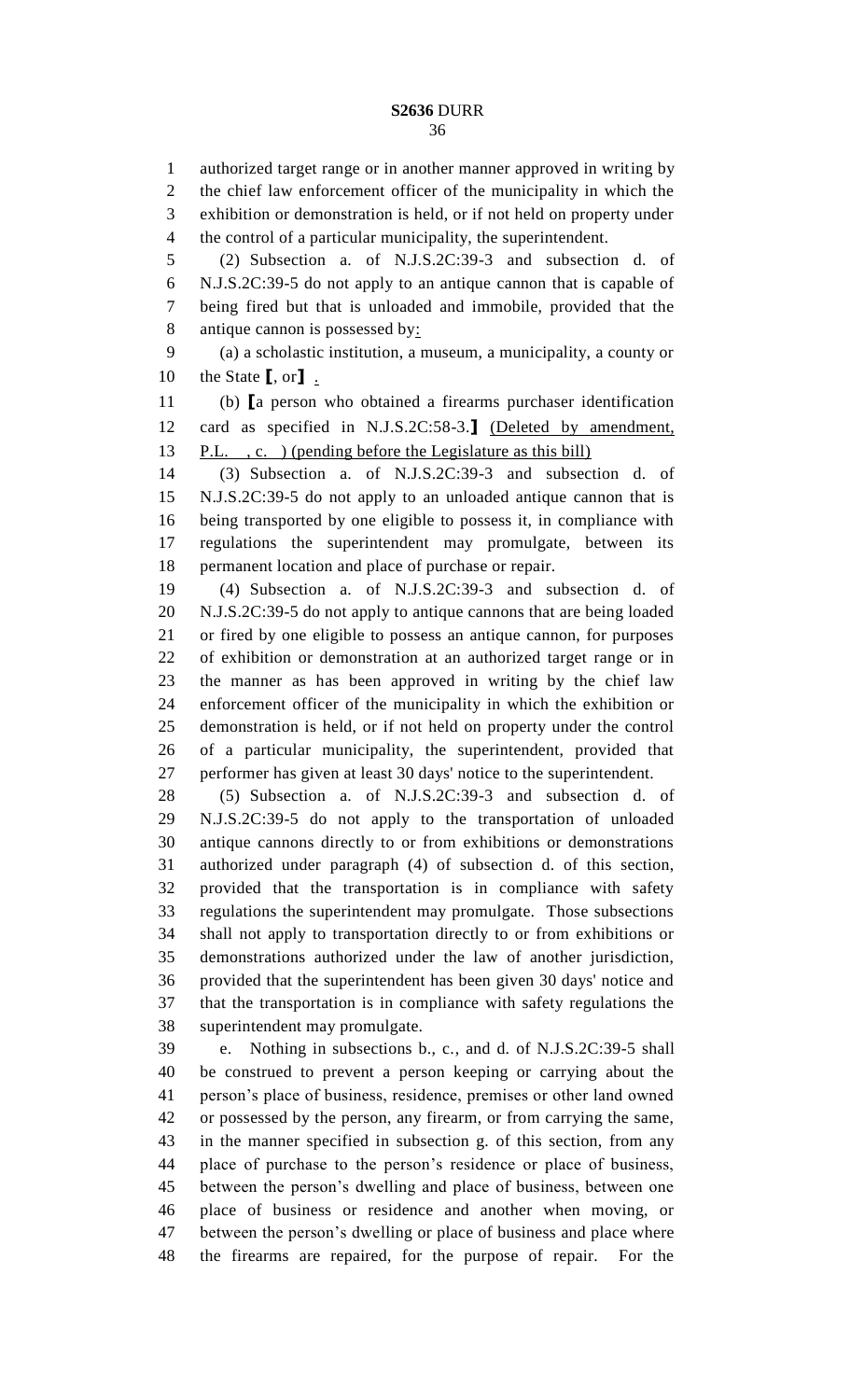authorized target range or in another manner approved in writing by the chief law enforcement officer of the municipality in which the exhibition or demonstration is held, or if not held on property under the control of a particular municipality, the superintendent. (2) Subsection a. of N.J.S.2C:39-3 and subsection d. of N.J.S.2C:39-5 do not apply to an antique cannon that is capable of being fired but that is unloaded and immobile, provided that the antique cannon is possessed by:

 (a) a scholastic institution, a museum, a municipality, a county or the State **[**, or**]** .

 (b) **[**a person who obtained a firearms purchaser identification card as specified in N.J.S.2C:58-3.**]** (Deleted by amendment, 13 P.L., c. ) (pending before the Legislature as this bill)

 (3) Subsection a. of N.J.S.2C:39-3 and subsection d. of N.J.S.2C:39-5 do not apply to an unloaded antique cannon that is being transported by one eligible to possess it, in compliance with regulations the superintendent may promulgate, between its permanent location and place of purchase or repair.

 (4) Subsection a. of N.J.S.2C:39-3 and subsection d. of N.J.S.2C:39-5 do not apply to antique cannons that are being loaded or fired by one eligible to possess an antique cannon, for purposes of exhibition or demonstration at an authorized target range or in the manner as has been approved in writing by the chief law enforcement officer of the municipality in which the exhibition or demonstration is held, or if not held on property under the control of a particular municipality, the superintendent, provided that performer has given at least 30 days' notice to the superintendent.

 (5) Subsection a. of N.J.S.2C:39-3 and subsection d. of N.J.S.2C:39-5 do not apply to the transportation of unloaded antique cannons directly to or from exhibitions or demonstrations authorized under paragraph (4) of subsection d. of this section, provided that the transportation is in compliance with safety regulations the superintendent may promulgate. Those subsections shall not apply to transportation directly to or from exhibitions or demonstrations authorized under the law of another jurisdiction, provided that the superintendent has been given 30 days' notice and that the transportation is in compliance with safety regulations the superintendent may promulgate.

 e. Nothing in subsections b., c., and d. of N.J.S.2C:39-5 shall be construed to prevent a person keeping or carrying about the person's place of business, residence, premises or other land owned or possessed by the person, any firearm, or from carrying the same, in the manner specified in subsection g. of this section, from any place of purchase to the person's residence or place of business, between the person's dwelling and place of business, between one place of business or residence and another when moving, or between the person's dwelling or place of business and place where the firearms are repaired, for the purpose of repair. For the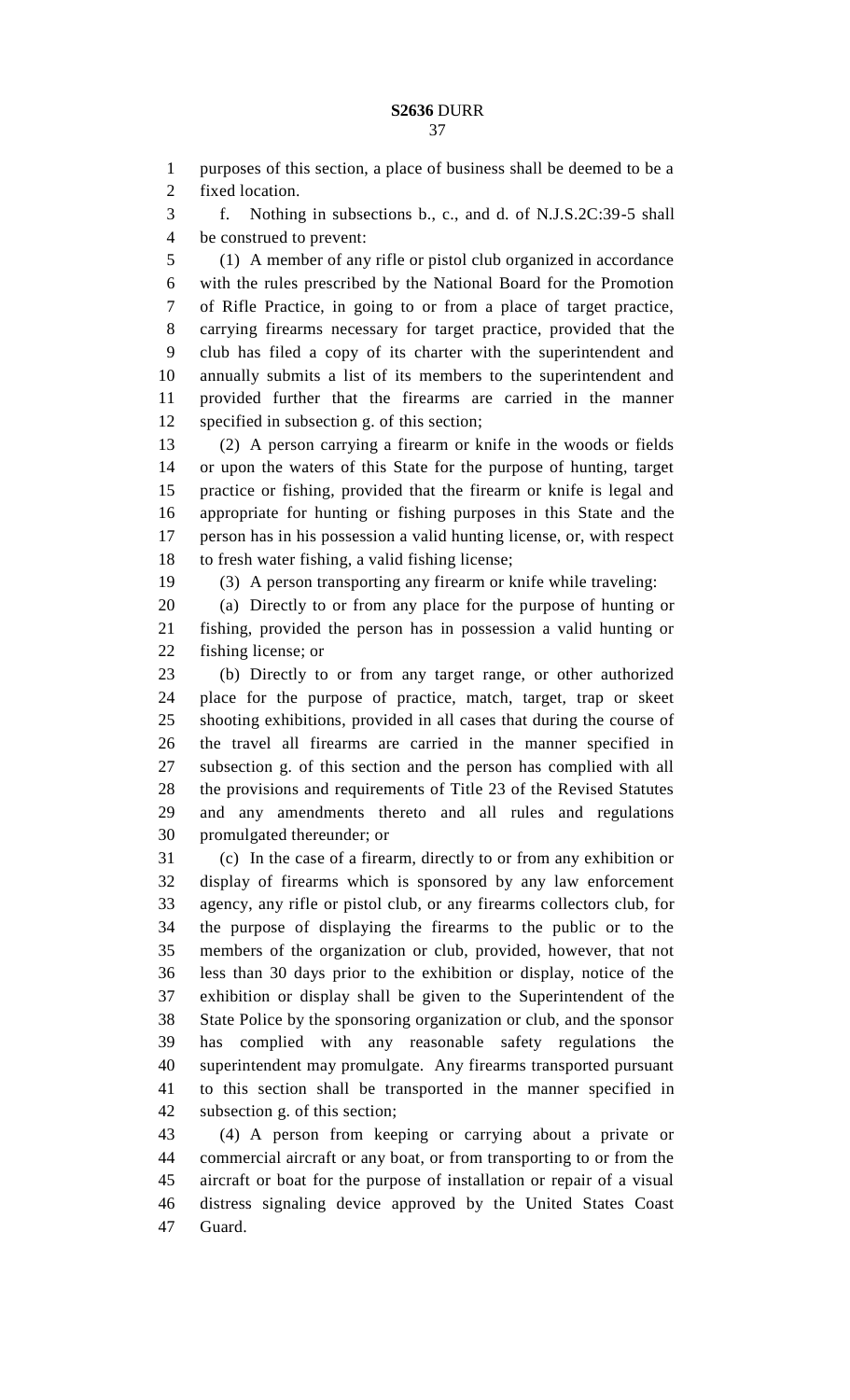purposes of this section, a place of business shall be deemed to be a fixed location.

 f. Nothing in subsections b., c., and d. of N.J.S.2C:39-5 shall be construed to prevent:

 (1) A member of any rifle or pistol club organized in accordance with the rules prescribed by the National Board for the Promotion of Rifle Practice, in going to or from a place of target practice, carrying firearms necessary for target practice, provided that the club has filed a copy of its charter with the superintendent and annually submits a list of its members to the superintendent and provided further that the firearms are carried in the manner specified in subsection g. of this section;

 (2) A person carrying a firearm or knife in the woods or fields or upon the waters of this State for the purpose of hunting, target practice or fishing, provided that the firearm or knife is legal and appropriate for hunting or fishing purposes in this State and the person has in his possession a valid hunting license, or, with respect to fresh water fishing, a valid fishing license;

(3) A person transporting any firearm or knife while traveling:

 (a) Directly to or from any place for the purpose of hunting or fishing, provided the person has in possession a valid hunting or fishing license; or

 (b) Directly to or from any target range, or other authorized place for the purpose of practice, match, target, trap or skeet shooting exhibitions, provided in all cases that during the course of the travel all firearms are carried in the manner specified in subsection g. of this section and the person has complied with all the provisions and requirements of Title 23 of the Revised Statutes and any amendments thereto and all rules and regulations promulgated thereunder; or

 (c) In the case of a firearm, directly to or from any exhibition or display of firearms which is sponsored by any law enforcement agency, any rifle or pistol club, or any firearms collectors club, for the purpose of displaying the firearms to the public or to the members of the organization or club, provided, however, that not less than 30 days prior to the exhibition or display, notice of the exhibition or display shall be given to the Superintendent of the State Police by the sponsoring organization or club, and the sponsor has complied with any reasonable safety regulations the superintendent may promulgate. Any firearms transported pursuant to this section shall be transported in the manner specified in subsection g. of this section;

 (4) A person from keeping or carrying about a private or commercial aircraft or any boat, or from transporting to or from the aircraft or boat for the purpose of installation or repair of a visual distress signaling device approved by the United States Coast Guard.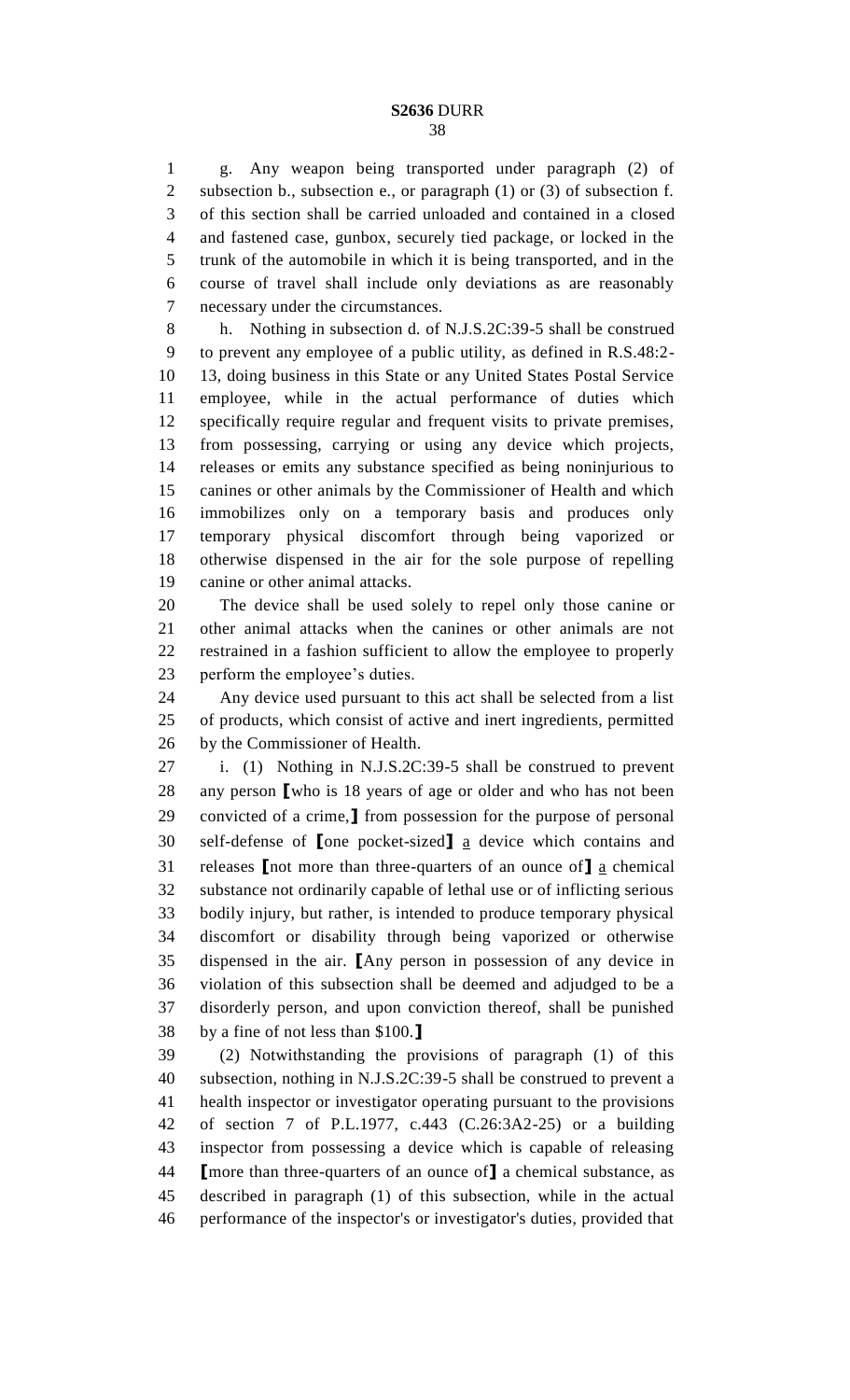g. Any weapon being transported under paragraph (2) of subsection b., subsection e., or paragraph (1) or (3) of subsection f. of this section shall be carried unloaded and contained in a closed and fastened case, gunbox, securely tied package, or locked in the trunk of the automobile in which it is being transported, and in the course of travel shall include only deviations as are reasonably necessary under the circumstances.

 h. Nothing in subsection d. of N.J.S.2C:39-5 shall be construed to prevent any employee of a public utility, as defined in R.S.48:2- 13, doing business in this State or any United States Postal Service employee, while in the actual performance of duties which specifically require regular and frequent visits to private premises, from possessing, carrying or using any device which projects, releases or emits any substance specified as being noninjurious to canines or other animals by the Commissioner of Health and which immobilizes only on a temporary basis and produces only temporary physical discomfort through being vaporized or otherwise dispensed in the air for the sole purpose of repelling canine or other animal attacks.

 The device shall be used solely to repel only those canine or other animal attacks when the canines or other animals are not restrained in a fashion sufficient to allow the employee to properly perform the employee's duties.

 Any device used pursuant to this act shall be selected from a list of products, which consist of active and inert ingredients, permitted by the Commissioner of Health.

 i. (1) Nothing in N.J.S.2C:39-5 shall be construed to prevent any person **[**who is 18 years of age or older and who has not been convicted of a crime,**]** from possession for the purpose of personal self-defense of **[**one pocket-sized**]** a device which contains and releases **[**not more than three-quarters of an ounce of**]** a chemical substance not ordinarily capable of lethal use or of inflicting serious bodily injury, but rather, is intended to produce temporary physical discomfort or disability through being vaporized or otherwise dispensed in the air. **[**Any person in possession of any device in violation of this subsection shall be deemed and adjudged to be a disorderly person, and upon conviction thereof, shall be punished by a fine of not less than \$100.**]**

 (2) Notwithstanding the provisions of paragraph (1) of this subsection, nothing in N.J.S.2C:39-5 shall be construed to prevent a health inspector or investigator operating pursuant to the provisions of section 7 of P.L.1977, c.443 (C.26:3A2-25) or a building inspector from possessing a device which is capable of releasing **[**more than three-quarters of an ounce of**]** a chemical substance, as described in paragraph (1) of this subsection, while in the actual performance of the inspector's or investigator's duties, provided that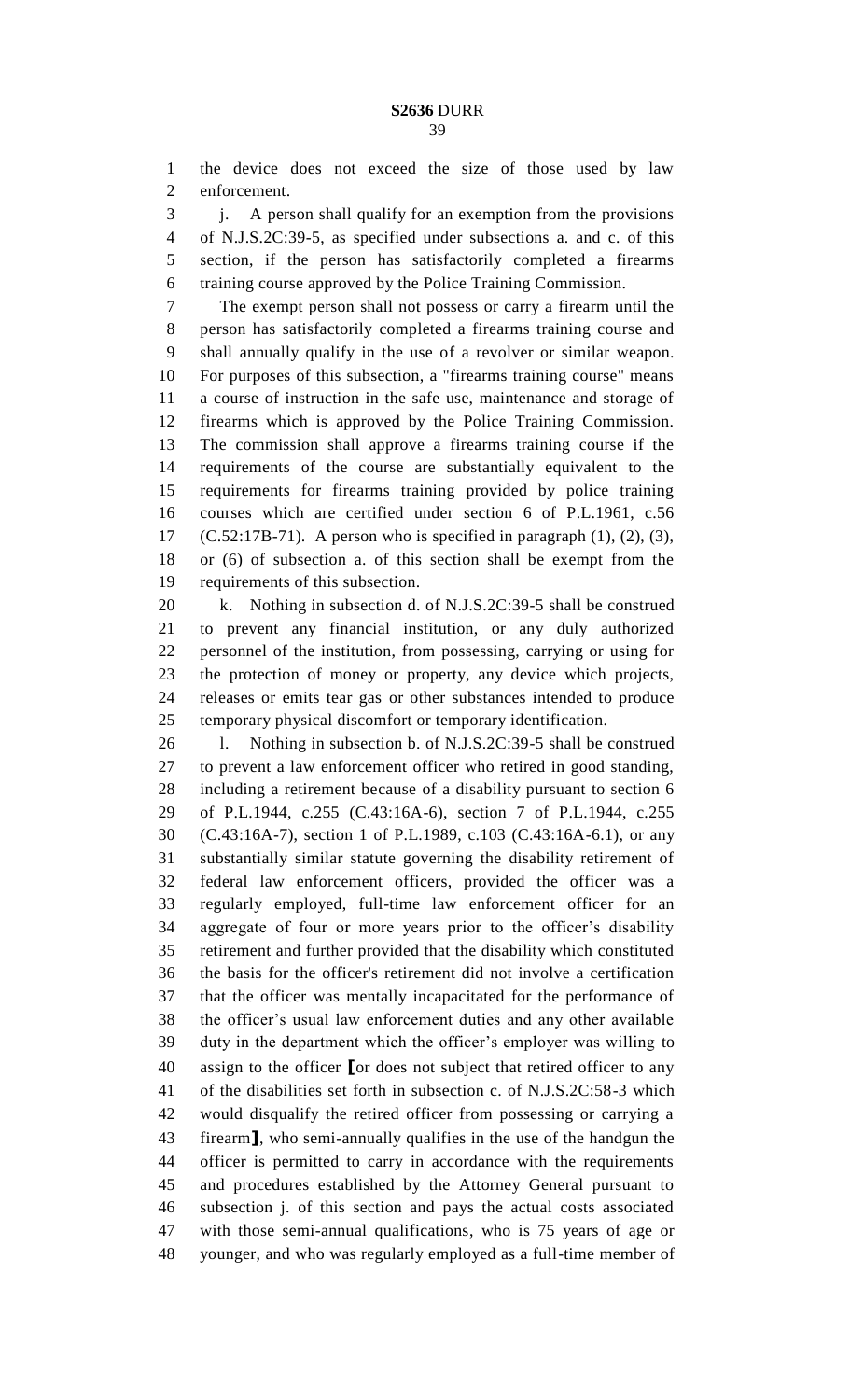the device does not exceed the size of those used by law enforcement.

 j. A person shall qualify for an exemption from the provisions of N.J.S.2C:39-5, as specified under subsections a. and c. of this section, if the person has satisfactorily completed a firearms training course approved by the Police Training Commission.

 The exempt person shall not possess or carry a firearm until the person has satisfactorily completed a firearms training course and shall annually qualify in the use of a revolver or similar weapon. For purposes of this subsection, a "firearms training course" means a course of instruction in the safe use, maintenance and storage of firearms which is approved by the Police Training Commission. The commission shall approve a firearms training course if the requirements of the course are substantially equivalent to the requirements for firearms training provided by police training courses which are certified under section 6 of P.L.1961, c.56 (C.52:17B-71). A person who is specified in paragraph (1), (2), (3), or (6) of subsection a. of this section shall be exempt from the requirements of this subsection.

 k. Nothing in subsection d. of N.J.S.2C:39-5 shall be construed to prevent any financial institution, or any duly authorized personnel of the institution, from possessing, carrying or using for the protection of money or property, any device which projects, releases or emits tear gas or other substances intended to produce temporary physical discomfort or temporary identification.

 l. Nothing in subsection b. of N.J.S.2C:39-5 shall be construed to prevent a law enforcement officer who retired in good standing, including a retirement because of a disability pursuant to section 6 of P.L.1944, c.255 (C.43:16A-6), section 7 of P.L.1944, c.255 (C.43:16A-7), section 1 of P.L.1989, c.103 (C.43:16A-6.1), or any substantially similar statute governing the disability retirement of federal law enforcement officers, provided the officer was a regularly employed, full-time law enforcement officer for an aggregate of four or more years prior to the officer's disability retirement and further provided that the disability which constituted the basis for the officer's retirement did not involve a certification that the officer was mentally incapacitated for the performance of the officer's usual law enforcement duties and any other available duty in the department which the officer's employer was willing to assign to the officer **[**or does not subject that retired officer to any of the disabilities set forth in subsection c. of N.J.S.2C:58-3 which would disqualify the retired officer from possessing or carrying a firearm**]**, who semi-annually qualifies in the use of the handgun the officer is permitted to carry in accordance with the requirements and procedures established by the Attorney General pursuant to subsection j. of this section and pays the actual costs associated with those semi-annual qualifications, who is 75 years of age or younger, and who was regularly employed as a full-time member of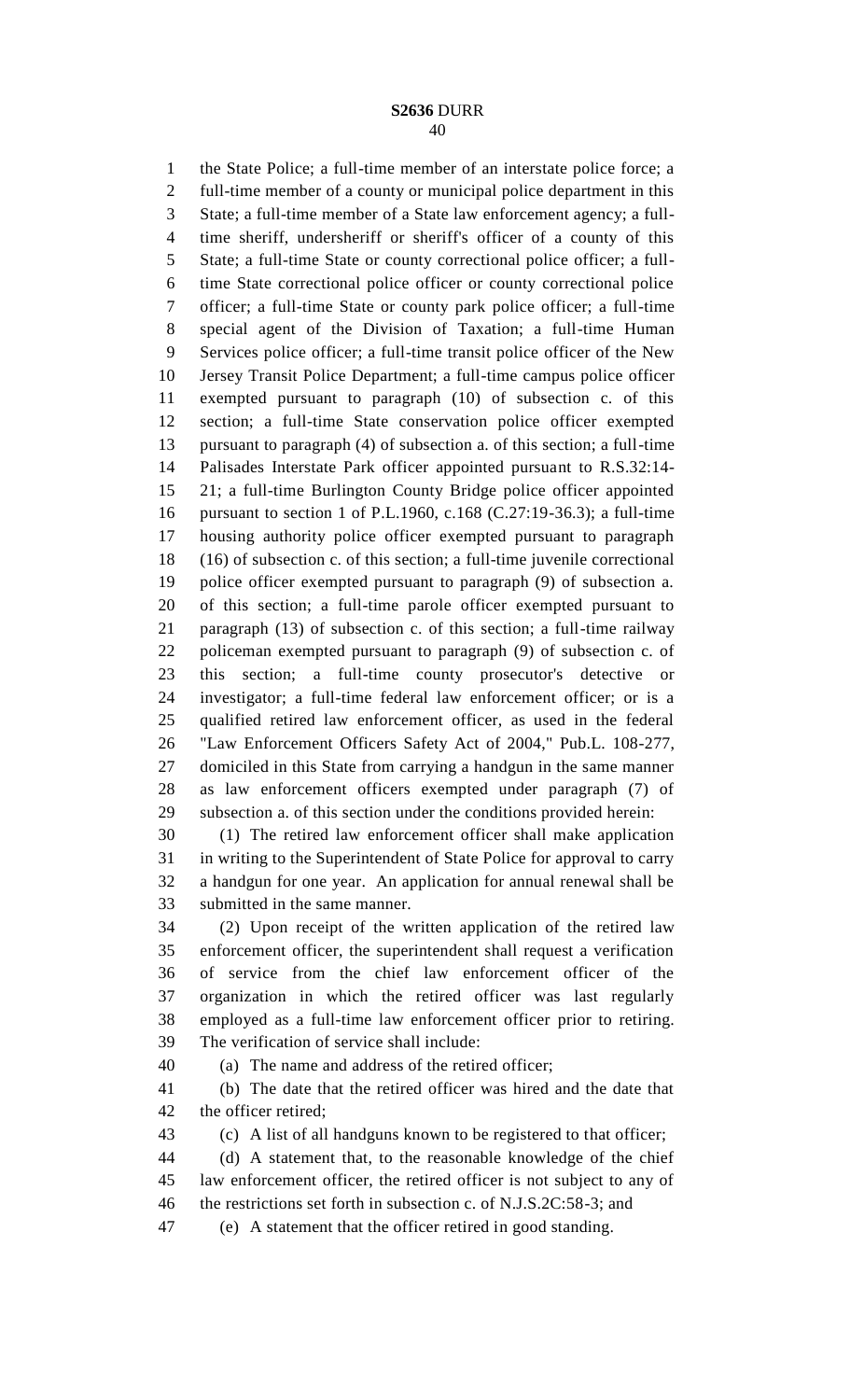the State Police; a full-time member of an interstate police force; a full-time member of a county or municipal police department in this State; a full-time member of a State law enforcement agency; a full- time sheriff, undersheriff or sheriff's officer of a county of this State; a full-time State or county correctional police officer; a full- time State correctional police officer or county correctional police officer; a full-time State or county park police officer; a full-time special agent of the Division of Taxation; a full-time Human Services police officer; a full-time transit police officer of the New Jersey Transit Police Department; a full-time campus police officer exempted pursuant to paragraph (10) of subsection c. of this section; a full-time State conservation police officer exempted pursuant to paragraph (4) of subsection a. of this section; a full-time Palisades Interstate Park officer appointed pursuant to R.S.32:14- 21; a full-time Burlington County Bridge police officer appointed pursuant to section 1 of P.L.1960, c.168 (C.27:19-36.3); a full-time housing authority police officer exempted pursuant to paragraph (16) of subsection c. of this section; a full-time juvenile correctional police officer exempted pursuant to paragraph (9) of subsection a. of this section; a full-time parole officer exempted pursuant to paragraph (13) of subsection c. of this section; a full-time railway policeman exempted pursuant to paragraph (9) of subsection c. of this section; a full-time county prosecutor's detective or investigator; a full-time federal law enforcement officer; or is a qualified retired law enforcement officer, as used in the federal "Law Enforcement Officers Safety Act of 2004," Pub.L. 108-277, domiciled in this State from carrying a handgun in the same manner as law enforcement officers exempted under paragraph (7) of subsection a. of this section under the conditions provided herein:

 (1) The retired law enforcement officer shall make application in writing to the Superintendent of State Police for approval to carry a handgun for one year. An application for annual renewal shall be submitted in the same manner.

 (2) Upon receipt of the written application of the retired law enforcement officer, the superintendent shall request a verification of service from the chief law enforcement officer of the organization in which the retired officer was last regularly employed as a full-time law enforcement officer prior to retiring. The verification of service shall include:

(a) The name and address of the retired officer;

 (b) The date that the retired officer was hired and the date that the officer retired;

(c) A list of all handguns known to be registered to that officer;

 (d) A statement that, to the reasonable knowledge of the chief law enforcement officer, the retired officer is not subject to any of the restrictions set forth in subsection c. of N.J.S.2C:58-3; and

(e) A statement that the officer retired in good standing.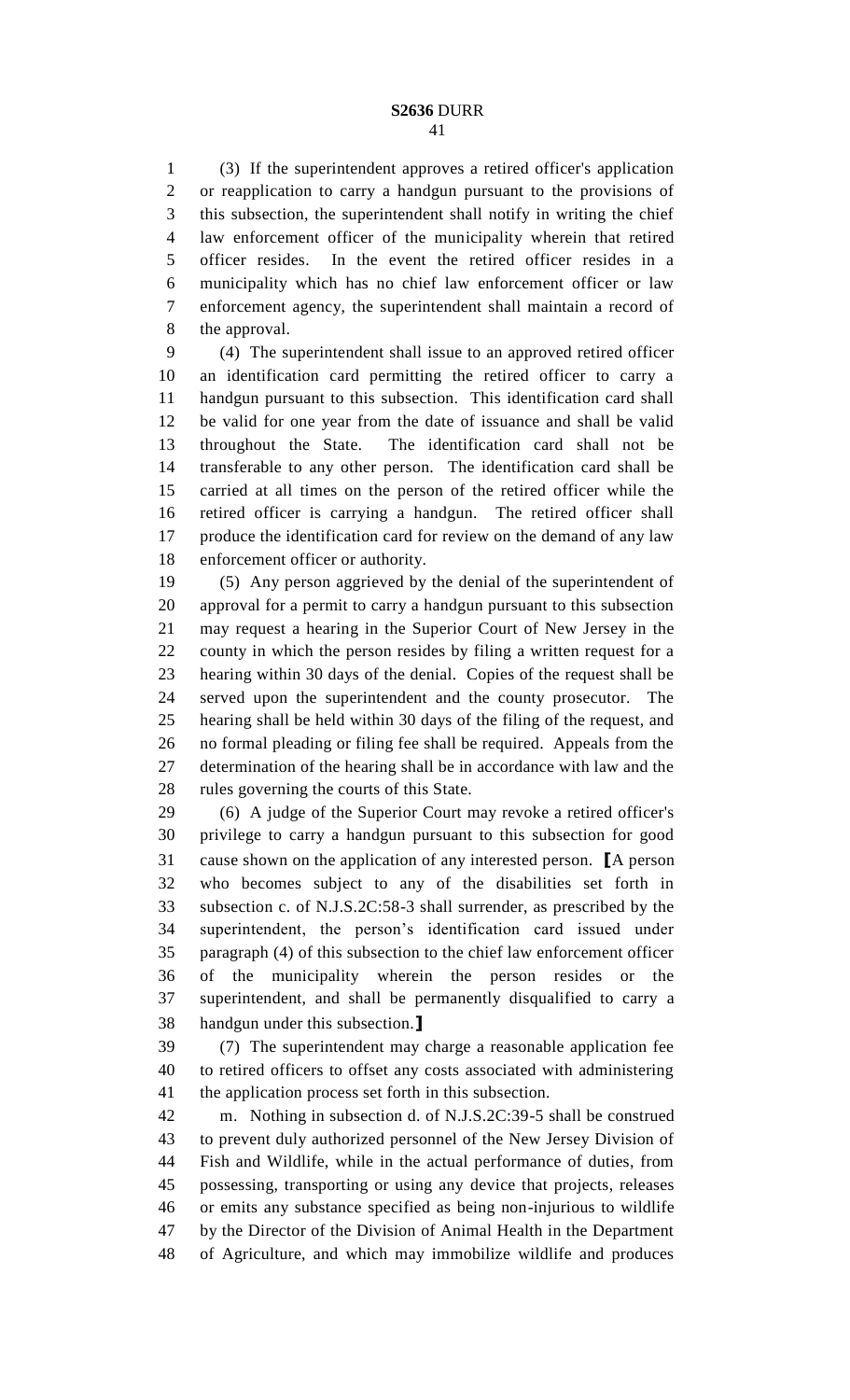(3) If the superintendent approves a retired officer's application or reapplication to carry a handgun pursuant to the provisions of this subsection, the superintendent shall notify in writing the chief law enforcement officer of the municipality wherein that retired officer resides. In the event the retired officer resides in a municipality which has no chief law enforcement officer or law enforcement agency, the superintendent shall maintain a record of the approval.

 (4) The superintendent shall issue to an approved retired officer an identification card permitting the retired officer to carry a handgun pursuant to this subsection. This identification card shall be valid for one year from the date of issuance and shall be valid throughout the State. The identification card shall not be transferable to any other person. The identification card shall be carried at all times on the person of the retired officer while the retired officer is carrying a handgun. The retired officer shall produce the identification card for review on the demand of any law enforcement officer or authority.

 (5) Any person aggrieved by the denial of the superintendent of approval for a permit to carry a handgun pursuant to this subsection may request a hearing in the Superior Court of New Jersey in the county in which the person resides by filing a written request for a hearing within 30 days of the denial. Copies of the request shall be served upon the superintendent and the county prosecutor. The hearing shall be held within 30 days of the filing of the request, and no formal pleading or filing fee shall be required. Appeals from the determination of the hearing shall be in accordance with law and the rules governing the courts of this State.

 (6) A judge of the Superior Court may revoke a retired officer's privilege to carry a handgun pursuant to this subsection for good cause shown on the application of any interested person. **[**A person who becomes subject to any of the disabilities set forth in subsection c. of N.J.S.2C:58-3 shall surrender, as prescribed by the superintendent, the person's identification card issued under paragraph (4) of this subsection to the chief law enforcement officer of the municipality wherein the person resides or the superintendent, and shall be permanently disqualified to carry a handgun under this subsection.**]**

 (7) The superintendent may charge a reasonable application fee to retired officers to offset any costs associated with administering the application process set forth in this subsection.

 m. Nothing in subsection d. of N.J.S.2C:39-5 shall be construed to prevent duly authorized personnel of the New Jersey Division of Fish and Wildlife, while in the actual performance of duties, from possessing, transporting or using any device that projects, releases or emits any substance specified as being non-injurious to wildlife by the Director of the Division of Animal Health in the Department of Agriculture, and which may immobilize wildlife and produces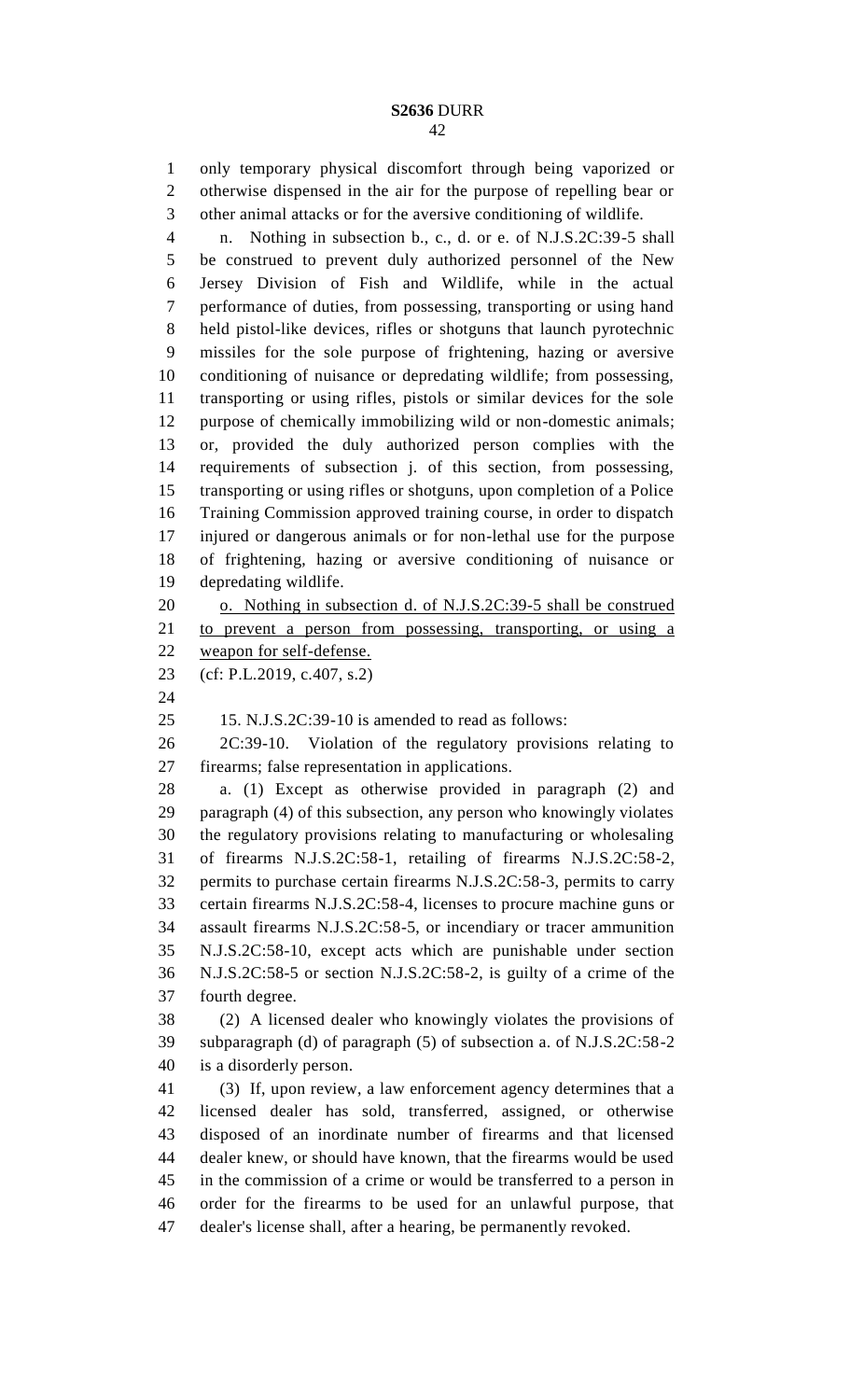only temporary physical discomfort through being vaporized or otherwise dispensed in the air for the purpose of repelling bear or other animal attacks or for the aversive conditioning of wildlife. n. Nothing in subsection b., c., d. or e. of N.J.S.2C:39-5 shall be construed to prevent duly authorized personnel of the New Jersey Division of Fish and Wildlife, while in the actual performance of duties, from possessing, transporting or using hand held pistol-like devices, rifles or shotguns that launch pyrotechnic missiles for the sole purpose of frightening, hazing or aversive conditioning of nuisance or depredating wildlife; from possessing, transporting or using rifles, pistols or similar devices for the sole purpose of chemically immobilizing wild or non-domestic animals; or, provided the duly authorized person complies with the requirements of subsection j. of this section, from possessing, transporting or using rifles or shotguns, upon completion of a Police Training Commission approved training course, in order to dispatch injured or dangerous animals or for non-lethal use for the purpose of frightening, hazing or aversive conditioning of nuisance or depredating wildlife. o. Nothing in subsection d. of N.J.S.2C:39-5 shall be construed to prevent a person from possessing, transporting, or using a weapon for self-defense. (cf: P.L.2019, c.407, s.2) 15. N.J.S.2C:39-10 is amended to read as follows: 2C:39-10. Violation of the regulatory provisions relating to firearms; false representation in applications. a. (1) Except as otherwise provided in paragraph (2) and paragraph (4) of this subsection, any person who knowingly violates the regulatory provisions relating to manufacturing or wholesaling of firearms N.J.S.2C:58-1, retailing of firearms N.J.S.2C:58-2, permits to purchase certain firearms N.J.S.2C:58-3, permits to carry certain firearms N.J.S.2C:58-4, licenses to procure machine guns or assault firearms N.J.S.2C:58-5, or incendiary or tracer ammunition N.J.S.2C:58-10, except acts which are punishable under section N.J.S.2C:58-5 or section N.J.S.2C:58-2, is guilty of a crime of the fourth degree. (2) A licensed dealer who knowingly violates the provisions of subparagraph (d) of paragraph (5) of subsection a. of N.J.S.2C:58-2 is a disorderly person. (3) If, upon review, a law enforcement agency determines that a licensed dealer has sold, transferred, assigned, or otherwise disposed of an inordinate number of firearms and that licensed dealer knew, or should have known, that the firearms would be used in the commission of a crime or would be transferred to a person in order for the firearms to be used for an unlawful purpose, that dealer's license shall, after a hearing, be permanently revoked.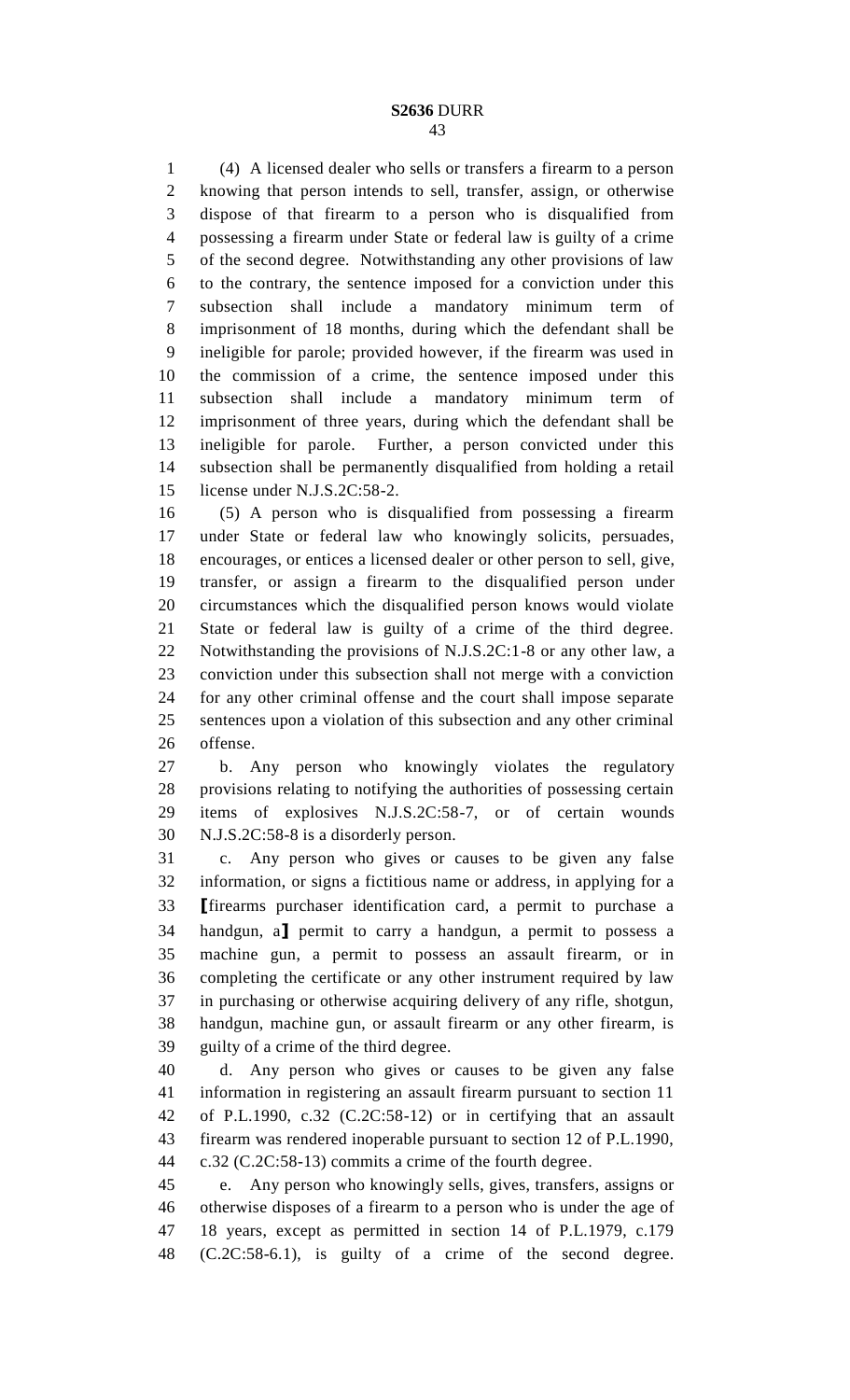(4) A licensed dealer who sells or transfers a firearm to a person knowing that person intends to sell, transfer, assign, or otherwise dispose of that firearm to a person who is disqualified from possessing a firearm under State or federal law is guilty of a crime of the second degree. Notwithstanding any other provisions of law to the contrary, the sentence imposed for a conviction under this subsection shall include a mandatory minimum term of imprisonment of 18 months, during which the defendant shall be ineligible for parole; provided however, if the firearm was used in the commission of a crime, the sentence imposed under this subsection shall include a mandatory minimum term of imprisonment of three years, during which the defendant shall be ineligible for parole. Further, a person convicted under this subsection shall be permanently disqualified from holding a retail license under N.J.S.2C:58-2.

 (5) A person who is disqualified from possessing a firearm under State or federal law who knowingly solicits, persuades, encourages, or entices a licensed dealer or other person to sell, give, transfer, or assign a firearm to the disqualified person under circumstances which the disqualified person knows would violate State or federal law is guilty of a crime of the third degree. Notwithstanding the provisions of N.J.S.2C:1-8 or any other law, a conviction under this subsection shall not merge with a conviction for any other criminal offense and the court shall impose separate sentences upon a violation of this subsection and any other criminal offense.

 b. Any person who knowingly violates the regulatory provisions relating to notifying the authorities of possessing certain items of explosives N.J.S.2C:58-7, or of certain wounds N.J.S.2C:58-8 is a disorderly person.

 c. Any person who gives or causes to be given any false information, or signs a fictitious name or address, in applying for a **[**firearms purchaser identification card, a permit to purchase a handgun, a**]** permit to carry a handgun, a permit to possess a machine gun, a permit to possess an assault firearm, or in completing the certificate or any other instrument required by law in purchasing or otherwise acquiring delivery of any rifle, shotgun, handgun, machine gun, or assault firearm or any other firearm, is guilty of a crime of the third degree.

 d. Any person who gives or causes to be given any false information in registering an assault firearm pursuant to section 11 of P.L.1990, c.32 (C.2C:58-12) or in certifying that an assault firearm was rendered inoperable pursuant to section 12 of P.L.1990, c.32 (C.2C:58-13) commits a crime of the fourth degree.

 e. Any person who knowingly sells, gives, transfers, assigns or otherwise disposes of a firearm to a person who is under the age of 18 years, except as permitted in section 14 of P.L.1979, c.179 (C.2C:58-6.1), is guilty of a crime of the second degree.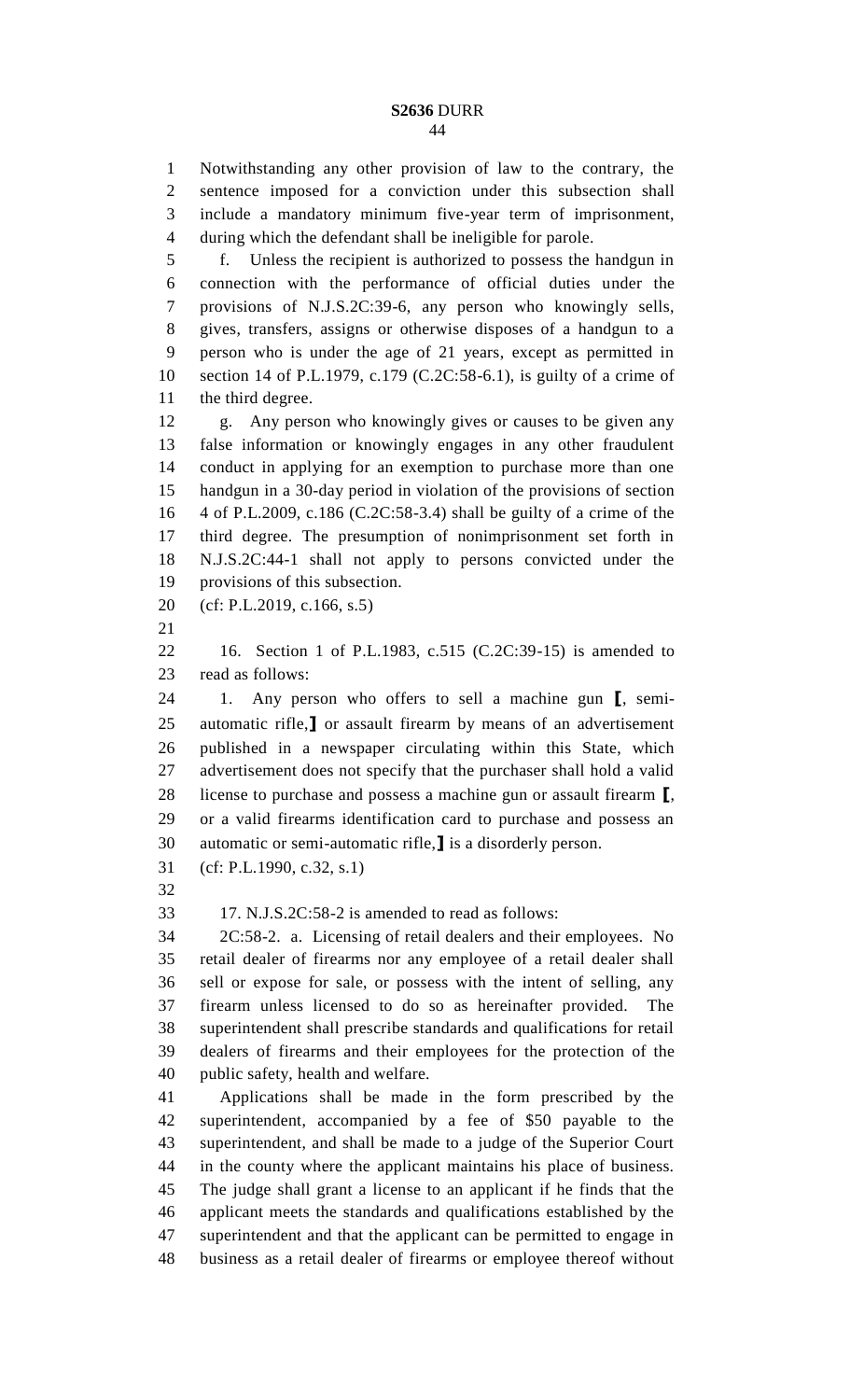Notwithstanding any other provision of law to the contrary, the sentence imposed for a conviction under this subsection shall include a mandatory minimum five-year term of imprisonment, during which the defendant shall be ineligible for parole.

 f. Unless the recipient is authorized to possess the handgun in connection with the performance of official duties under the provisions of N.J.S.2C:39-6, any person who knowingly sells, gives, transfers, assigns or otherwise disposes of a handgun to a person who is under the age of 21 years, except as permitted in section 14 of P.L.1979, c.179 (C.2C:58-6.1), is guilty of a crime of the third degree.

 g. Any person who knowingly gives or causes to be given any false information or knowingly engages in any other fraudulent conduct in applying for an exemption to purchase more than one handgun in a 30-day period in violation of the provisions of section 4 of P.L.2009, c.186 (C.2C:58-3.4) shall be guilty of a crime of the third degree. The presumption of nonimprisonment set forth in N.J.S.2C:44-1 shall not apply to persons convicted under the provisions of this subsection.

(cf: P.L.2019, c.166, s.5)

 16. Section 1 of P.L.1983, c.515 (C.2C:39-15) is amended to read as follows:

 1. Any person who offers to sell a machine gun **[**, semi- automatic rifle,**]** or assault firearm by means of an advertisement published in a newspaper circulating within this State, which advertisement does not specify that the purchaser shall hold a valid license to purchase and possess a machine gun or assault firearm **[**, or a valid firearms identification card to purchase and possess an automatic or semi-automatic rifle,**]** is a disorderly person.

(cf: P.L.1990, c.32, s.1)

17. N.J.S.2C:58-2 is amended to read as follows:

 2C:58-2. a. Licensing of retail dealers and their employees. No retail dealer of firearms nor any employee of a retail dealer shall sell or expose for sale, or possess with the intent of selling, any firearm unless licensed to do so as hereinafter provided. The superintendent shall prescribe standards and qualifications for retail dealers of firearms and their employees for the protection of the public safety, health and welfare.

 Applications shall be made in the form prescribed by the superintendent, accompanied by a fee of \$50 payable to the superintendent, and shall be made to a judge of the Superior Court in the county where the applicant maintains his place of business. The judge shall grant a license to an applicant if he finds that the applicant meets the standards and qualifications established by the superintendent and that the applicant can be permitted to engage in business as a retail dealer of firearms or employee thereof without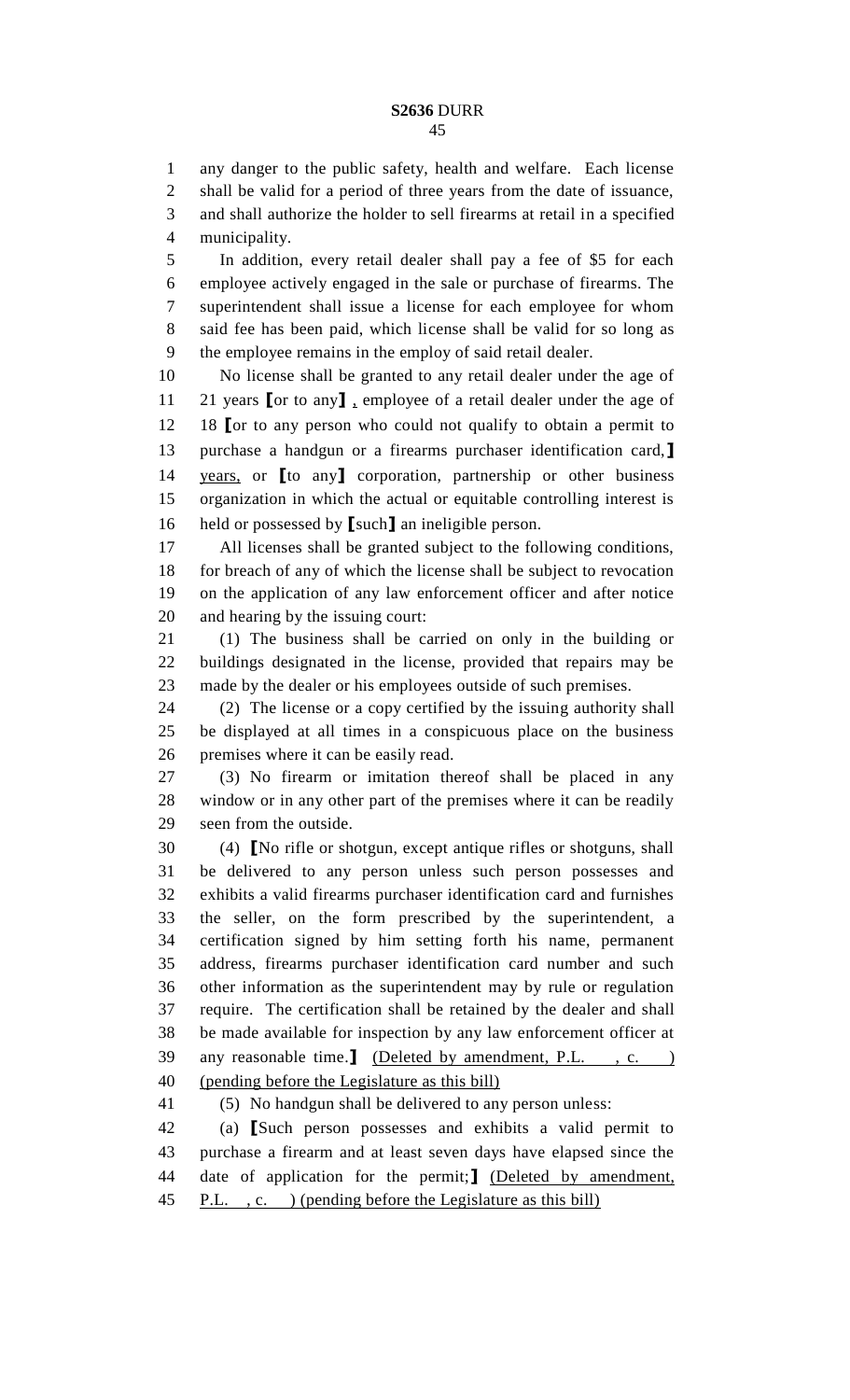any danger to the public safety, health and welfare. Each license

shall be valid for a period of three years from the date of issuance,

 and shall authorize the holder to sell firearms at retail in a specified municipality.

 In addition, every retail dealer shall pay a fee of \$5 for each employee actively engaged in the sale or purchase of firearms. The superintendent shall issue a license for each employee for whom said fee has been paid, which license shall be valid for so long as the employee remains in the employ of said retail dealer.

 No license shall be granted to any retail dealer under the age of 21 years **[**or to any**]** , employee of a retail dealer under the age of 18 **[**or to any person who could not qualify to obtain a permit to purchase a handgun or a firearms purchaser identification card,**]** years, or **[**to any**]** corporation, partnership or other business organization in which the actual or equitable controlling interest is held or possessed by **[**such**]** an ineligible person.

 All licenses shall be granted subject to the following conditions, for breach of any of which the license shall be subject to revocation on the application of any law enforcement officer and after notice and hearing by the issuing court:

 (1) The business shall be carried on only in the building or buildings designated in the license, provided that repairs may be made by the dealer or his employees outside of such premises.

 (2) The license or a copy certified by the issuing authority shall be displayed at all times in a conspicuous place on the business premises where it can be easily read.

 (3) No firearm or imitation thereof shall be placed in any window or in any other part of the premises where it can be readily seen from the outside.

 (4) **[**No rifle or shotgun, except antique rifles or shotguns, shall be delivered to any person unless such person possesses and exhibits a valid firearms purchaser identification card and furnishes the seller, on the form prescribed by the superintendent, a certification signed by him setting forth his name, permanent address, firearms purchaser identification card number and such other information as the superintendent may by rule or regulation require. The certification shall be retained by the dealer and shall be made available for inspection by any law enforcement officer at any reasonable time.**]** (Deleted by amendment, P.L. , c. ) (pending before the Legislature as this bill)

(5) No handgun shall be delivered to any person unless:

 (a) **[**Such person possesses and exhibits a valid permit to purchase a firearm and at least seven days have elapsed since the date of application for the permit;**]** (Deleted by amendment, 45 P.L., c. (pending before the Legislature as this bill)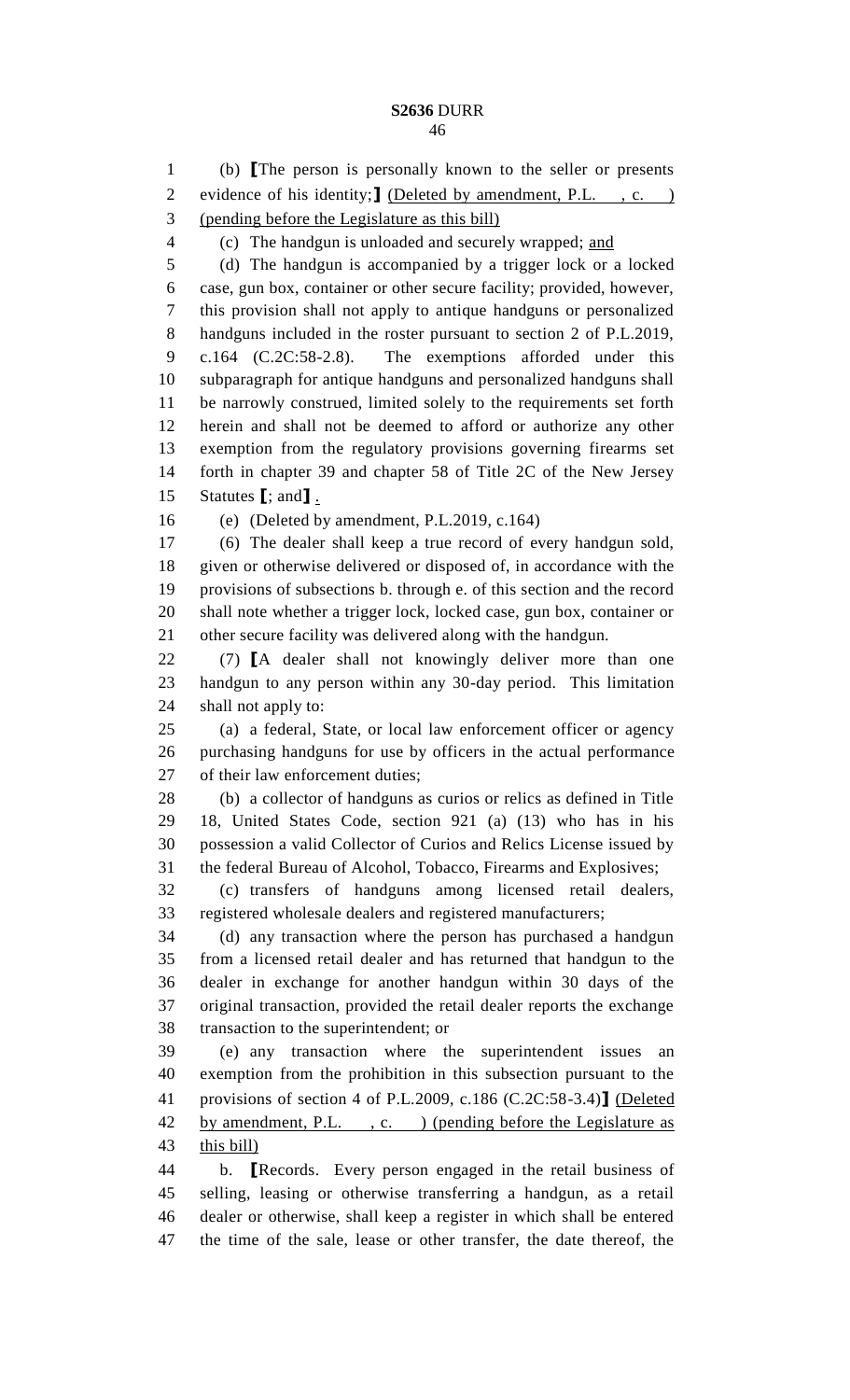(b) **[**The person is personally known to the seller or presents 2 evidence of his identity;**]** (Deleted by amendment, P.L., c.) (pending before the Legislature as this bill) (c) The handgun is unloaded and securely wrapped; and (d) The handgun is accompanied by a trigger lock or a locked case, gun box, container or other secure facility; provided, however, this provision shall not apply to antique handguns or personalized handguns included in the roster pursuant to section 2 of P.L.2019, c.164 (C.2C:58-2.8). The exemptions afforded under this subparagraph for antique handguns and personalized handguns shall be narrowly construed, limited solely to the requirements set forth herein and shall not be deemed to afford or authorize any other exemption from the regulatory provisions governing firearms set forth in chapter 39 and chapter 58 of Title 2C of the New Jersey Statutes **[**; and**]** . (e) (Deleted by amendment, P.L.2019, c.164) (6) The dealer shall keep a true record of every handgun sold, given or otherwise delivered or disposed of, in accordance with the provisions of subsections b. through e. of this section and the record shall note whether a trigger lock, locked case, gun box, container or other secure facility was delivered along with the handgun. (7) **[**A dealer shall not knowingly deliver more than one handgun to any person within any 30-day period. This limitation shall not apply to: (a) a federal, State, or local law enforcement officer or agency purchasing handguns for use by officers in the actual performance of their law enforcement duties; (b) a collector of handguns as curios or relics as defined in Title 18, United States Code, section 921 (a) (13) who has in his possession a valid Collector of Curios and Relics License issued by the federal Bureau of Alcohol, Tobacco, Firearms and Explosives; (c) transfers of handguns among licensed retail dealers, registered wholesale dealers and registered manufacturers; (d) any transaction where the person has purchased a handgun from a licensed retail dealer and has returned that handgun to the dealer in exchange for another handgun within 30 days of the original transaction, provided the retail dealer reports the exchange transaction to the superintendent; or (e) any transaction where the superintendent issues an exemption from the prohibition in this subsection pursuant to the provisions of section 4 of P.L.2009, c.186 (C.2C:58-3.4)**]** (Deleted 42 by amendment, P.L., c. (pending before the Legislature as 43 this bill) b. **[**Records. Every person engaged in the retail business of

 selling, leasing or otherwise transferring a handgun, as a retail dealer or otherwise, shall keep a register in which shall be entered the time of the sale, lease or other transfer, the date thereof, the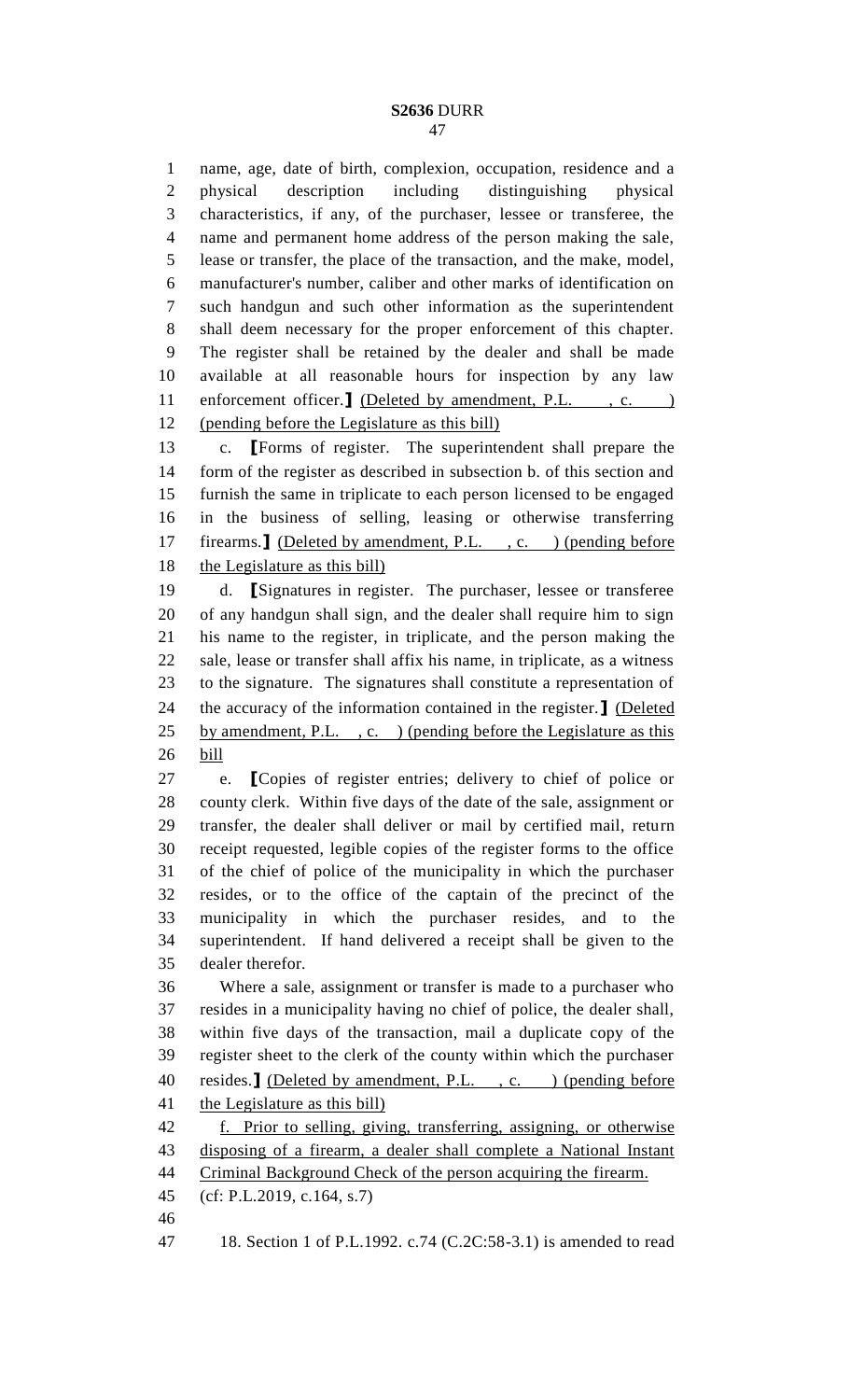name, age, date of birth, complexion, occupation, residence and a physical description including distinguishing physical characteristics, if any, of the purchaser, lessee or transferee, the name and permanent home address of the person making the sale, lease or transfer, the place of the transaction, and the make, model, manufacturer's number, caliber and other marks of identification on such handgun and such other information as the superintendent shall deem necessary for the proper enforcement of this chapter. The register shall be retained by the dealer and shall be made available at all reasonable hours for inspection by any law 11 enforcement officer.**]** (Deleted by amendment, P.L., c.) (pending before the Legislature as this bill)

 c. **[**Forms of register. The superintendent shall prepare the form of the register as described in subsection b. of this section and furnish the same in triplicate to each person licensed to be engaged in the business of selling, leasing or otherwise transferring 17 firearms.**]** (Deleted by amendment, P.L., c. ) (pending before 18 the Legislature as this bill)

 d. **[**Signatures in register. The purchaser, lessee or transferee of any handgun shall sign, and the dealer shall require him to sign his name to the register, in triplicate, and the person making the sale, lease or transfer shall affix his name, in triplicate, as a witness to the signature. The signatures shall constitute a representation of the accuracy of the information contained in the register.**]** (Deleted 25 by amendment, P.L., c. (pending before the Legislature as this bill

 e. **[**Copies of register entries; delivery to chief of police or county clerk. Within five days of the date of the sale, assignment or transfer, the dealer shall deliver or mail by certified mail, return receipt requested, legible copies of the register forms to the office of the chief of police of the municipality in which the purchaser resides, or to the office of the captain of the precinct of the municipality in which the purchaser resides, and to the superintendent. If hand delivered a receipt shall be given to the dealer therefor.

 Where a sale, assignment or transfer is made to a purchaser who resides in a municipality having no chief of police, the dealer shall, within five days of the transaction, mail a duplicate copy of the register sheet to the clerk of the county within which the purchaser resides.**]** (Deleted by amendment, P.L. , c. ) (pending before the Legislature as this bill)

 f. Prior to selling, giving, transferring, assigning, or otherwise disposing of a firearm, a dealer shall complete a National Instant Criminal Background Check of the person acquiring the firearm. (cf: P.L.2019, c.164, s.7) 

18. Section 1 of P.L.1992. c.74 (C.2C:58-3.1) is amended to read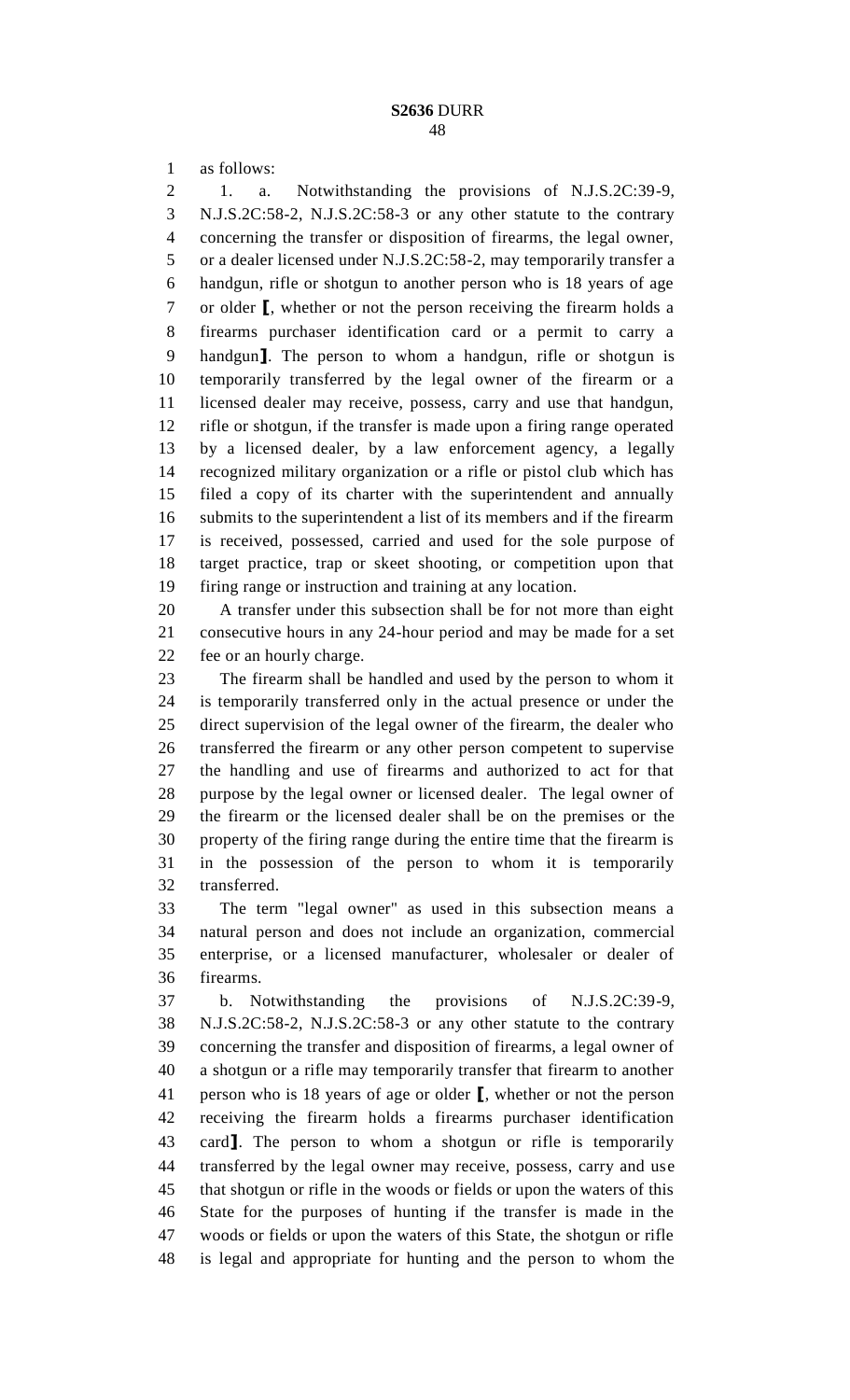as follows:

 1. a. Notwithstanding the provisions of N.J.S.2C:39-9, N.J.S.2C:58-2, N.J.S.2C:58-3 or any other statute to the contrary concerning the transfer or disposition of firearms, the legal owner, or a dealer licensed under N.J.S.2C:58-2, may temporarily transfer a handgun, rifle or shotgun to another person who is 18 years of age or older **[**, whether or not the person receiving the firearm holds a firearms purchaser identification card or a permit to carry a handgun**]**. The person to whom a handgun, rifle or shotgun is temporarily transferred by the legal owner of the firearm or a licensed dealer may receive, possess, carry and use that handgun, rifle or shotgun, if the transfer is made upon a firing range operated by a licensed dealer, by a law enforcement agency, a legally recognized military organization or a rifle or pistol club which has filed a copy of its charter with the superintendent and annually submits to the superintendent a list of its members and if the firearm is received, possessed, carried and used for the sole purpose of target practice, trap or skeet shooting, or competition upon that firing range or instruction and training at any location.

 A transfer under this subsection shall be for not more than eight consecutive hours in any 24-hour period and may be made for a set fee or an hourly charge.

 The firearm shall be handled and used by the person to whom it is temporarily transferred only in the actual presence or under the direct supervision of the legal owner of the firearm, the dealer who transferred the firearm or any other person competent to supervise the handling and use of firearms and authorized to act for that purpose by the legal owner or licensed dealer. The legal owner of the firearm or the licensed dealer shall be on the premises or the property of the firing range during the entire time that the firearm is in the possession of the person to whom it is temporarily transferred.

 The term "legal owner" as used in this subsection means a natural person and does not include an organization, commercial enterprise, or a licensed manufacturer, wholesaler or dealer of firearms.

 b. Notwithstanding the provisions of N.J.S.2C:39-9, N.J.S.2C:58-2, N.J.S.2C:58-3 or any other statute to the contrary concerning the transfer and disposition of firearms, a legal owner of a shotgun or a rifle may temporarily transfer that firearm to another person who is 18 years of age or older **[**, whether or not the person receiving the firearm holds a firearms purchaser identification card**]**. The person to whom a shotgun or rifle is temporarily transferred by the legal owner may receive, possess, carry and use that shotgun or rifle in the woods or fields or upon the waters of this State for the purposes of hunting if the transfer is made in the woods or fields or upon the waters of this State, the shotgun or rifle is legal and appropriate for hunting and the person to whom the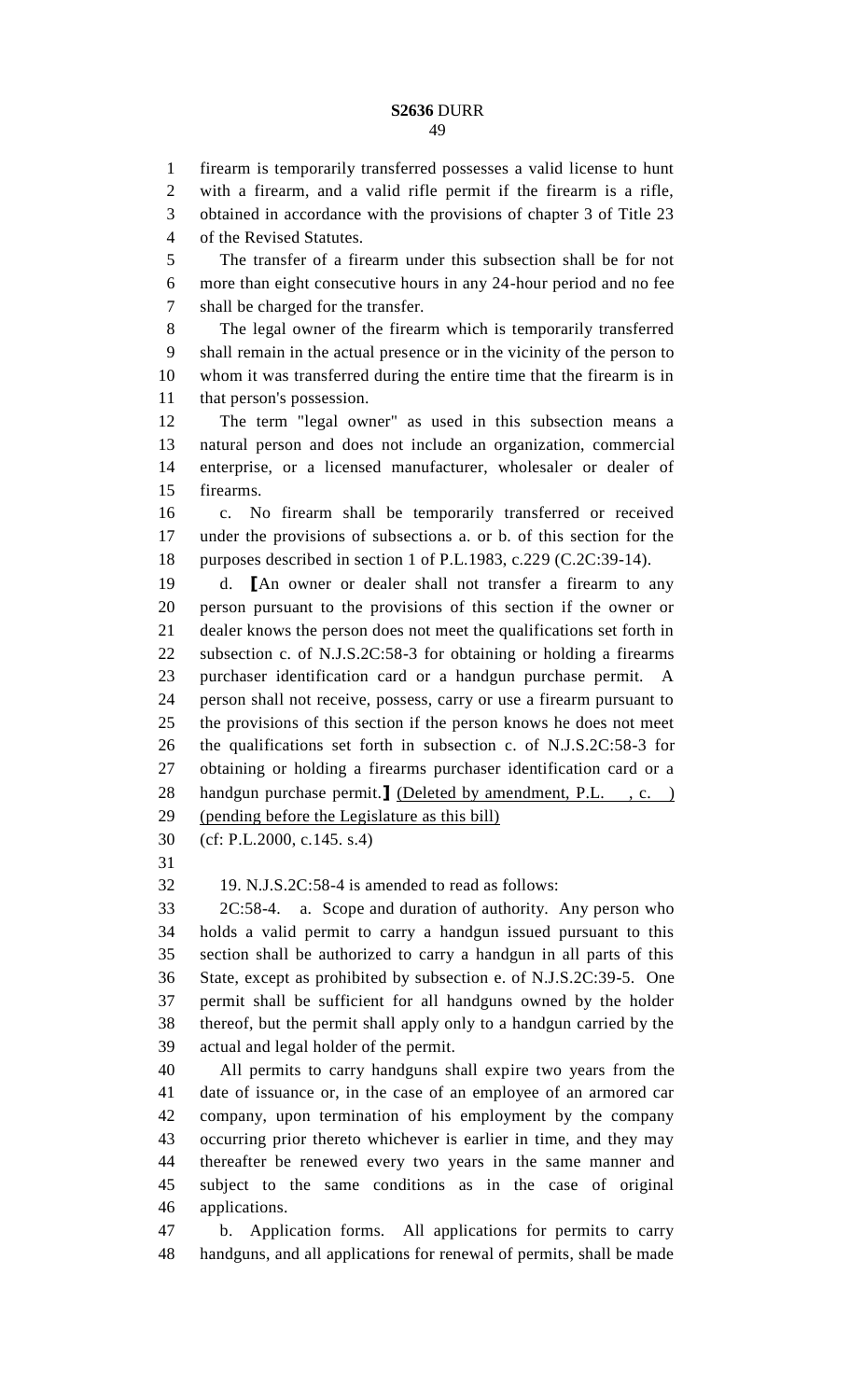firearm is temporarily transferred possesses a valid license to hunt with a firearm, and a valid rifle permit if the firearm is a rifle, obtained in accordance with the provisions of chapter 3 of Title 23 of the Revised Statutes.

 The transfer of a firearm under this subsection shall be for not more than eight consecutive hours in any 24-hour period and no fee shall be charged for the transfer.

 The legal owner of the firearm which is temporarily transferred shall remain in the actual presence or in the vicinity of the person to whom it was transferred during the entire time that the firearm is in that person's possession.

 The term "legal owner" as used in this subsection means a natural person and does not include an organization, commercial enterprise, or a licensed manufacturer, wholesaler or dealer of firearms.

 c. No firearm shall be temporarily transferred or received under the provisions of subsections a. or b. of this section for the purposes described in section 1 of P.L.1983, c.229 (C.2C:39-14).

 d. **[**An owner or dealer shall not transfer a firearm to any person pursuant to the provisions of this section if the owner or dealer knows the person does not meet the qualifications set forth in subsection c. of N.J.S.2C:58-3 for obtaining or holding a firearms purchaser identification card or a handgun purchase permit. A person shall not receive, possess, carry or use a firearm pursuant to the provisions of this section if the person knows he does not meet the qualifications set forth in subsection c. of N.J.S.2C:58-3 for obtaining or holding a firearms purchaser identification card or a handgun purchase permit.**]** (Deleted by amendment, P.L. , c. ) (pending before the Legislature as this bill)

(cf: P.L.2000, c.145. s.4)

19. N.J.S.2C:58-4 is amended to read as follows:

 2C:58-4. a. Scope and duration of authority. Any person who holds a valid permit to carry a handgun issued pursuant to this section shall be authorized to carry a handgun in all parts of this State, except as prohibited by subsection e. of N.J.S.2C:39-5. One permit shall be sufficient for all handguns owned by the holder thereof, but the permit shall apply only to a handgun carried by the actual and legal holder of the permit.

 All permits to carry handguns shall expire two years from the date of issuance or, in the case of an employee of an armored car company, upon termination of his employment by the company occurring prior thereto whichever is earlier in time, and they may thereafter be renewed every two years in the same manner and subject to the same conditions as in the case of original applications.

 b. Application forms. All applications for permits to carry handguns, and all applications for renewal of permits, shall be made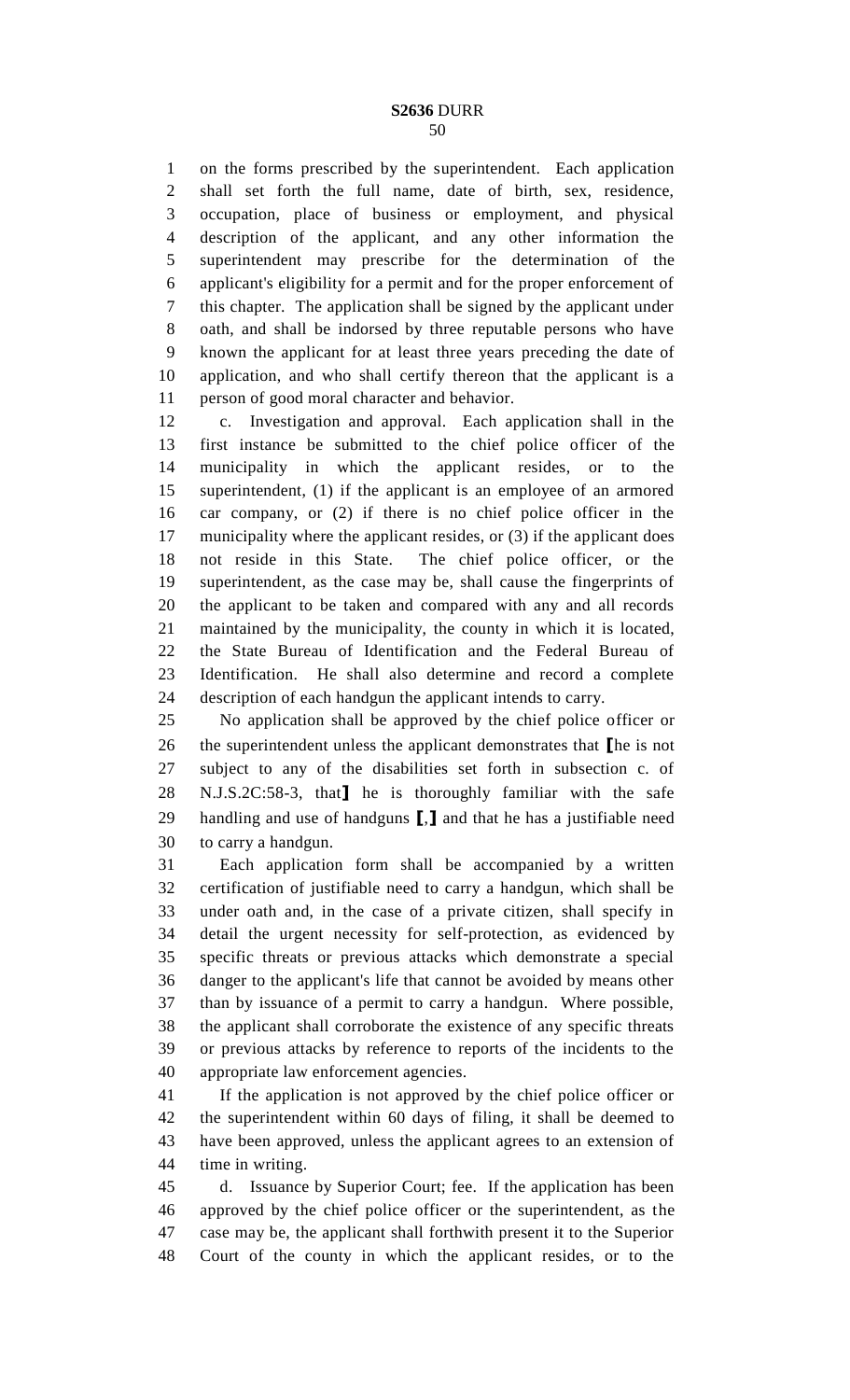on the forms prescribed by the superintendent. Each application shall set forth the full name, date of birth, sex, residence, occupation, place of business or employment, and physical description of the applicant, and any other information the superintendent may prescribe for the determination of the applicant's eligibility for a permit and for the proper enforcement of this chapter. The application shall be signed by the applicant under oath, and shall be indorsed by three reputable persons who have known the applicant for at least three years preceding the date of application, and who shall certify thereon that the applicant is a person of good moral character and behavior.

 c. Investigation and approval. Each application shall in the first instance be submitted to the chief police officer of the municipality in which the applicant resides, or to the superintendent, (1) if the applicant is an employee of an armored car company, or (2) if there is no chief police officer in the municipality where the applicant resides, or (3) if the applicant does not reside in this State. The chief police officer, or the superintendent, as the case may be, shall cause the fingerprints of the applicant to be taken and compared with any and all records maintained by the municipality, the county in which it is located, the State Bureau of Identification and the Federal Bureau of Identification. He shall also determine and record a complete description of each handgun the applicant intends to carry.

 No application shall be approved by the chief police officer or the superintendent unless the applicant demonstrates that **[**he is not subject to any of the disabilities set forth in subsection c. of N.J.S.2C:58-3, that**]** he is thoroughly familiar with the safe handling and use of handguns **[**,**]** and that he has a justifiable need to carry a handgun.

 Each application form shall be accompanied by a written certification of justifiable need to carry a handgun, which shall be under oath and, in the case of a private citizen, shall specify in detail the urgent necessity for self-protection, as evidenced by specific threats or previous attacks which demonstrate a special danger to the applicant's life that cannot be avoided by means other than by issuance of a permit to carry a handgun. Where possible, the applicant shall corroborate the existence of any specific threats or previous attacks by reference to reports of the incidents to the appropriate law enforcement agencies.

 If the application is not approved by the chief police officer or the superintendent within 60 days of filing, it shall be deemed to have been approved, unless the applicant agrees to an extension of time in writing.

 d. Issuance by Superior Court; fee. If the application has been approved by the chief police officer or the superintendent, as the case may be, the applicant shall forthwith present it to the Superior Court of the county in which the applicant resides, or to the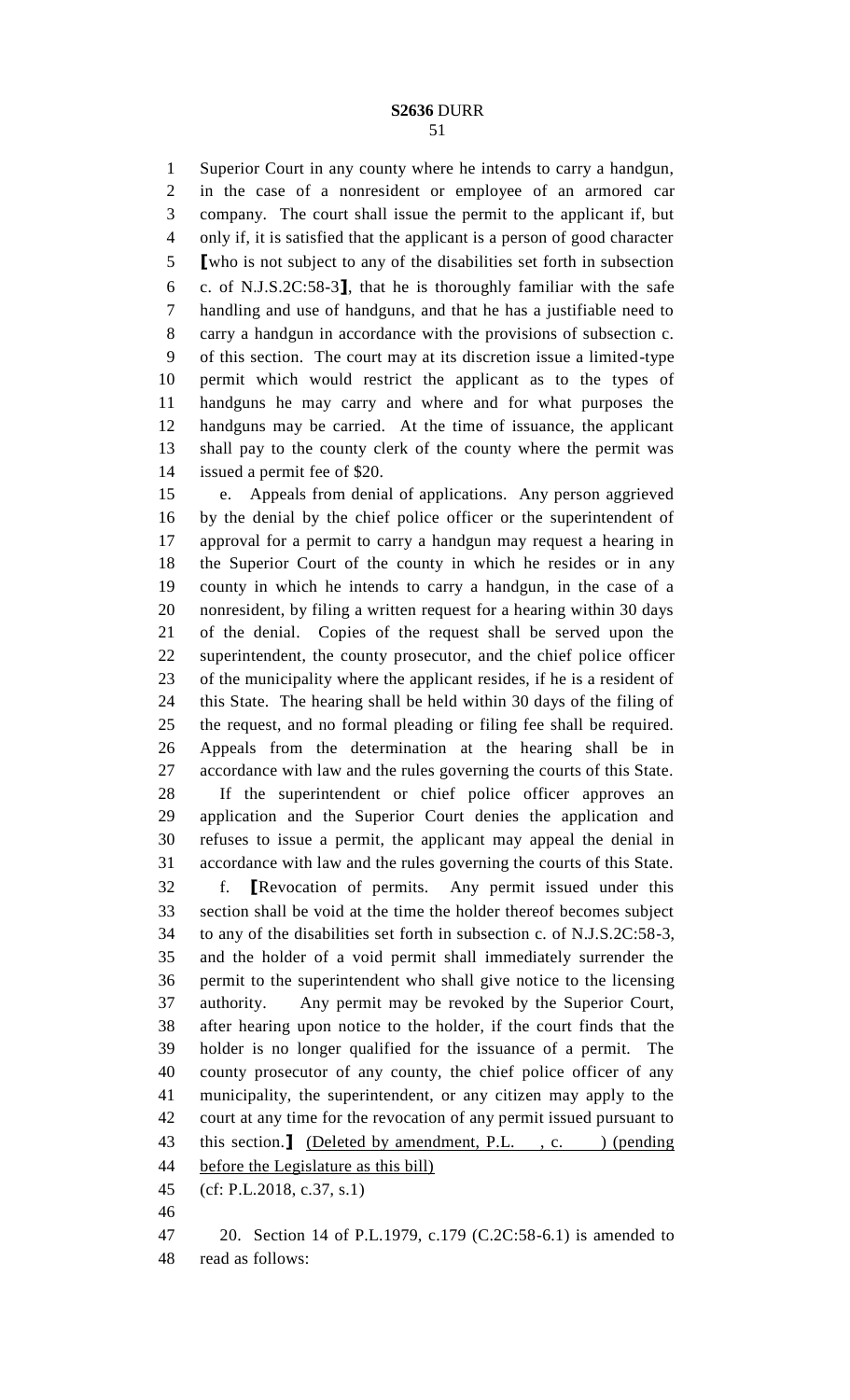Superior Court in any county where he intends to carry a handgun, in the case of a nonresident or employee of an armored car company. The court shall issue the permit to the applicant if, but only if, it is satisfied that the applicant is a person of good character **[**who is not subject to any of the disabilities set forth in subsection c. of N.J.S.2C:58-3**]**, that he is thoroughly familiar with the safe handling and use of handguns, and that he has a justifiable need to carry a handgun in accordance with the provisions of subsection c. of this section. The court may at its discretion issue a limited-type permit which would restrict the applicant as to the types of handguns he may carry and where and for what purposes the handguns may be carried. At the time of issuance, the applicant shall pay to the county clerk of the county where the permit was issued a permit fee of \$20.

 e. Appeals from denial of applications. Any person aggrieved by the denial by the chief police officer or the superintendent of approval for a permit to carry a handgun may request a hearing in the Superior Court of the county in which he resides or in any county in which he intends to carry a handgun, in the case of a nonresident, by filing a written request for a hearing within 30 days of the denial. Copies of the request shall be served upon the superintendent, the county prosecutor, and the chief police officer of the municipality where the applicant resides, if he is a resident of this State. The hearing shall be held within 30 days of the filing of the request, and no formal pleading or filing fee shall be required. Appeals from the determination at the hearing shall be in accordance with law and the rules governing the courts of this State. If the superintendent or chief police officer approves an application and the Superior Court denies the application and refuses to issue a permit, the applicant may appeal the denial in accordance with law and the rules governing the courts of this State.

 f. **[**Revocation of permits. Any permit issued under this section shall be void at the time the holder thereof becomes subject to any of the disabilities set forth in subsection c. of N.J.S.2C:58-3, and the holder of a void permit shall immediately surrender the permit to the superintendent who shall give notice to the licensing authority. Any permit may be revoked by the Superior Court, after hearing upon notice to the holder, if the court finds that the holder is no longer qualified for the issuance of a permit. The county prosecutor of any county, the chief police officer of any municipality, the superintendent, or any citizen may apply to the court at any time for the revocation of any permit issued pursuant to 43 this section.**]** (Deleted by amendment, P.L., c. ) (pending before the Legislature as this bill)

(cf: P.L.2018, c.37, s.1)

 20. Section 14 of P.L.1979, c.179 (C.2C:58-6.1) is amended to read as follows: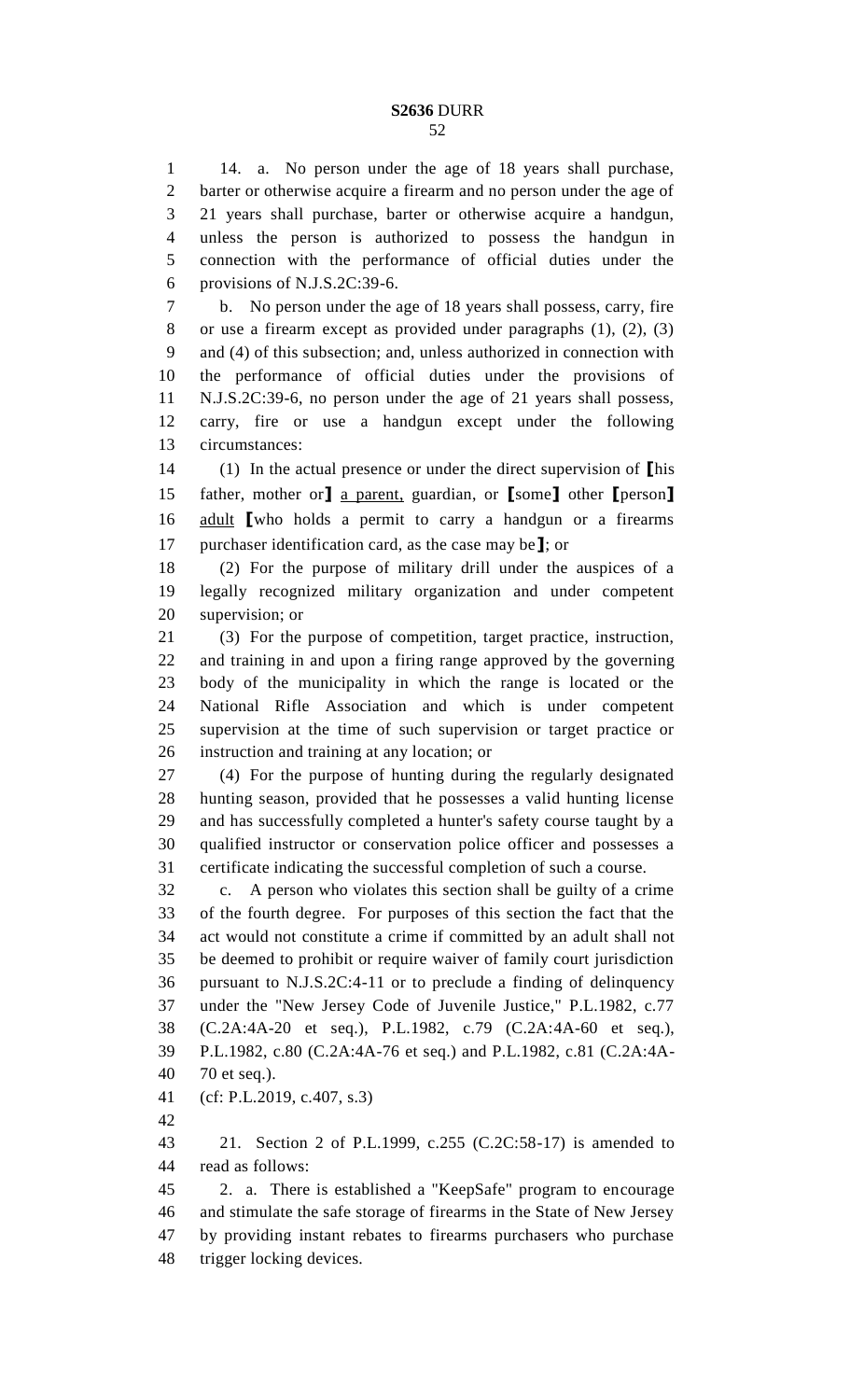14. a. No person under the age of 18 years shall purchase, barter or otherwise acquire a firearm and no person under the age of 21 years shall purchase, barter or otherwise acquire a handgun, unless the person is authorized to possess the handgun in connection with the performance of official duties under the provisions of N.J.S.2C:39-6.

 b. No person under the age of 18 years shall possess, carry, fire or use a firearm except as provided under paragraphs (1), (2), (3) and (4) of this subsection; and, unless authorized in connection with the performance of official duties under the provisions of N.J.S.2C:39-6, no person under the age of 21 years shall possess, carry, fire or use a handgun except under the following circumstances:

 (1) In the actual presence or under the direct supervision of **[**his father, mother or**]** a parent, guardian, or **[**some**]** other **[**person**]** adult **[**who holds a permit to carry a handgun or a firearms purchaser identification card, as the case may be**]**; or

 (2) For the purpose of military drill under the auspices of a legally recognized military organization and under competent supervision; or

 (3) For the purpose of competition, target practice, instruction, and training in and upon a firing range approved by the governing body of the municipality in which the range is located or the National Rifle Association and which is under competent supervision at the time of such supervision or target practice or instruction and training at any location; or

 (4) For the purpose of hunting during the regularly designated hunting season, provided that he possesses a valid hunting license and has successfully completed a hunter's safety course taught by a qualified instructor or conservation police officer and possesses a certificate indicating the successful completion of such a course.

 c. A person who violates this section shall be guilty of a crime of the fourth degree. For purposes of this section the fact that the act would not constitute a crime if committed by an adult shall not be deemed to prohibit or require waiver of family court jurisdiction pursuant to N.J.S.2C:4-11 or to preclude a finding of delinquency under the "New Jersey Code of Juvenile Justice," P.L.1982, c.77 (C.2A:4A-20 et seq.), P.L.1982, c.79 (C.2A:4A-60 et seq.), P.L.1982, c.80 (C.2A:4A-76 et seq.) and P.L.1982, c.81 (C.2A:4A-

70 et seq.).

(cf: P.L.2019, c.407, s.3)

 21. Section 2 of P.L.1999, c.255 (C.2C:58-17) is amended to read as follows:

 2. a. There is established a "KeepSafe" program to encourage and stimulate the safe storage of firearms in the State of New Jersey by providing instant rebates to firearms purchasers who purchase trigger locking devices.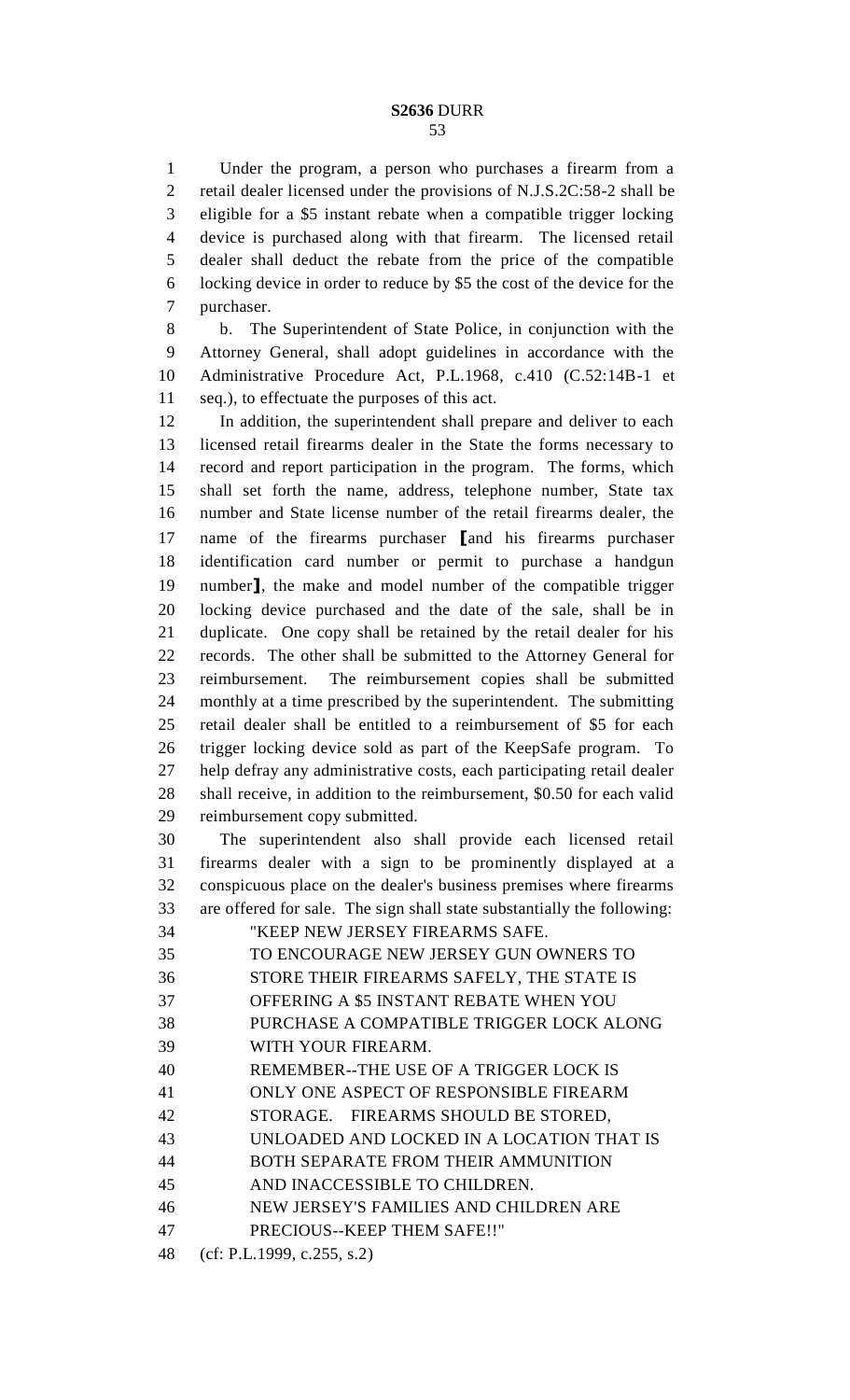Under the program, a person who purchases a firearm from a retail dealer licensed under the provisions of N.J.S.2C:58-2 shall be eligible for a \$5 instant rebate when a compatible trigger locking device is purchased along with that firearm. The licensed retail dealer shall deduct the rebate from the price of the compatible locking device in order to reduce by \$5 the cost of the device for the purchaser.

 b. The Superintendent of State Police, in conjunction with the Attorney General, shall adopt guidelines in accordance with the Administrative Procedure Act, P.L.1968, c.410 (C.52:14B-1 et seq.), to effectuate the purposes of this act.

 In addition, the superintendent shall prepare and deliver to each licensed retail firearms dealer in the State the forms necessary to record and report participation in the program. The forms, which shall set forth the name, address, telephone number, State tax number and State license number of the retail firearms dealer, the name of the firearms purchaser **[**and his firearms purchaser identification card number or permit to purchase a handgun number**]**, the make and model number of the compatible trigger locking device purchased and the date of the sale, shall be in duplicate. One copy shall be retained by the retail dealer for his records. The other shall be submitted to the Attorney General for reimbursement. The reimbursement copies shall be submitted monthly at a time prescribed by the superintendent. The submitting retail dealer shall be entitled to a reimbursement of \$5 for each trigger locking device sold as part of the KeepSafe program. To help defray any administrative costs, each participating retail dealer shall receive, in addition to the reimbursement, \$0.50 for each valid reimbursement copy submitted.

 The superintendent also shall provide each licensed retail firearms dealer with a sign to be prominently displayed at a conspicuous place on the dealer's business premises where firearms are offered for sale. The sign shall state substantially the following:

"KEEP NEW JERSEY FIREARMS SAFE.

TO ENCOURAGE NEW JERSEY GUN OWNERS TO

STORE THEIR FIREARMS SAFELY, THE STATE IS

OFFERING A \$5 INSTANT REBATE WHEN YOU

PURCHASE A COMPATIBLE TRIGGER LOCK ALONG

WITH YOUR FIREARM.

REMEMBER--THE USE OF A TRIGGER LOCK IS

ONLY ONE ASPECT OF RESPONSIBLE FIREARM

STORAGE. FIREARMS SHOULD BE STORED,

UNLOADED AND LOCKED IN A LOCATION THAT IS

BOTH SEPARATE FROM THEIR AMMUNITION

AND INACCESSIBLE TO CHILDREN.

NEW JERSEY'S FAMILIES AND CHILDREN ARE

PRECIOUS--KEEP THEM SAFE!!"

(cf: P.L.1999, c.255, s.2)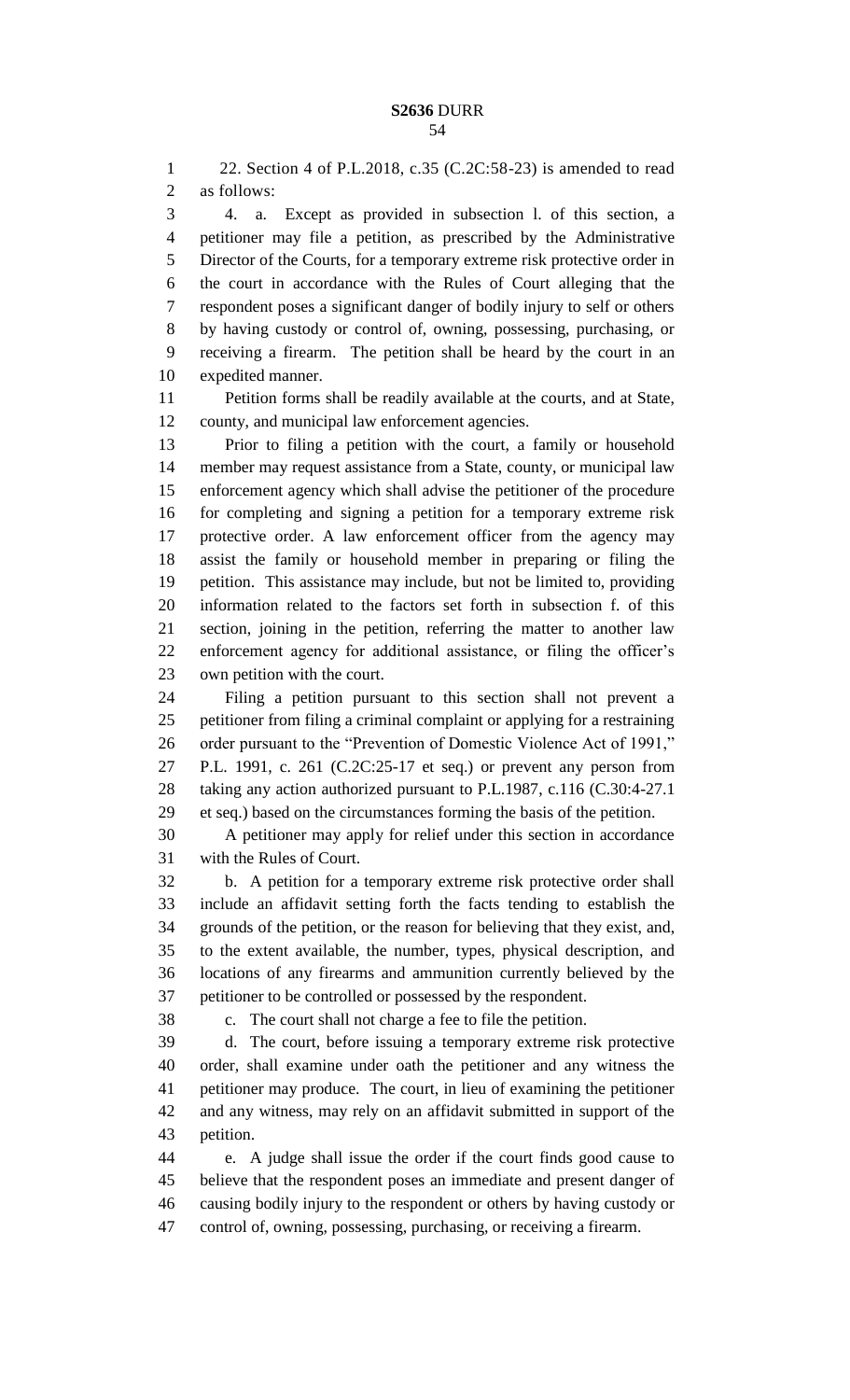22. Section 4 of P.L.2018, c.35 (C.2C:58-23) is amended to read as follows: 4. a. Except as provided in subsection l. of this section, a petitioner may file a petition, as prescribed by the Administrative Director of the Courts, for a temporary extreme risk protective order in the court in accordance with the Rules of Court alleging that the respondent poses a significant danger of bodily injury to self or others by having custody or control of, owning, possessing, purchasing, or receiving a firearm. The petition shall be heard by the court in an expedited manner.

 Petition forms shall be readily available at the courts, and at State, county, and municipal law enforcement agencies.

 Prior to filing a petition with the court, a family or household member may request assistance from a State, county, or municipal law enforcement agency which shall advise the petitioner of the procedure for completing and signing a petition for a temporary extreme risk protective order. A law enforcement officer from the agency may assist the family or household member in preparing or filing the petition. This assistance may include, but not be limited to, providing information related to the factors set forth in subsection f. of this section, joining in the petition, referring the matter to another law enforcement agency for additional assistance, or filing the officer's own petition with the court.

 Filing a petition pursuant to this section shall not prevent a petitioner from filing a criminal complaint or applying for a restraining order pursuant to the "Prevention of Domestic Violence Act of 1991," P.L. 1991, c. 261 (C.2C:25-17 et seq.) or prevent any person from taking any action authorized pursuant to P.L.1987, c.116 (C.30:4-27.1 et seq.) based on the circumstances forming the basis of the petition.

 A petitioner may apply for relief under this section in accordance with the Rules of Court.

 b. A petition for a temporary extreme risk protective order shall include an affidavit setting forth the facts tending to establish the grounds of the petition, or the reason for believing that they exist, and, to the extent available, the number, types, physical description, and locations of any firearms and ammunition currently believed by the petitioner to be controlled or possessed by the respondent.

c. The court shall not charge a fee to file the petition.

 d. The court, before issuing a temporary extreme risk protective order, shall examine under oath the petitioner and any witness the petitioner may produce. The court, in lieu of examining the petitioner and any witness, may rely on an affidavit submitted in support of the petition.

 e. A judge shall issue the order if the court finds good cause to believe that the respondent poses an immediate and present danger of causing bodily injury to the respondent or others by having custody or control of, owning, possessing, purchasing, or receiving a firearm.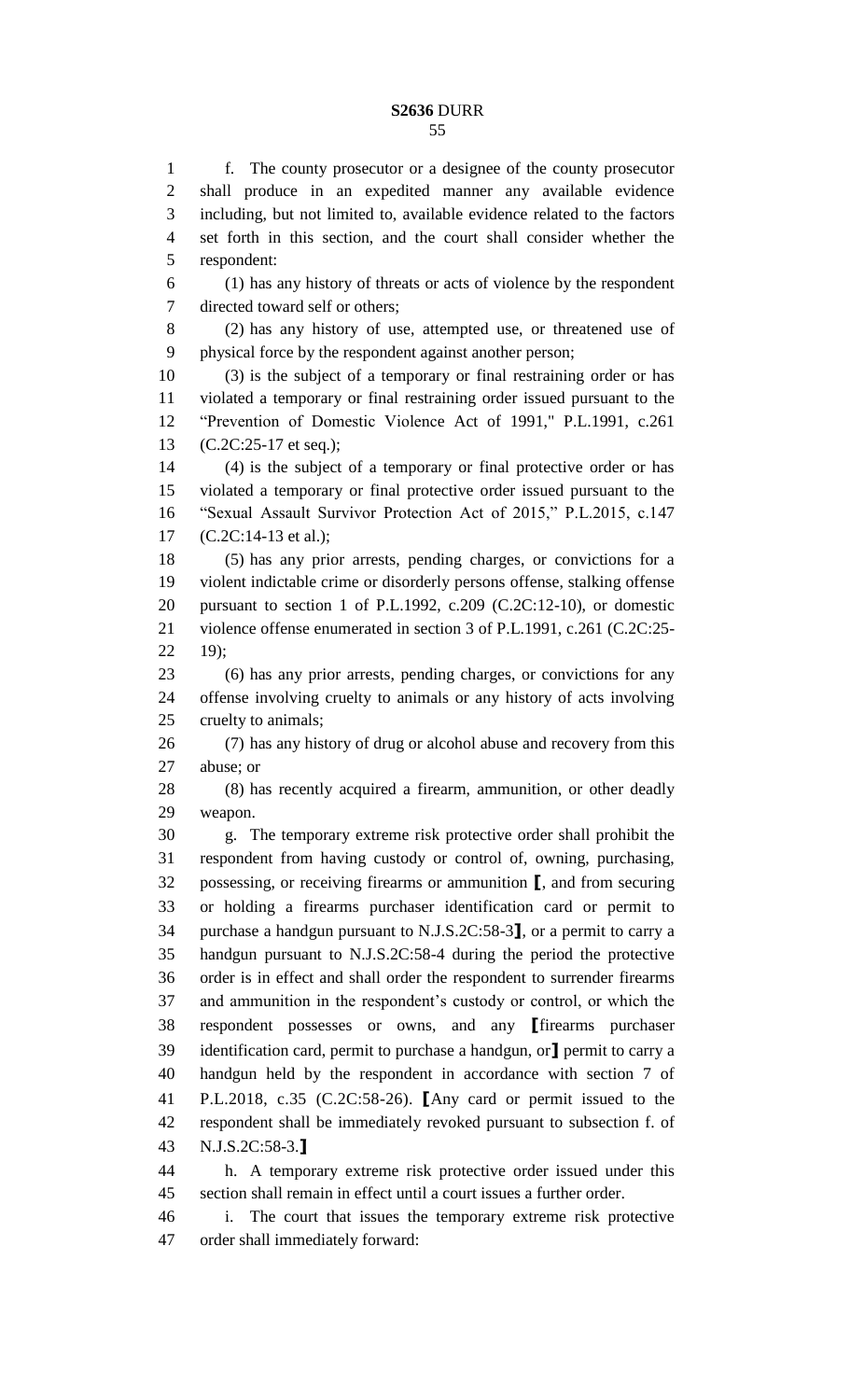f. The county prosecutor or a designee of the county prosecutor shall produce in an expedited manner any available evidence including, but not limited to, available evidence related to the factors set forth in this section, and the court shall consider whether the respondent:

 (1) has any history of threats or acts of violence by the respondent directed toward self or others;

 (2) has any history of use, attempted use, or threatened use of physical force by the respondent against another person;

 (3) is the subject of a temporary or final restraining order or has violated a temporary or final restraining order issued pursuant to the "Prevention of Domestic Violence Act of 1991," P.L.1991, c.261 (C.2C:25-17 et seq.);

 (4) is the subject of a temporary or final protective order or has violated a temporary or final protective order issued pursuant to the "Sexual Assault Survivor Protection Act of 2015," P.L.2015, c.147 (C.2C:14-13 et al.);

 (5) has any prior arrests, pending charges, or convictions for a violent indictable crime or disorderly persons offense, stalking offense pursuant to section 1 of P.L.1992, c.209 (C.2C:12-10), or domestic violence offense enumerated in section 3 of P.L.1991, c.261 (C.2C:25- 19);

 (6) has any prior arrests, pending charges, or convictions for any offense involving cruelty to animals or any history of acts involving cruelty to animals;

 (7) has any history of drug or alcohol abuse and recovery from this abuse; or

 (8) has recently acquired a firearm, ammunition, or other deadly weapon.

 g. The temporary extreme risk protective order shall prohibit the respondent from having custody or control of, owning, purchasing, possessing, or receiving firearms or ammunition **[**, and from securing or holding a firearms purchaser identification card or permit to purchase a handgun pursuant to N.J.S.2C:58-3**]**, or a permit to carry a handgun pursuant to N.J.S.2C:58-4 during the period the protective order is in effect and shall order the respondent to surrender firearms and ammunition in the respondent's custody or control, or which the respondent possesses or owns, and any **[**firearms purchaser identification card, permit to purchase a handgun, or**]** permit to carry a handgun held by the respondent in accordance with section 7 of P.L.2018, c.35 (C.2C:58-26). **[**Any card or permit issued to the respondent shall be immediately revoked pursuant to subsection f. of N.J.S.2C:58-3.**]**

 h. A temporary extreme risk protective order issued under this section shall remain in effect until a court issues a further order.

 i. The court that issues the temporary extreme risk protective order shall immediately forward: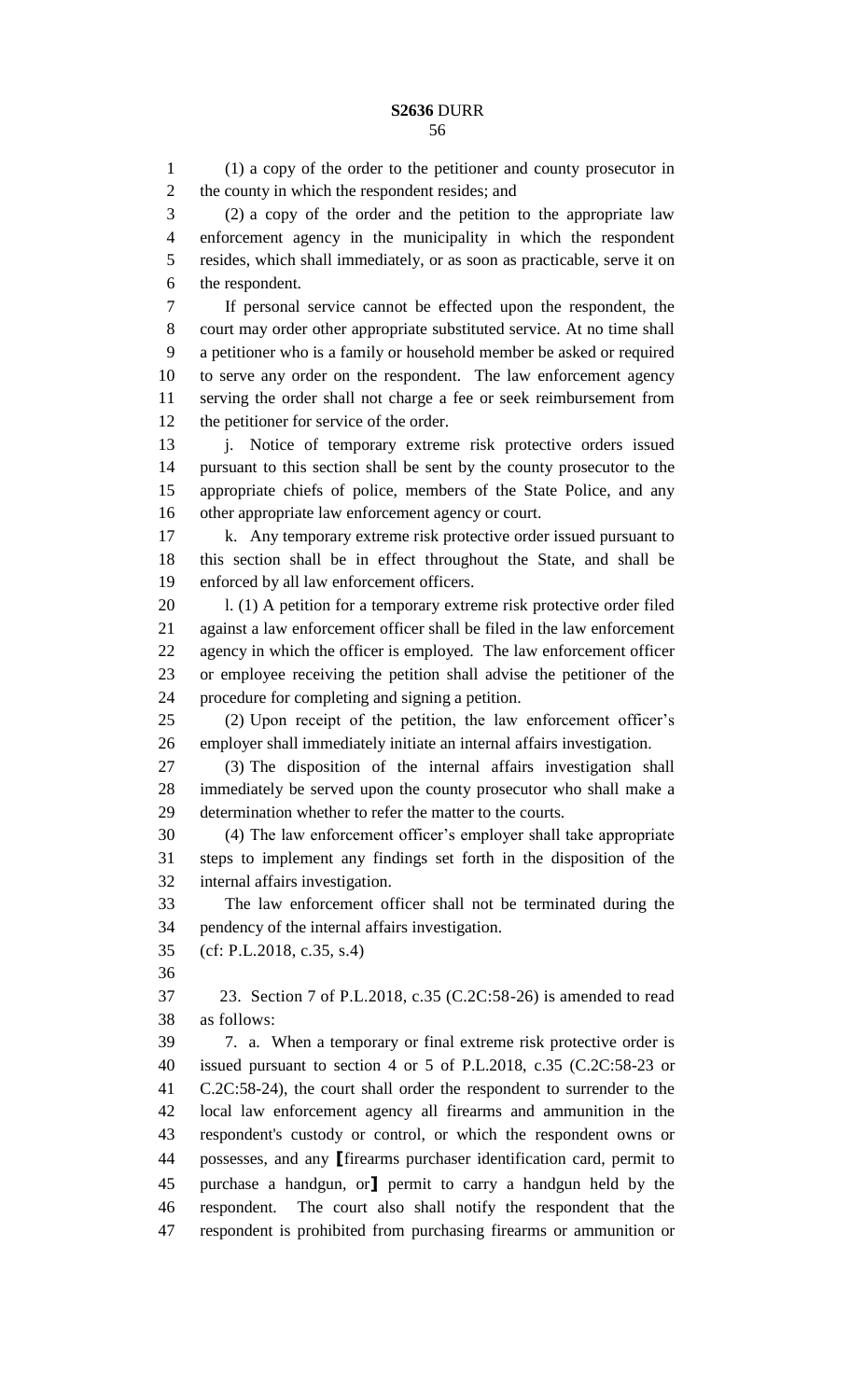(1) a copy of the order to the petitioner and county prosecutor in 2 the county in which the respondent resides; and (2) a copy of the order and the petition to the appropriate law enforcement agency in the municipality in which the respondent resides, which shall immediately, or as soon as practicable, serve it on the respondent. If personal service cannot be effected upon the respondent, the court may order other appropriate substituted service. At no time shall a petitioner who is a family or household member be asked or required to serve any order on the respondent. The law enforcement agency serving the order shall not charge a fee or seek reimbursement from the petitioner for service of the order. 13 i. Notice of temporary extreme risk protective orders issued pursuant to this section shall be sent by the county prosecutor to the appropriate chiefs of police, members of the State Police, and any other appropriate law enforcement agency or court. 17 k. Any temporary extreme risk protective order issued pursuant to this section shall be in effect throughout the State, and shall be enforced by all law enforcement officers. 20 l. (1) A petition for a temporary extreme risk protective order filed against a law enforcement officer shall be filed in the law enforcement agency in which the officer is employed. The law enforcement officer or employee receiving the petition shall advise the petitioner of the procedure for completing and signing a petition. (2) Upon receipt of the petition, the law enforcement officer's employer shall immediately initiate an internal affairs investigation. (3) The disposition of the internal affairs investigation shall immediately be served upon the county prosecutor who shall make a determination whether to refer the matter to the courts. (4) The law enforcement officer's employer shall take appropriate steps to implement any findings set forth in the disposition of the internal affairs investigation. The law enforcement officer shall not be terminated during the pendency of the internal affairs investigation. (cf: P.L.2018, c.35, s.4) 23. Section 7 of P.L.2018, c.35 (C.2C:58-26) is amended to read as follows: 7. a. When a temporary or final extreme risk protective order is issued pursuant to section 4 or 5 of P.L.2018, c.35 (C.2C:58-23 or C.2C:58-24), the court shall order the respondent to surrender to the local law enforcement agency all firearms and ammunition in the respondent's custody or control, or which the respondent owns or possesses, and any **[**firearms purchaser identification card, permit to purchase a handgun, or**]** permit to carry a handgun held by the respondent. The court also shall notify the respondent that the respondent is prohibited from purchasing firearms or ammunition or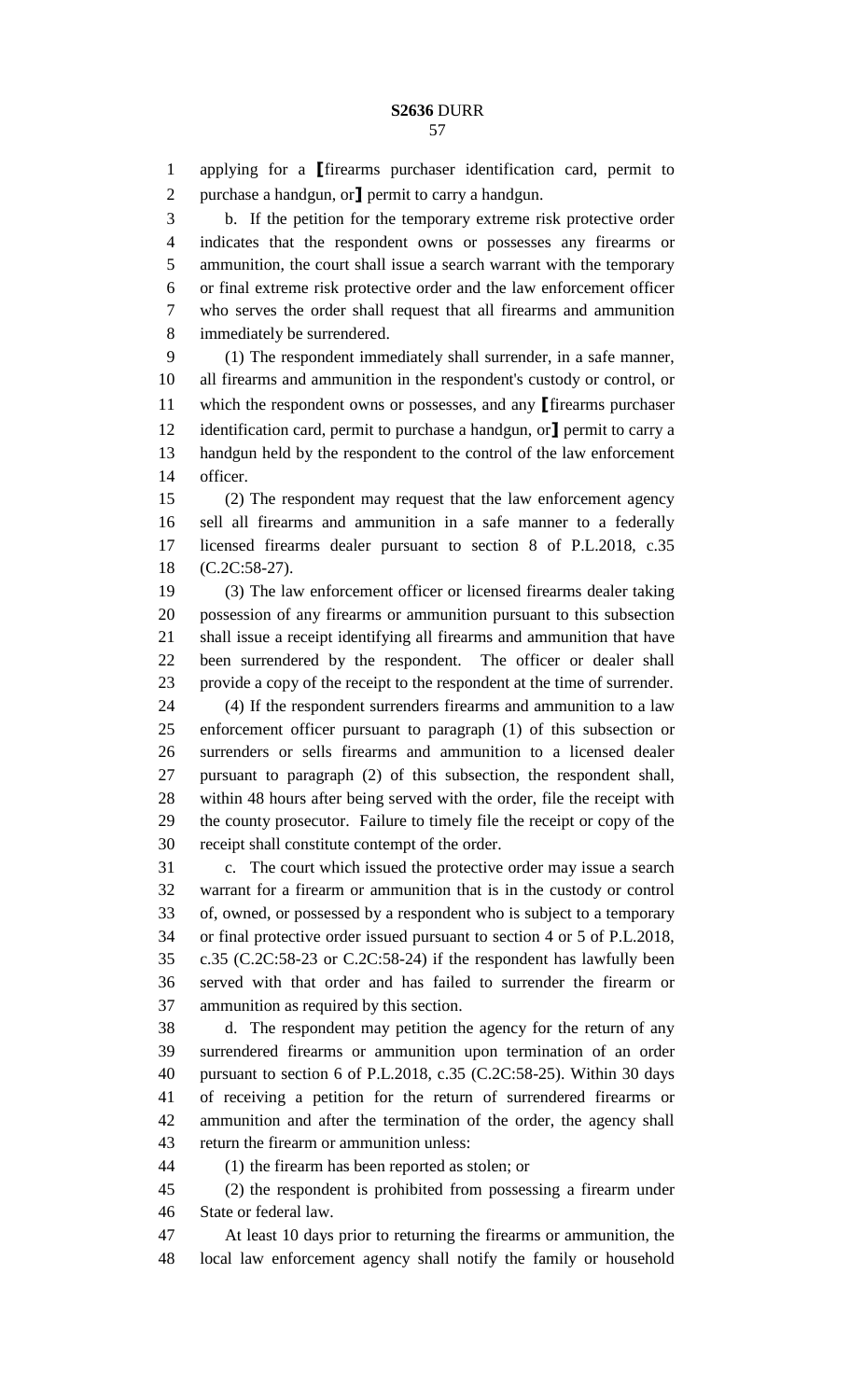applying for a **[**firearms purchaser identification card, permit to purchase a handgun, or**]** permit to carry a handgun.

 b. If the petition for the temporary extreme risk protective order indicates that the respondent owns or possesses any firearms or ammunition, the court shall issue a search warrant with the temporary or final extreme risk protective order and the law enforcement officer who serves the order shall request that all firearms and ammunition immediately be surrendered.

 (1) The respondent immediately shall surrender, in a safe manner, all firearms and ammunition in the respondent's custody or control, or which the respondent owns or possesses, and any **[**firearms purchaser identification card, permit to purchase a handgun, or**]** permit to carry a handgun held by the respondent to the control of the law enforcement officer.

 (2) The respondent may request that the law enforcement agency sell all firearms and ammunition in a safe manner to a federally licensed firearms dealer pursuant to section 8 of P.L.2018, c.35 (C.2C:58-27).

 (3) The law enforcement officer or licensed firearms dealer taking possession of any firearms or ammunition pursuant to this subsection shall issue a receipt identifying all firearms and ammunition that have been surrendered by the respondent. The officer or dealer shall provide a copy of the receipt to the respondent at the time of surrender.

 (4) If the respondent surrenders firearms and ammunition to a law enforcement officer pursuant to paragraph (1) of this subsection or surrenders or sells firearms and ammunition to a licensed dealer pursuant to paragraph (2) of this subsection, the respondent shall, within 48 hours after being served with the order, file the receipt with the county prosecutor. Failure to timely file the receipt or copy of the receipt shall constitute contempt of the order.

 c. The court which issued the protective order may issue a search warrant for a firearm or ammunition that is in the custody or control of, owned, or possessed by a respondent who is subject to a temporary or final protective order issued pursuant to section 4 or 5 of P.L.2018, c.35 (C.2C:58-23 or C.2C:58-24) if the respondent has lawfully been served with that order and has failed to surrender the firearm or ammunition as required by this section.

 d. The respondent may petition the agency for the return of any surrendered firearms or ammunition upon termination of an order pursuant to section 6 of P.L.2018, c.35 (C.2C:58-25). Within 30 days of receiving a petition for the return of surrendered firearms or ammunition and after the termination of the order, the agency shall return the firearm or ammunition unless:

(1) the firearm has been reported as stolen; or

 (2) the respondent is prohibited from possessing a firearm under State or federal law.

 At least 10 days prior to returning the firearms or ammunition, the local law enforcement agency shall notify the family or household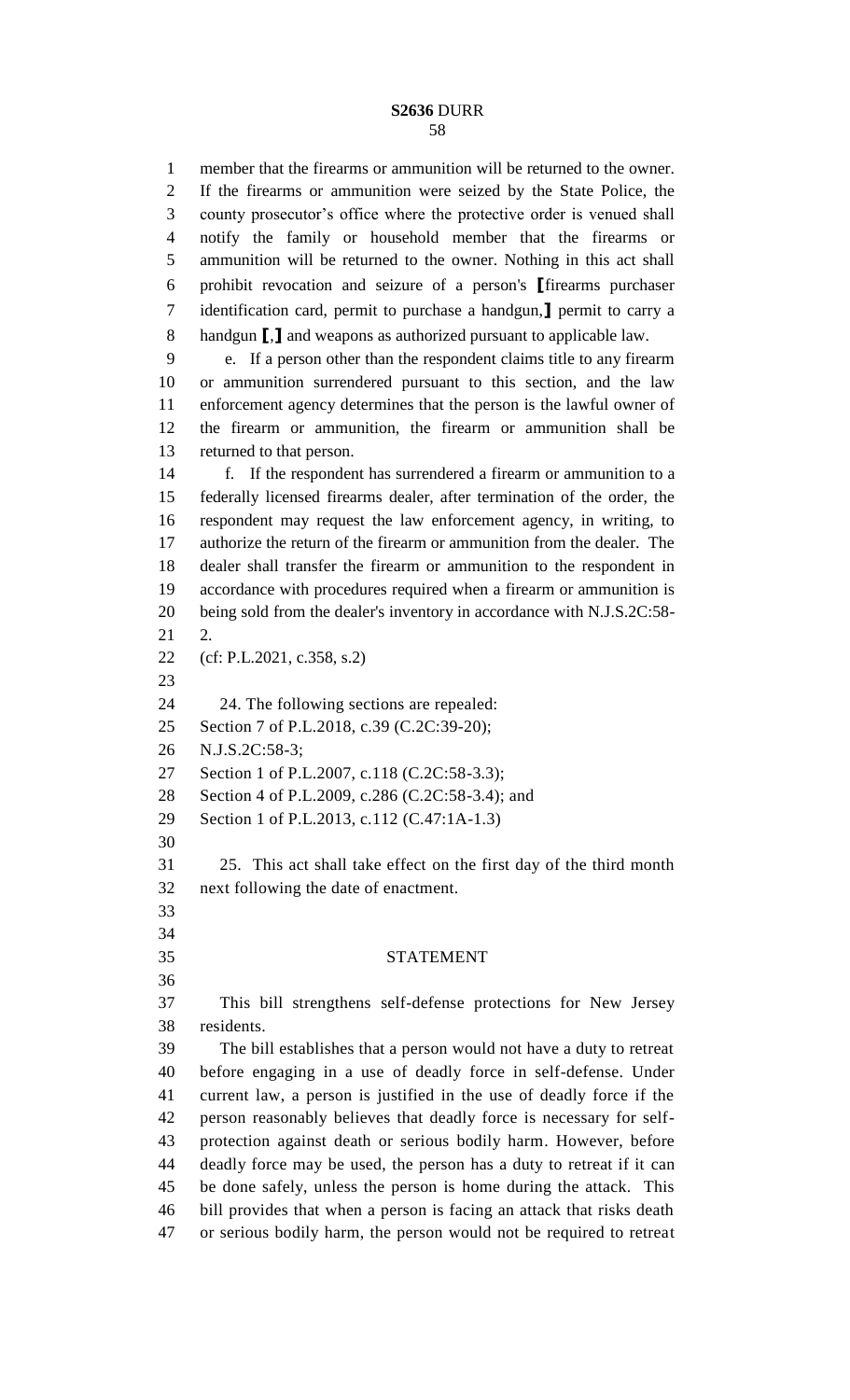member that the firearms or ammunition will be returned to the owner. If the firearms or ammunition were seized by the State Police, the county prosecutor's office where the protective order is venued shall notify the family or household member that the firearms or ammunition will be returned to the owner. Nothing in this act shall prohibit revocation and seizure of a person's **[**firearms purchaser identification card, permit to purchase a handgun,**]** permit to carry a handgun **[**,**]** and weapons as authorized pursuant to applicable law.

 e. If a person other than the respondent claims title to any firearm or ammunition surrendered pursuant to this section, and the law enforcement agency determines that the person is the lawful owner of the firearm or ammunition, the firearm or ammunition shall be returned to that person.

 f. If the respondent has surrendered a firearm or ammunition to a federally licensed firearms dealer, after termination of the order, the respondent may request the law enforcement agency, in writing, to authorize the return of the firearm or ammunition from the dealer. The dealer shall transfer the firearm or ammunition to the respondent in accordance with procedures required when a firearm or ammunition is being sold from the dealer's inventory in accordance with N.J.S.2C:58- 2.

(cf: P.L.2021, c.358, s.2)

 

24. The following sections are repealed:

25 Section 7 of P.L.2018, c.39 (C.2C:39-20);

N.J.S.2C:58-3;

27 Section 1 of P.L.2007, c.118 (C.2C:58-3.3);

Section 4 of P.L.2009, c.286 (C.2C:58-3.4); and

Section 1 of P.L.2013, c.112 (C.47:1A-1.3)

 25. This act shall take effect on the first day of the third month next following the date of enactment.

### STATEMENT

 This bill strengthens self-defense protections for New Jersey residents.

 The bill establishes that a person would not have a duty to retreat before engaging in a use of deadly force in self-defense. Under current law, a person is justified in the use of deadly force if the person reasonably believes that deadly force is necessary for self- protection against death or serious bodily harm. However, before deadly force may be used, the person has a duty to retreat if it can be done safely, unless the person is home during the attack. This bill provides that when a person is facing an attack that risks death or serious bodily harm, the person would not be required to retreat